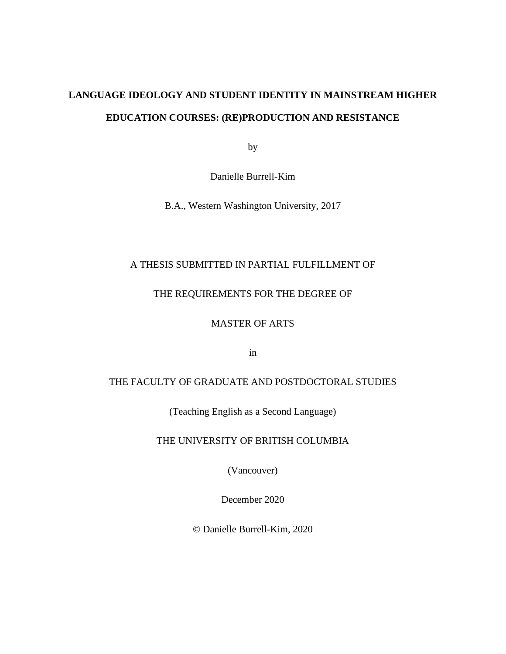# **LANGUAGE IDEOLOGY AND STUDENT IDENTITY IN MAINSTREAM HIGHER EDUCATION COURSES: (RE)PRODUCTION AND RESISTANCE**

by

Danielle Burrell-Kim

B.A., Western Washington University, 2017

### A THESIS SUBMITTED IN PARTIAL FULFILLMENT OF

### THE REQUIREMENTS FOR THE DEGREE OF

### MASTER OF ARTS

in

### THE FACULTY OF GRADUATE AND POSTDOCTORAL STUDIES

(Teaching English as a Second Language)

THE UNIVERSITY OF BRITISH COLUMBIA

(Vancouver)

December 2020

© Danielle Burrell-Kim, 2020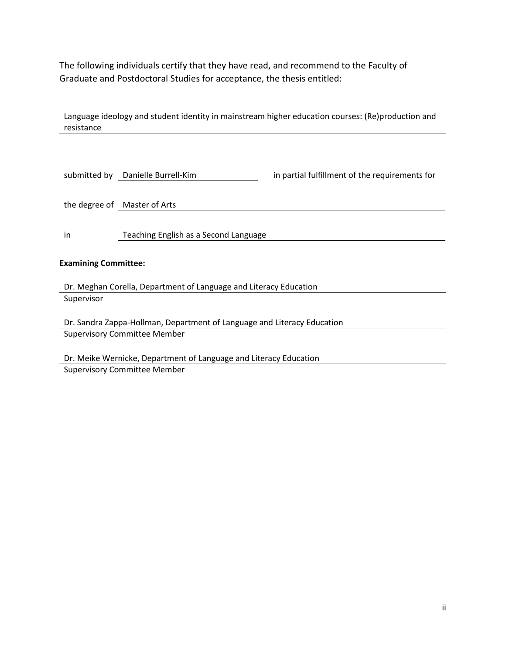The following individuals certify that they have read, and recommend to the Faculty of Graduate and Postdoctoral Studies for acceptance, the thesis entitled:

Language ideology and student identity in mainstream higher education courses: (Re)production and resistance

|                                                                         | submitted by Danielle Burrell-Kim     | in partial fulfillment of the requirements for |  |
|-------------------------------------------------------------------------|---------------------------------------|------------------------------------------------|--|
|                                                                         | the degree of Master of Arts          |                                                |  |
| in                                                                      | Teaching English as a Second Language |                                                |  |
| <b>Examining Committee:</b>                                             |                                       |                                                |  |
|                                                                         |                                       |                                                |  |
| Dr. Meghan Corella, Department of Language and Literacy Education       |                                       |                                                |  |
| Supervisor                                                              |                                       |                                                |  |
| Dr. Sandra Zappa-Hollman, Department of Language and Literacy Education |                                       |                                                |  |
| <b>Supervisory Committee Member</b>                                     |                                       |                                                |  |
| Dr. Meike Wernicke, Department of Language and Literacy Education       |                                       |                                                |  |

Supervisory Committee Member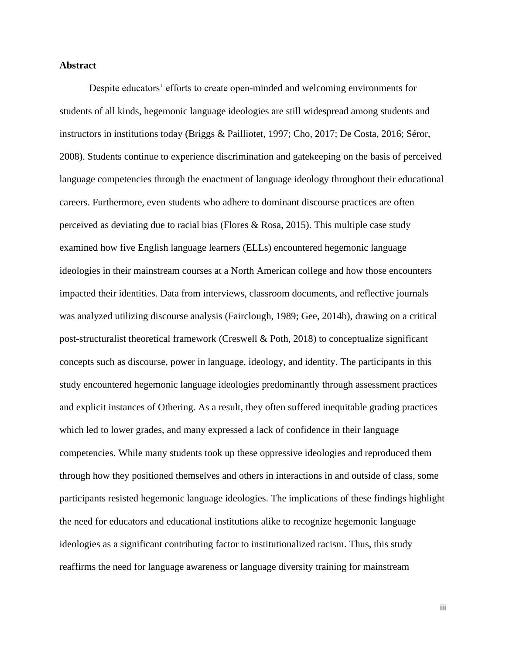### **Abstract**

Despite educators' efforts to create open-minded and welcoming environments for students of all kinds, hegemonic language ideologies are still widespread among students and instructors in institutions today (Briggs & Pailliotet, 1997; Cho, 2017; De Costa, 2016; Séror, 2008). Students continue to experience discrimination and gatekeeping on the basis of perceived language competencies through the enactment of language ideology throughout their educational careers. Furthermore, even students who adhere to dominant discourse practices are often perceived as deviating due to racial bias (Flores & Rosa, 2015). This multiple case study examined how five English language learners (ELLs) encountered hegemonic language ideologies in their mainstream courses at a North American college and how those encounters impacted their identities. Data from interviews, classroom documents, and reflective journals was analyzed utilizing discourse analysis (Fairclough, 1989; Gee, 2014b), drawing on a critical post-structuralist theoretical framework (Creswell & Poth, 2018) to conceptualize significant concepts such as discourse, power in language, ideology, and identity. The participants in this study encountered hegemonic language ideologies predominantly through assessment practices and explicit instances of Othering. As a result, they often suffered inequitable grading practices which led to lower grades, and many expressed a lack of confidence in their language competencies. While many students took up these oppressive ideologies and reproduced them through how they positioned themselves and others in interactions in and outside of class, some participants resisted hegemonic language ideologies. The implications of these findings highlight the need for educators and educational institutions alike to recognize hegemonic language ideologies as a significant contributing factor to institutionalized racism. Thus, this study reaffirms the need for language awareness or language diversity training for mainstream

iii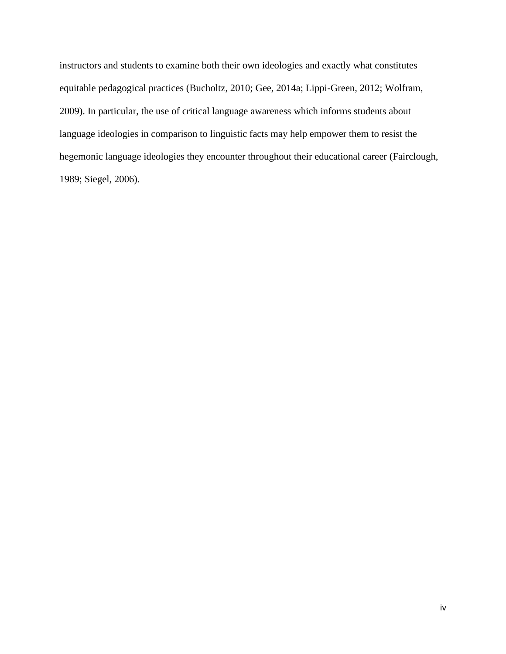instructors and students to examine both their own ideologies and exactly what constitutes equitable pedagogical practices (Bucholtz, 2010; Gee, 2014a; Lippi-Green, 2012; Wolfram, 2009). In particular, the use of critical language awareness which informs students about language ideologies in comparison to linguistic facts may help empower them to resist the hegemonic language ideologies they encounter throughout their educational career (Fairclough, 1989; Siegel, 2006).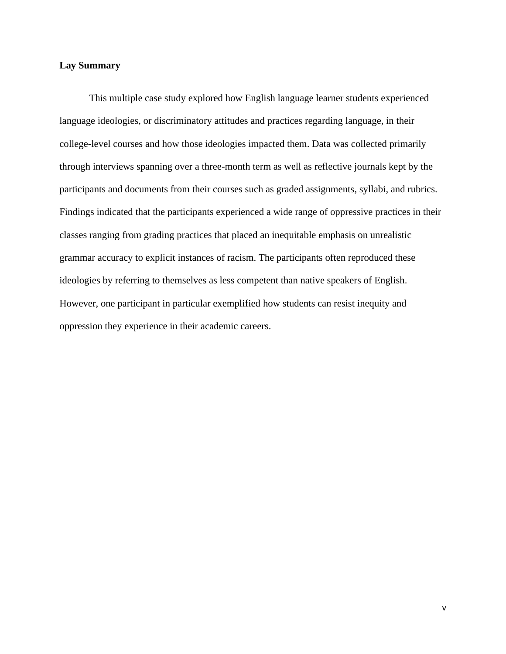### **Lay Summary**

This multiple case study explored how English language learner students experienced language ideologies, or discriminatory attitudes and practices regarding language, in their college-level courses and how those ideologies impacted them. Data was collected primarily through interviews spanning over a three-month term as well as reflective journals kept by the participants and documents from their courses such as graded assignments, syllabi, and rubrics. Findings indicated that the participants experienced a wide range of oppressive practices in their classes ranging from grading practices that placed an inequitable emphasis on unrealistic grammar accuracy to explicit instances of racism. The participants often reproduced these ideologies by referring to themselves as less competent than native speakers of English. However, one participant in particular exemplified how students can resist inequity and oppression they experience in their academic careers.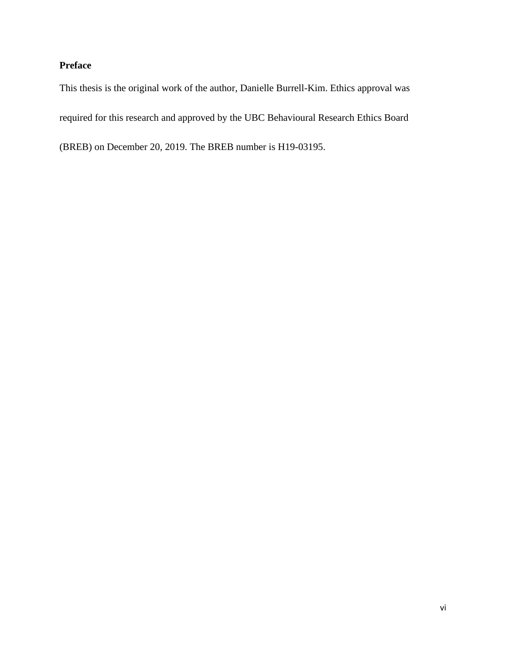### **Preface**

This thesis is the original work of the author, Danielle Burrell-Kim. Ethics approval was required for this research and approved by the UBC Behavioural Research Ethics Board (BREB) on December 20, 2019. The BREB number is H19-03195.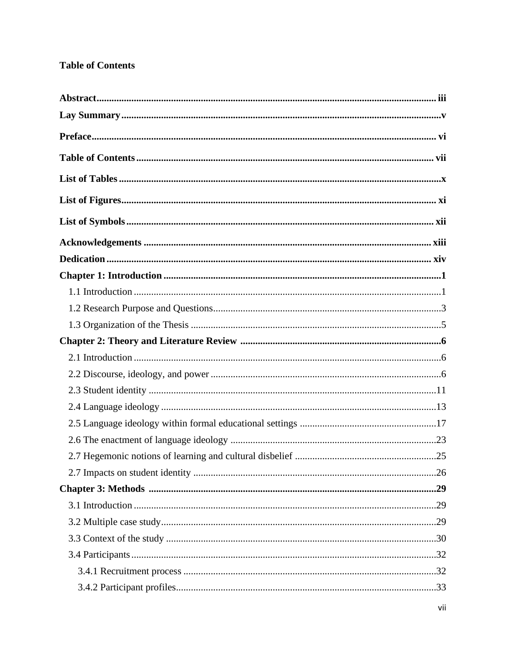## **Table of Contents**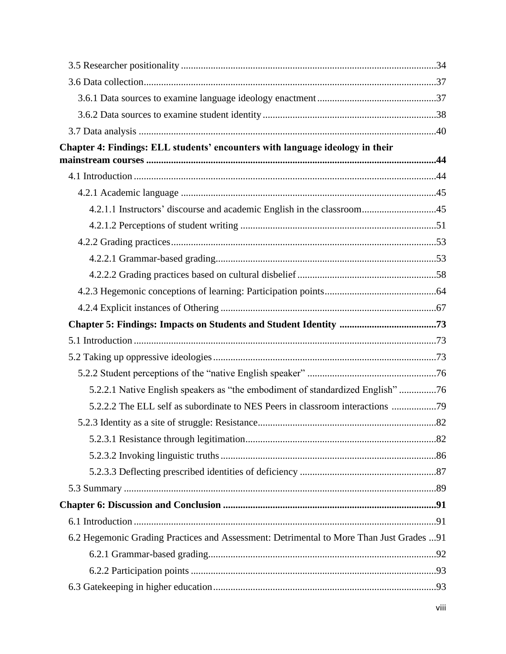| Chapter 4: Findings: ELL students' encounters with language ideology in their            |  |
|------------------------------------------------------------------------------------------|--|
|                                                                                          |  |
|                                                                                          |  |
|                                                                                          |  |
| 4.2.1.1 Instructors' discourse and academic English in the classroom45                   |  |
|                                                                                          |  |
|                                                                                          |  |
|                                                                                          |  |
|                                                                                          |  |
|                                                                                          |  |
|                                                                                          |  |
|                                                                                          |  |
|                                                                                          |  |
|                                                                                          |  |
|                                                                                          |  |
| 5.2.2.1 Native English speakers as "the embodiment of standardized English" 76           |  |
| 5.2.2.2 The ELL self as subordinate to NES Peers in classroom interactions 79            |  |
|                                                                                          |  |
|                                                                                          |  |
|                                                                                          |  |
|                                                                                          |  |
|                                                                                          |  |
|                                                                                          |  |
|                                                                                          |  |
| 6.2 Hegemonic Grading Practices and Assessment: Detrimental to More Than Just Grades  91 |  |
|                                                                                          |  |
|                                                                                          |  |
|                                                                                          |  |
|                                                                                          |  |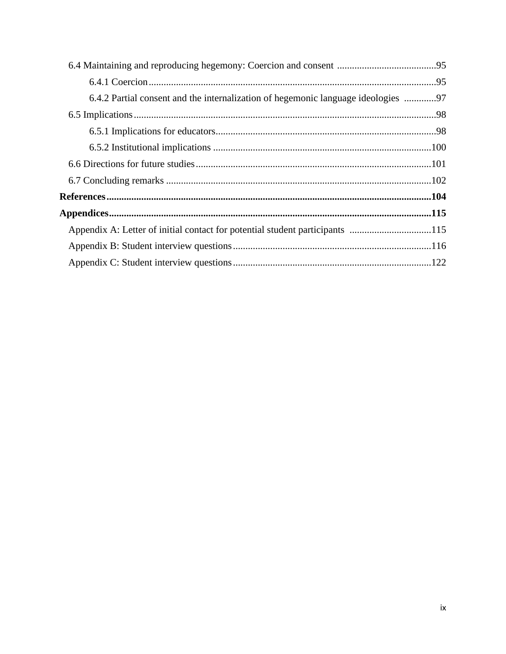| 6.4.2 Partial consent and the internalization of hegemonic language ideologies 97 |  |
|-----------------------------------------------------------------------------------|--|
|                                                                                   |  |
|                                                                                   |  |
|                                                                                   |  |
|                                                                                   |  |
|                                                                                   |  |
|                                                                                   |  |
|                                                                                   |  |
| Appendix A: Letter of initial contact for potential student participants 115      |  |
|                                                                                   |  |
|                                                                                   |  |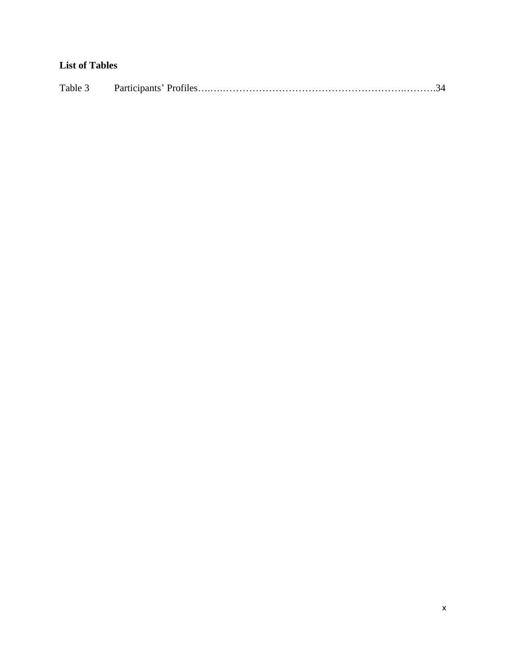## **List of Tables**

| Table 3 |  |  |
|---------|--|--|
|---------|--|--|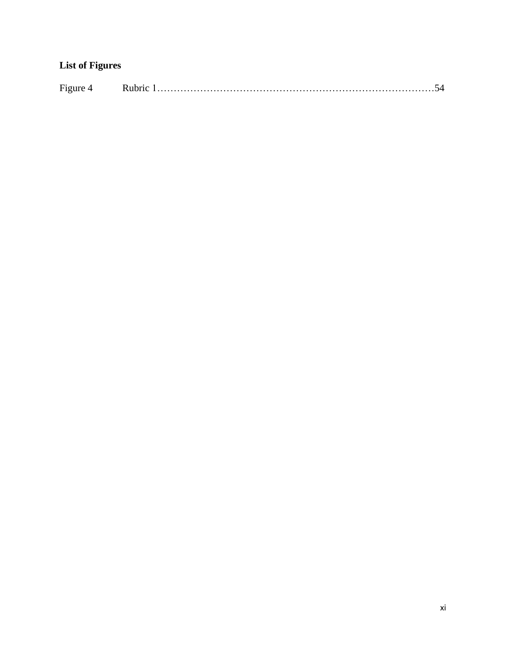# **List of Figures**

| $\overline{\phantom{a}}$ |  |  |
|--------------------------|--|--|
|--------------------------|--|--|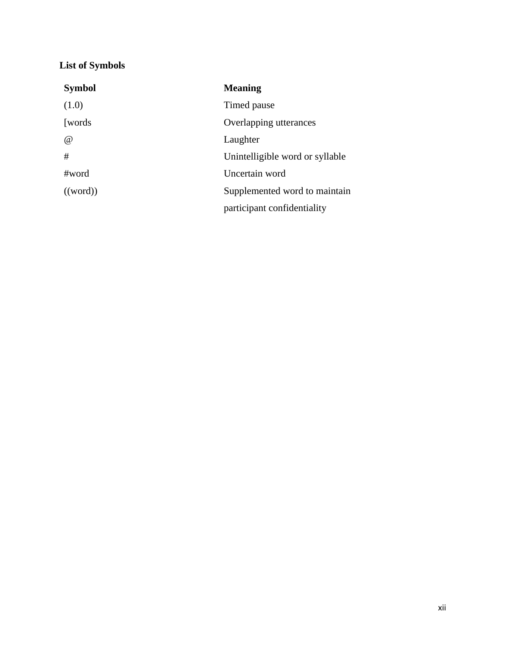# **List of Symbols**

| <b>Symbol</b> | <b>Meaning</b>                  |
|---------------|---------------------------------|
| (1.0)         | Timed pause                     |
| [words]       | Overlapping utterances          |
| $\omega$      | Laughter                        |
| #             | Unintelligible word or syllable |
| $\#word$      | Uncertain word                  |
| ((word))      | Supplemented word to maintain   |
|               | participant confidentiality     |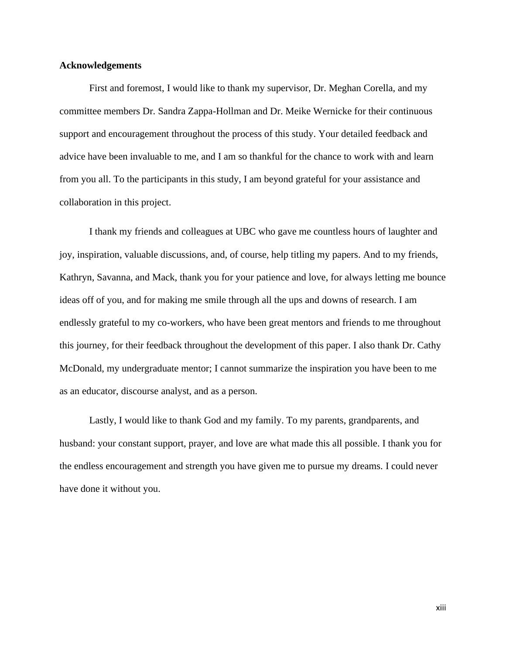### **Acknowledgements**

First and foremost, I would like to thank my supervisor, Dr. Meghan Corella, and my committee members Dr. Sandra Zappa-Hollman and Dr. Meike Wernicke for their continuous support and encouragement throughout the process of this study. Your detailed feedback and advice have been invaluable to me, and I am so thankful for the chance to work with and learn from you all. To the participants in this study, I am beyond grateful for your assistance and collaboration in this project.

I thank my friends and colleagues at UBC who gave me countless hours of laughter and joy, inspiration, valuable discussions, and, of course, help titling my papers. And to my friends, Kathryn, Savanna, and Mack, thank you for your patience and love, for always letting me bounce ideas off of you, and for making me smile through all the ups and downs of research. I am endlessly grateful to my co-workers, who have been great mentors and friends to me throughout this journey, for their feedback throughout the development of this paper. I also thank Dr. Cathy McDonald, my undergraduate mentor; I cannot summarize the inspiration you have been to me as an educator, discourse analyst, and as a person.

Lastly, I would like to thank God and my family. To my parents, grandparents, and husband: your constant support, prayer, and love are what made this all possible. I thank you for the endless encouragement and strength you have given me to pursue my dreams. I could never have done it without you.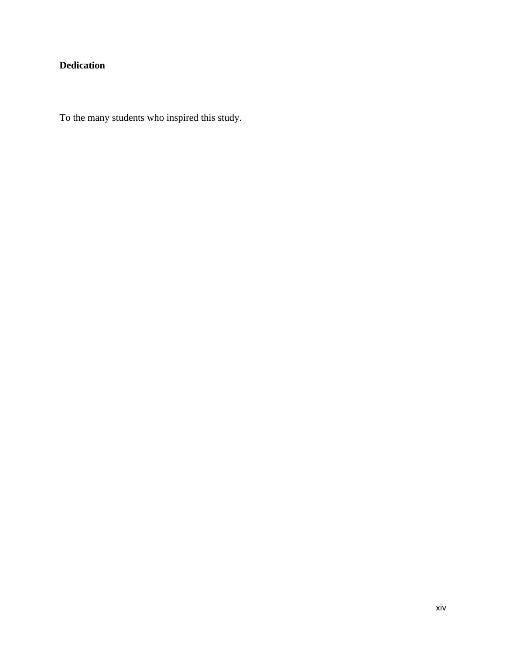# **Dedication**

To the many students who inspired this study.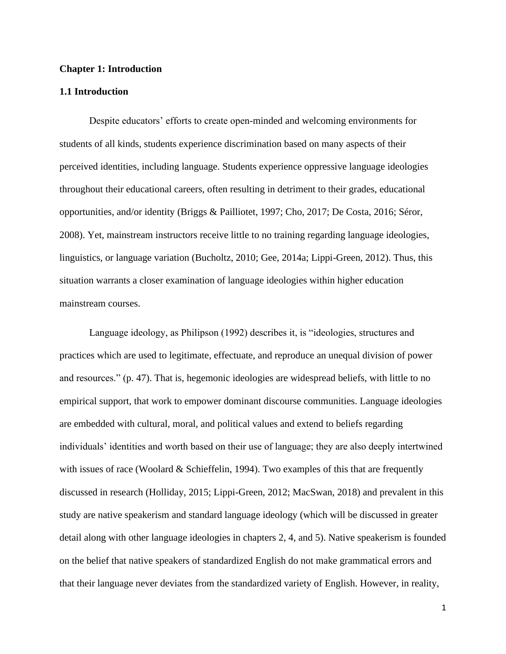#### **Chapter 1: Introduction**

#### **1.1 Introduction**

Despite educators' efforts to create open-minded and welcoming environments for students of all kinds, students experience discrimination based on many aspects of their perceived identities, including language. Students experience oppressive language ideologies throughout their educational careers, often resulting in detriment to their grades, educational opportunities, and/or identity (Briggs & Pailliotet, 1997; Cho, 2017; De Costa, 2016; Séror, 2008). Yet, mainstream instructors receive little to no training regarding language ideologies, linguistics, or language variation (Bucholtz, 2010; Gee, 2014a; Lippi-Green, 2012). Thus, this situation warrants a closer examination of language ideologies within higher education mainstream courses.

Language ideology, as Philipson (1992) describes it, is "ideologies, structures and practices which are used to legitimate, effectuate, and reproduce an unequal division of power and resources." (p. 47). That is, hegemonic ideologies are widespread beliefs, with little to no empirical support, that work to empower dominant discourse communities. Language ideologies are embedded with cultural, moral, and political values and extend to beliefs regarding individuals' identities and worth based on their use of language; they are also deeply intertwined with issues of race (Woolard & Schieffelin, 1994). Two examples of this that are frequently discussed in research (Holliday, 2015; Lippi-Green, 2012; MacSwan, 2018) and prevalent in this study are native speakerism and standard language ideology (which will be discussed in greater detail along with other language ideologies in chapters 2, 4, and 5). Native speakerism is founded on the belief that native speakers of standardized English do not make grammatical errors and that their language never deviates from the standardized variety of English. However, in reality,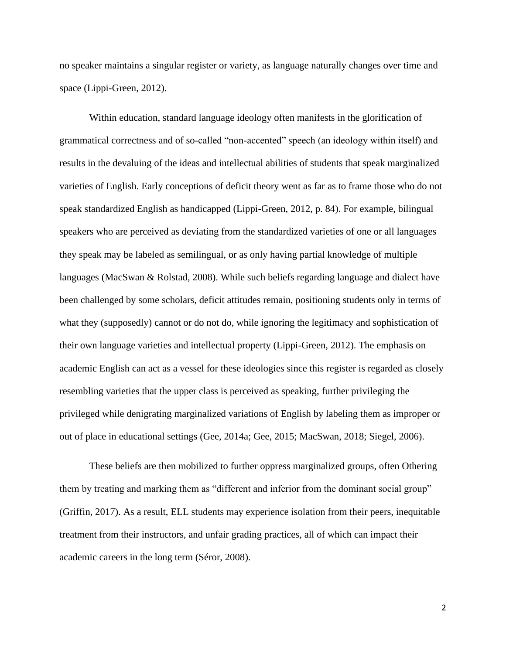no speaker maintains a singular register or variety, as language naturally changes over time and space (Lippi-Green, 2012).

Within education, standard language ideology often manifests in the glorification of grammatical correctness and of so-called "non-accented" speech (an ideology within itself) and results in the devaluing of the ideas and intellectual abilities of students that speak marginalized varieties of English. Early conceptions of deficit theory went as far as to frame those who do not speak standardized English as handicapped (Lippi-Green, 2012, p. 84). For example, bilingual speakers who are perceived as deviating from the standardized varieties of one or all languages they speak may be labeled as semilingual, or as only having partial knowledge of multiple languages (MacSwan & Rolstad, 2008). While such beliefs regarding language and dialect have been challenged by some scholars, deficit attitudes remain, positioning students only in terms of what they (supposedly) cannot or do not do, while ignoring the legitimacy and sophistication of their own language varieties and intellectual property (Lippi-Green, 2012). The emphasis on academic English can act as a vessel for these ideologies since this register is regarded as closely resembling varieties that the upper class is perceived as speaking, further privileging the privileged while denigrating marginalized variations of English by labeling them as improper or out of place in educational settings (Gee, 2014a; Gee, 2015; MacSwan, 2018; Siegel, 2006).

These beliefs are then mobilized to further oppress marginalized groups, often Othering them by treating and marking them as "different and inferior from the dominant social group" (Griffin, 2017). As a result, ELL students may experience isolation from their peers, inequitable treatment from their instructors, and unfair grading practices, all of which can impact their academic careers in the long term (Séror, 2008).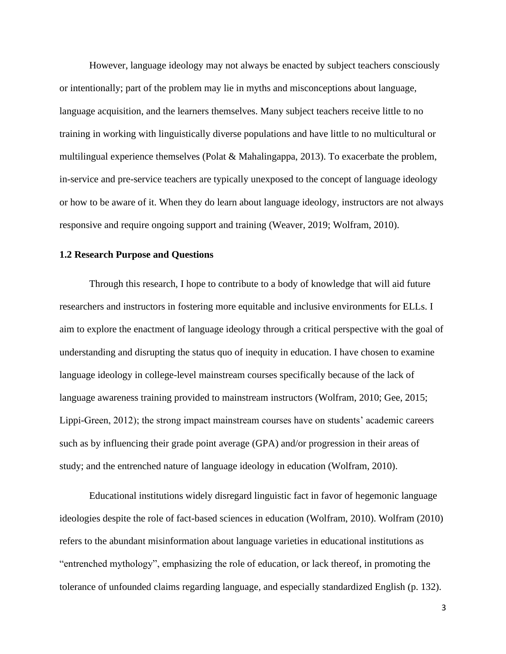However, language ideology may not always be enacted by subject teachers consciously or intentionally; part of the problem may lie in myths and misconceptions about language, language acquisition, and the learners themselves. Many subject teachers receive little to no training in working with linguistically diverse populations and have little to no multicultural or multilingual experience themselves (Polat & Mahalingappa, 2013). To exacerbate the problem, in-service and pre-service teachers are typically unexposed to the concept of language ideology or how to be aware of it. When they do learn about language ideology, instructors are not always responsive and require ongoing support and training (Weaver, 2019; Wolfram, 2010).

### **1.2 Research Purpose and Questions**

Through this research, I hope to contribute to a body of knowledge that will aid future researchers and instructors in fostering more equitable and inclusive environments for ELLs. I aim to explore the enactment of language ideology through a critical perspective with the goal of understanding and disrupting the status quo of inequity in education. I have chosen to examine language ideology in college-level mainstream courses specifically because of the lack of language awareness training provided to mainstream instructors (Wolfram, 2010; Gee, 2015; Lippi-Green, 2012); the strong impact mainstream courses have on students' academic careers such as by influencing their grade point average (GPA) and/or progression in their areas of study; and the entrenched nature of language ideology in education (Wolfram, 2010).

Educational institutions widely disregard linguistic fact in favor of hegemonic language ideologies despite the role of fact-based sciences in education (Wolfram, 2010). Wolfram (2010) refers to the abundant misinformation about language varieties in educational institutions as "entrenched mythology", emphasizing the role of education, or lack thereof, in promoting the tolerance of unfounded claims regarding language, and especially standardized English (p. 132).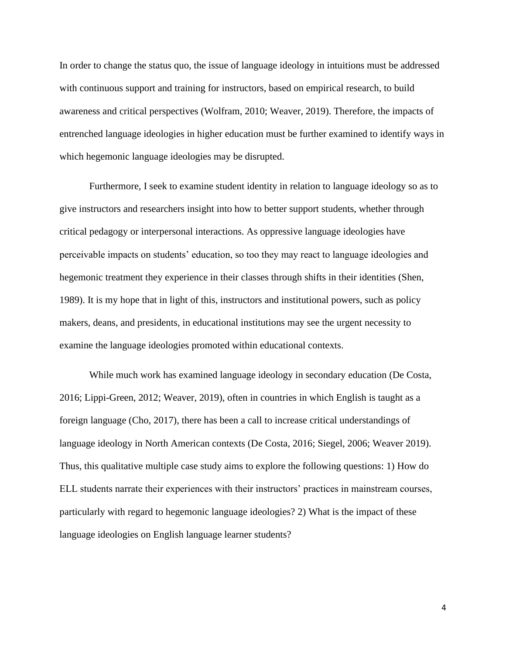In order to change the status quo, the issue of language ideology in intuitions must be addressed with continuous support and training for instructors, based on empirical research, to build awareness and critical perspectives (Wolfram, 2010; Weaver, 2019). Therefore, the impacts of entrenched language ideologies in higher education must be further examined to identify ways in which hegemonic language ideologies may be disrupted.

Furthermore, I seek to examine student identity in relation to language ideology so as to give instructors and researchers insight into how to better support students, whether through critical pedagogy or interpersonal interactions. As oppressive language ideologies have perceivable impacts on students' education, so too they may react to language ideologies and hegemonic treatment they experience in their classes through shifts in their identities (Shen, 1989). It is my hope that in light of this, instructors and institutional powers, such as policy makers, deans, and presidents, in educational institutions may see the urgent necessity to examine the language ideologies promoted within educational contexts.

While much work has examined language ideology in secondary education (De Costa, 2016; Lippi-Green, 2012; Weaver, 2019), often in countries in which English is taught as a foreign language (Cho, 2017), there has been a call to increase critical understandings of language ideology in North American contexts (De Costa, 2016; Siegel, 2006; Weaver 2019). Thus, this qualitative multiple case study aims to explore the following questions: 1) How do ELL students narrate their experiences with their instructors' practices in mainstream courses, particularly with regard to hegemonic language ideologies? 2) What is the impact of these language ideologies on English language learner students?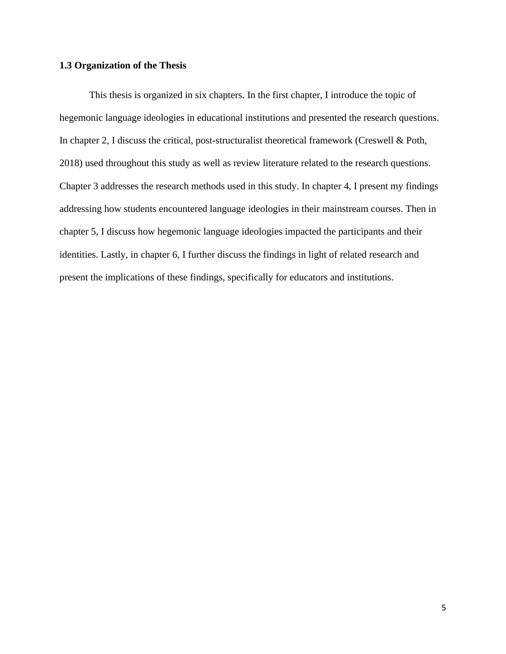### **1.3 Organization of the Thesis**

This thesis is organized in six chapters. In the first chapter, I introduce the topic of hegemonic language ideologies in educational institutions and presented the research questions. In chapter 2, I discuss the critical, post-structuralist theoretical framework (Creswell & Poth, 2018) used throughout this study as well as review literature related to the research questions. Chapter 3 addresses the research methods used in this study. In chapter 4, I present my findings addressing how students encountered language ideologies in their mainstream courses. Then in chapter 5, I discuss how hegemonic language ideologies impacted the participants and their identities. Lastly, in chapter 6, I further discuss the findings in light of related research and present the implications of these findings, specifically for educators and institutions.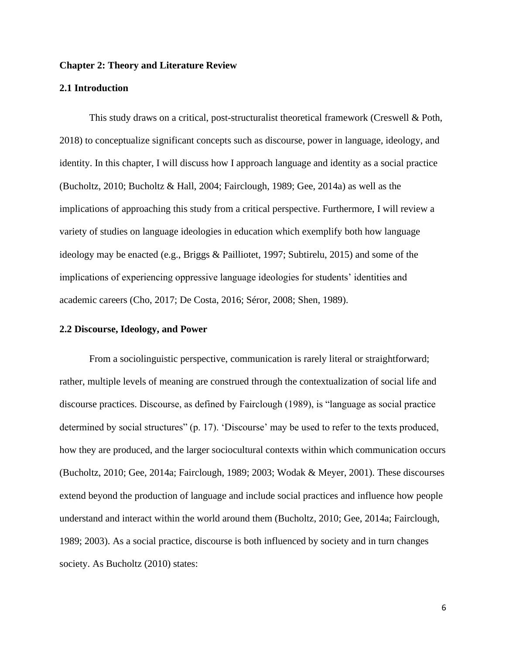### **Chapter 2: Theory and Literature Review**

### **2.1 Introduction**

This study draws on a critical, post-structuralist theoretical framework (Creswell & Poth, 2018) to conceptualize significant concepts such as discourse, power in language, ideology, and identity. In this chapter, I will discuss how I approach language and identity as a social practice (Bucholtz, 2010; Bucholtz & Hall, 2004; Fairclough, 1989; Gee, 2014a) as well as the implications of approaching this study from a critical perspective. Furthermore, I will review a variety of studies on language ideologies in education which exemplify both how language ideology may be enacted (e.g., Briggs & Pailliotet, 1997; Subtirelu, 2015) and some of the implications of experiencing oppressive language ideologies for students' identities and academic careers (Cho, 2017; De Costa, 2016; Séror, 2008; Shen, 1989).

#### **2.2 Discourse, Ideology, and Power**

From a sociolinguistic perspective, communication is rarely literal or straightforward; rather, multiple levels of meaning are construed through the contextualization of social life and discourse practices. Discourse, as defined by Fairclough (1989), is "language as social practice determined by social structures" (p. 17). 'Discourse' may be used to refer to the texts produced, how they are produced, and the larger sociocultural contexts within which communication occurs (Bucholtz, 2010; Gee, 2014a; Fairclough, 1989; 2003; Wodak & Meyer, 2001). These discourses extend beyond the production of language and include social practices and influence how people understand and interact within the world around them (Bucholtz, 2010; Gee, 2014a; Fairclough, 1989; 2003). As a social practice, discourse is both influenced by society and in turn changes society. As Bucholtz (2010) states: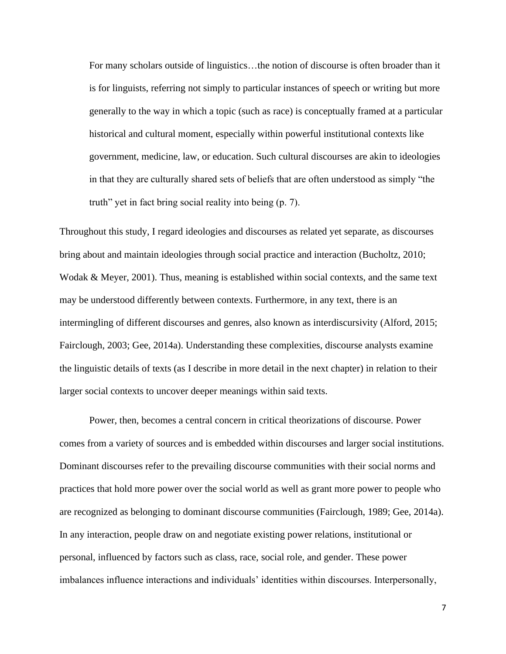For many scholars outside of linguistics…the notion of discourse is often broader than it is for linguists, referring not simply to particular instances of speech or writing but more generally to the way in which a topic (such as race) is conceptually framed at a particular historical and cultural moment, especially within powerful institutional contexts like government, medicine, law, or education. Such cultural discourses are akin to ideologies in that they are culturally shared sets of beliefs that are often understood as simply "the truth" yet in fact bring social reality into being (p. 7).

Throughout this study, I regard ideologies and discourses as related yet separate, as discourses bring about and maintain ideologies through social practice and interaction (Bucholtz, 2010; Wodak & Meyer, 2001). Thus, meaning is established within social contexts, and the same text may be understood differently between contexts. Furthermore, in any text, there is an intermingling of different discourses and genres, also known as interdiscursivity (Alford, 2015; Fairclough, 2003; Gee, 2014a). Understanding these complexities, discourse analysts examine the linguistic details of texts (as I describe in more detail in the next chapter) in relation to their larger social contexts to uncover deeper meanings within said texts.

Power, then, becomes a central concern in critical theorizations of discourse. Power comes from a variety of sources and is embedded within discourses and larger social institutions. Dominant discourses refer to the prevailing discourse communities with their social norms and practices that hold more power over the social world as well as grant more power to people who are recognized as belonging to dominant discourse communities (Fairclough, 1989; Gee, 2014a). In any interaction, people draw on and negotiate existing power relations, institutional or personal, influenced by factors such as class, race, social role, and gender. These power imbalances influence interactions and individuals' identities within discourses. Interpersonally,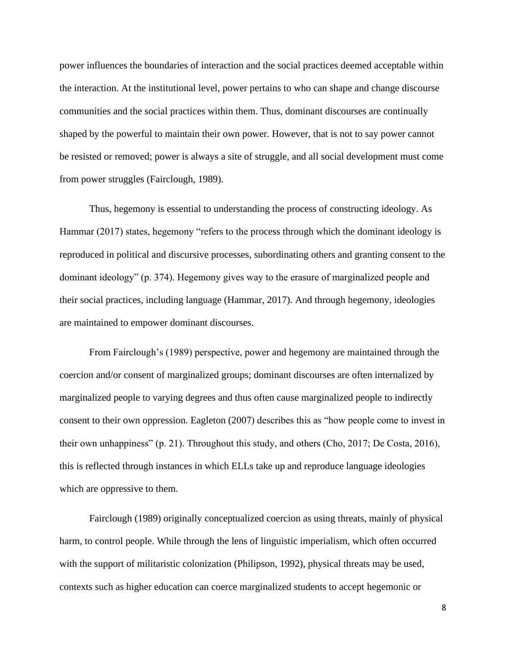power influences the boundaries of interaction and the social practices deemed acceptable within the interaction. At the institutional level, power pertains to who can shape and change discourse communities and the social practices within them. Thus, dominant discourses are continually shaped by the powerful to maintain their own power. However, that is not to say power cannot be resisted or removed; power is always a site of struggle, and all social development must come from power struggles (Fairclough, 1989).

Thus, hegemony is essential to understanding the process of constructing ideology. As Hammar (2017) states, hegemony "refers to the process through which the dominant ideology is reproduced in political and discursive processes, subordinating others and granting consent to the dominant ideology" (p. 374). Hegemony gives way to the erasure of marginalized people and their social practices, including language (Hammar, 2017). And through hegemony, ideologies are maintained to empower dominant discourses.

From Fairclough's (1989) perspective, power and hegemony are maintained through the coercion and/or consent of marginalized groups; dominant discourses are often internalized by marginalized people to varying degrees and thus often cause marginalized people to indirectly consent to their own oppression. Eagleton (2007) describes this as "how people come to invest in their own unhappiness" (p. 21). Throughout this study, and others (Cho, 2017; De Costa, 2016), this is reflected through instances in which ELLs take up and reproduce language ideologies which are oppressive to them.

Fairclough (1989) originally conceptualized coercion as using threats, mainly of physical harm, to control people. While through the lens of linguistic imperialism, which often occurred with the support of militaristic colonization (Philipson, 1992), physical threats may be used, contexts such as higher education can coerce marginalized students to accept hegemonic or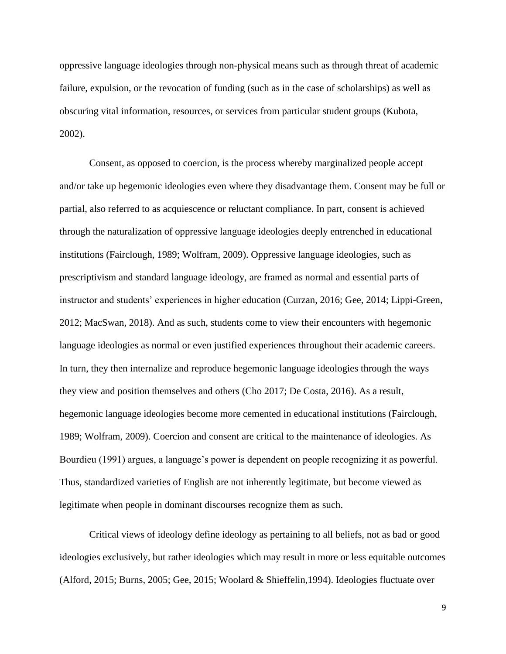oppressive language ideologies through non-physical means such as through threat of academic failure, expulsion, or the revocation of funding (such as in the case of scholarships) as well as obscuring vital information, resources, or services from particular student groups (Kubota, 2002).

Consent, as opposed to coercion, is the process whereby marginalized people accept and/or take up hegemonic ideologies even where they disadvantage them. Consent may be full or partial, also referred to as acquiescence or reluctant compliance. In part, consent is achieved through the naturalization of oppressive language ideologies deeply entrenched in educational institutions (Fairclough, 1989; Wolfram, 2009). Oppressive language ideologies, such as prescriptivism and standard language ideology, are framed as normal and essential parts of instructor and students' experiences in higher education (Curzan, 2016; Gee, 2014; Lippi-Green, 2012; MacSwan, 2018). And as such, students come to view their encounters with hegemonic language ideologies as normal or even justified experiences throughout their academic careers. In turn, they then internalize and reproduce hegemonic language ideologies through the ways they view and position themselves and others (Cho 2017; De Costa, 2016). As a result, hegemonic language ideologies become more cemented in educational institutions (Fairclough, 1989; Wolfram, 2009). Coercion and consent are critical to the maintenance of ideologies. As Bourdieu (1991) argues, a language's power is dependent on people recognizing it as powerful. Thus, standardized varieties of English are not inherently legitimate, but become viewed as legitimate when people in dominant discourses recognize them as such.

Critical views of ideology define ideology as pertaining to all beliefs, not as bad or good ideologies exclusively, but rather ideologies which may result in more or less equitable outcomes (Alford, 2015; Burns, 2005; Gee, 2015; Woolard & Shieffelin,1994). Ideologies fluctuate over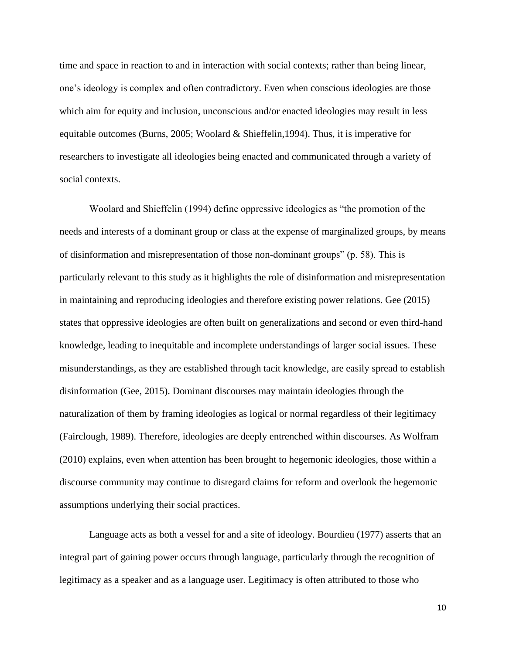time and space in reaction to and in interaction with social contexts; rather than being linear, one's ideology is complex and often contradictory. Even when conscious ideologies are those which aim for equity and inclusion, unconscious and/or enacted ideologies may result in less equitable outcomes (Burns, 2005; Woolard & Shieffelin,1994). Thus, it is imperative for researchers to investigate all ideologies being enacted and communicated through a variety of social contexts.

Woolard and Shieffelin (1994) define oppressive ideologies as "the promotion of the needs and interests of a dominant group or class at the expense of marginalized groups, by means of disinformation and misrepresentation of those non-dominant groups" (p. 58). This is particularly relevant to this study as it highlights the role of disinformation and misrepresentation in maintaining and reproducing ideologies and therefore existing power relations. Gee (2015) states that oppressive ideologies are often built on generalizations and second or even third-hand knowledge, leading to inequitable and incomplete understandings of larger social issues. These misunderstandings, as they are established through tacit knowledge, are easily spread to establish disinformation (Gee, 2015). Dominant discourses may maintain ideologies through the naturalization of them by framing ideologies as logical or normal regardless of their legitimacy (Fairclough, 1989). Therefore, ideologies are deeply entrenched within discourses. As Wolfram (2010) explains, even when attention has been brought to hegemonic ideologies, those within a discourse community may continue to disregard claims for reform and overlook the hegemonic assumptions underlying their social practices.

Language acts as both a vessel for and a site of ideology. Bourdieu (1977) asserts that an integral part of gaining power occurs through language, particularly through the recognition of legitimacy as a speaker and as a language user. Legitimacy is often attributed to those who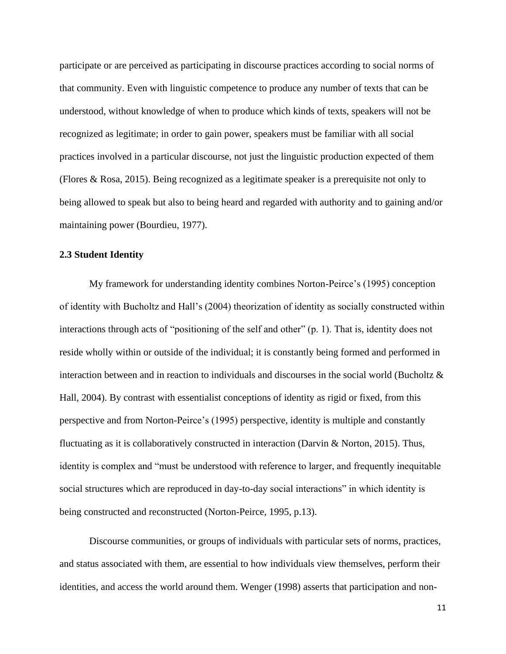participate or are perceived as participating in discourse practices according to social norms of that community. Even with linguistic competence to produce any number of texts that can be understood, without knowledge of when to produce which kinds of texts, speakers will not be recognized as legitimate; in order to gain power, speakers must be familiar with all social practices involved in a particular discourse, not just the linguistic production expected of them (Flores & Rosa, 2015). Being recognized as a legitimate speaker is a prerequisite not only to being allowed to speak but also to being heard and regarded with authority and to gaining and/or maintaining power (Bourdieu, 1977).

#### **2.3 Student Identity**

My framework for understanding identity combines Norton-Peirce's (1995) conception of identity with Bucholtz and Hall's (2004) theorization of identity as socially constructed within interactions through acts of "positioning of the self and other" (p. 1). That is, identity does not reside wholly within or outside of the individual; it is constantly being formed and performed in interaction between and in reaction to individuals and discourses in the social world (Bucholtz & Hall, 2004). By contrast with essentialist conceptions of identity as rigid or fixed, from this perspective and from Norton-Peirce's (1995) perspective, identity is multiple and constantly fluctuating as it is collaboratively constructed in interaction (Darvin & Norton, 2015). Thus, identity is complex and "must be understood with reference to larger, and frequently inequitable social structures which are reproduced in day-to-day social interactions" in which identity is being constructed and reconstructed (Norton-Peirce, 1995, p.13).

Discourse communities, or groups of individuals with particular sets of norms, practices, and status associated with them, are essential to how individuals view themselves, perform their identities, and access the world around them. Wenger (1998) asserts that participation and non-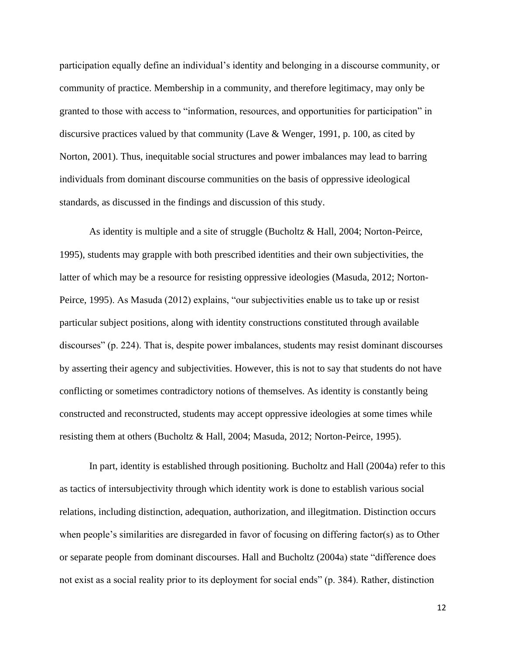participation equally define an individual's identity and belonging in a discourse community, or community of practice. Membership in a community, and therefore legitimacy, may only be granted to those with access to "information, resources, and opportunities for participation" in discursive practices valued by that community (Lave & Wenger, 1991, p. 100, as cited by Norton, 2001). Thus, inequitable social structures and power imbalances may lead to barring individuals from dominant discourse communities on the basis of oppressive ideological standards, as discussed in the findings and discussion of this study.

As identity is multiple and a site of struggle (Bucholtz & Hall, 2004; Norton-Peirce, 1995), students may grapple with both prescribed identities and their own subjectivities, the latter of which may be a resource for resisting oppressive ideologies (Masuda, 2012; Norton-Peirce, 1995). As Masuda (2012) explains, "our subjectivities enable us to take up or resist particular subject positions, along with identity constructions constituted through available discourses" (p. 224). That is, despite power imbalances, students may resist dominant discourses by asserting their agency and subjectivities. However, this is not to say that students do not have conflicting or sometimes contradictory notions of themselves. As identity is constantly being constructed and reconstructed, students may accept oppressive ideologies at some times while resisting them at others (Bucholtz & Hall, 2004; Masuda, 2012; Norton-Peirce, 1995).

In part, identity is established through positioning. Bucholtz and Hall (2004a) refer to this as tactics of intersubjectivity through which identity work is done to establish various social relations, including distinction, adequation, authorization, and illegitmation. Distinction occurs when people's similarities are disregarded in favor of focusing on differing factor(s) as to Other or separate people from dominant discourses. Hall and Bucholtz (2004a) state "difference does not exist as a social reality prior to its deployment for social ends" (p. 384). Rather, distinction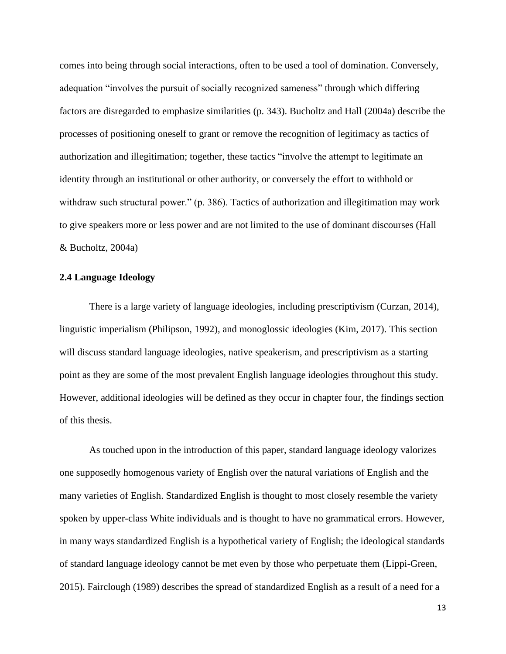comes into being through social interactions, often to be used a tool of domination. Conversely, adequation "involves the pursuit of socially recognized sameness" through which differing factors are disregarded to emphasize similarities (p. 343). Bucholtz and Hall (2004a) describe the processes of positioning oneself to grant or remove the recognition of legitimacy as tactics of authorization and illegitimation; together, these tactics "involve the attempt to legitimate an identity through an institutional or other authority, or conversely the effort to withhold or withdraw such structural power." (p. 386). Tactics of authorization and illegitimation may work to give speakers more or less power and are not limited to the use of dominant discourses (Hall & Bucholtz, 2004a)

### **2.4 Language Ideology**

There is a large variety of language ideologies, including prescriptivism (Curzan, 2014), linguistic imperialism (Philipson, 1992), and monoglossic ideologies (Kim, 2017). This section will discuss standard language ideologies, native speakerism, and prescriptivism as a starting point as they are some of the most prevalent English language ideologies throughout this study. However, additional ideologies will be defined as they occur in chapter four, the findings section of this thesis.

As touched upon in the introduction of this paper, standard language ideology valorizes one supposedly homogenous variety of English over the natural variations of English and the many varieties of English. Standardized English is thought to most closely resemble the variety spoken by upper-class White individuals and is thought to have no grammatical errors. However, in many ways standardized English is a hypothetical variety of English; the ideological standards of standard language ideology cannot be met even by those who perpetuate them (Lippi-Green, 2015). Fairclough (1989) describes the spread of standardized English as a result of a need for a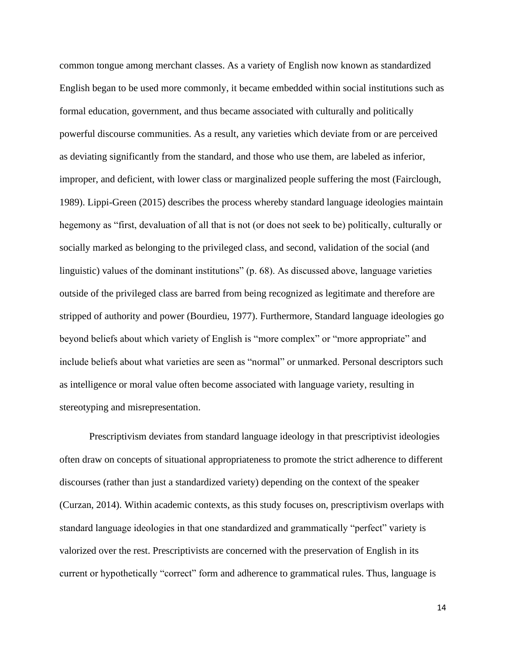common tongue among merchant classes. As a variety of English now known as standardized English began to be used more commonly, it became embedded within social institutions such as formal education, government, and thus became associated with culturally and politically powerful discourse communities. As a result, any varieties which deviate from or are perceived as deviating significantly from the standard, and those who use them, are labeled as inferior, improper, and deficient, with lower class or marginalized people suffering the most (Fairclough, 1989). Lippi-Green (2015) describes the process whereby standard language ideologies maintain hegemony as "first, devaluation of all that is not (or does not seek to be) politically, culturally or socially marked as belonging to the privileged class, and second, validation of the social (and linguistic) values of the dominant institutions" (p. 68). As discussed above, language varieties outside of the privileged class are barred from being recognized as legitimate and therefore are stripped of authority and power (Bourdieu, 1977). Furthermore, Standard language ideologies go beyond beliefs about which variety of English is "more complex" or "more appropriate" and include beliefs about what varieties are seen as "normal" or unmarked. Personal descriptors such as intelligence or moral value often become associated with language variety, resulting in stereotyping and misrepresentation.

Prescriptivism deviates from standard language ideology in that prescriptivist ideologies often draw on concepts of situational appropriateness to promote the strict adherence to different discourses (rather than just a standardized variety) depending on the context of the speaker (Curzan, 2014). Within academic contexts, as this study focuses on, prescriptivism overlaps with standard language ideologies in that one standardized and grammatically "perfect" variety is valorized over the rest. Prescriptivists are concerned with the preservation of English in its current or hypothetically "correct" form and adherence to grammatical rules. Thus, language is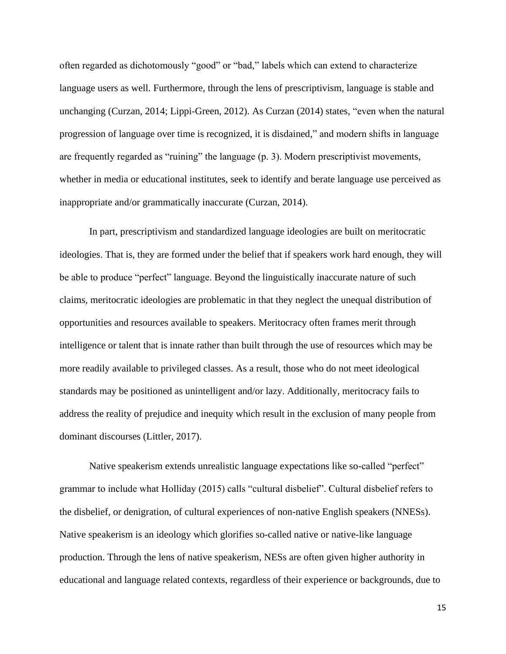often regarded as dichotomously "good" or "bad," labels which can extend to characterize language users as well. Furthermore, through the lens of prescriptivism, language is stable and unchanging (Curzan, 2014; Lippi-Green, 2012). As Curzan (2014) states, "even when the natural progression of language over time is recognized, it is disdained," and modern shifts in language are frequently regarded as "ruining" the language (p. 3). Modern prescriptivist movements, whether in media or educational institutes, seek to identify and berate language use perceived as inappropriate and/or grammatically inaccurate (Curzan, 2014).

In part, prescriptivism and standardized language ideologies are built on meritocratic ideologies. That is, they are formed under the belief that if speakers work hard enough, they will be able to produce "perfect" language. Beyond the linguistically inaccurate nature of such claims, meritocratic ideologies are problematic in that they neglect the unequal distribution of opportunities and resources available to speakers. Meritocracy often frames merit through intelligence or talent that is innate rather than built through the use of resources which may be more readily available to privileged classes. As a result, those who do not meet ideological standards may be positioned as unintelligent and/or lazy. Additionally, meritocracy fails to address the reality of prejudice and inequity which result in the exclusion of many people from dominant discourses (Littler, 2017).

Native speakerism extends unrealistic language expectations like so-called "perfect" grammar to include what Holliday (2015) calls "cultural disbelief". Cultural disbelief refers to the disbelief, or denigration, of cultural experiences of non-native English speakers (NNESs). Native speakerism is an ideology which glorifies so-called native or native-like language production. Through the lens of native speakerism, NESs are often given higher authority in educational and language related contexts, regardless of their experience or backgrounds, due to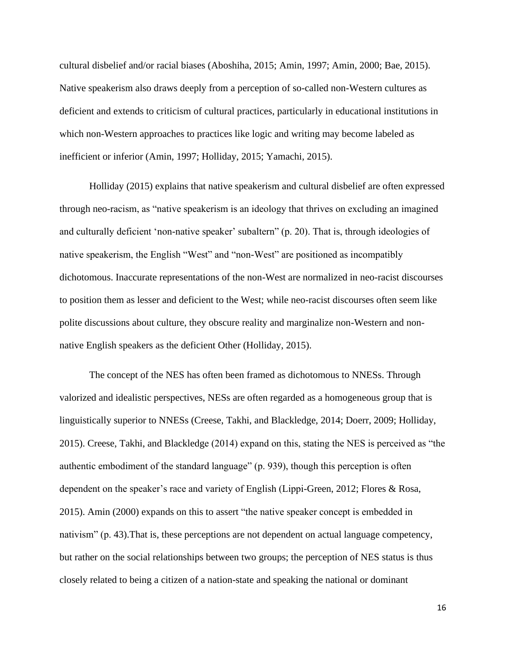cultural disbelief and/or racial biases (Aboshiha, 2015; Amin, 1997; Amin, 2000; Bae, 2015). Native speakerism also draws deeply from a perception of so-called non-Western cultures as deficient and extends to criticism of cultural practices, particularly in educational institutions in which non-Western approaches to practices like logic and writing may become labeled as inefficient or inferior (Amin, 1997; Holliday, 2015; Yamachi, 2015).

Holliday (2015) explains that native speakerism and cultural disbelief are often expressed through neo-racism, as "native speakerism is an ideology that thrives on excluding an imagined and culturally deficient 'non-native speaker' subaltern" (p. 20). That is, through ideologies of native speakerism, the English "West" and "non-West" are positioned as incompatibly dichotomous. Inaccurate representations of the non-West are normalized in neo-racist discourses to position them as lesser and deficient to the West; while neo-racist discourses often seem like polite discussions about culture, they obscure reality and marginalize non-Western and nonnative English speakers as the deficient Other (Holliday, 2015).

The concept of the NES has often been framed as dichotomous to NNESs. Through valorized and idealistic perspectives, NESs are often regarded as a homogeneous group that is linguistically superior to NNESs (Creese, Takhi, and Blackledge, 2014; Doerr, 2009; Holliday, 2015). Creese, Takhi, and Blackledge (2014) expand on this, stating the NES is perceived as "the authentic embodiment of the standard language" (p. 939), though this perception is often dependent on the speaker's race and variety of English (Lippi-Green, 2012; Flores & Rosa, 2015). Amin (2000) expands on this to assert "the native speaker concept is embedded in nativism" (p. 43).That is, these perceptions are not dependent on actual language competency, but rather on the social relationships between two groups; the perception of NES status is thus closely related to being a citizen of a nation-state and speaking the national or dominant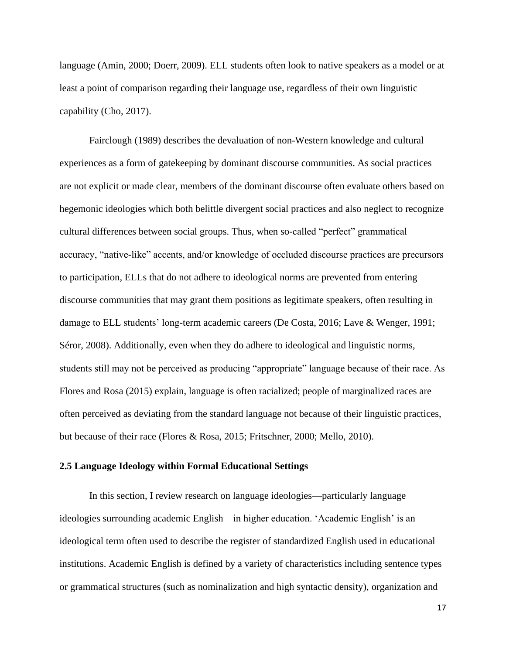language (Amin, 2000; Doerr, 2009). ELL students often look to native speakers as a model or at least a point of comparison regarding their language use, regardless of their own linguistic capability (Cho, 2017).

Fairclough (1989) describes the devaluation of non-Western knowledge and cultural experiences as a form of gatekeeping by dominant discourse communities. As social practices are not explicit or made clear, members of the dominant discourse often evaluate others based on hegemonic ideologies which both belittle divergent social practices and also neglect to recognize cultural differences between social groups. Thus, when so-called "perfect" grammatical accuracy, "native-like" accents, and/or knowledge of occluded discourse practices are precursors to participation, ELLs that do not adhere to ideological norms are prevented from entering discourse communities that may grant them positions as legitimate speakers, often resulting in damage to ELL students' long-term academic careers (De Costa, 2016; Lave & Wenger, 1991; Séror, 2008). Additionally, even when they do adhere to ideological and linguistic norms, students still may not be perceived as producing "appropriate" language because of their race. As Flores and Rosa (2015) explain, language is often racialized; people of marginalized races are often perceived as deviating from the standard language not because of their linguistic practices, but because of their race (Flores & Rosa, 2015; Fritschner, 2000; Mello, 2010).

### **2.5 Language Ideology within Formal Educational Settings**

In this section, I review research on language ideologies—particularly language ideologies surrounding academic English—in higher education. 'Academic English' is an ideological term often used to describe the register of standardized English used in educational institutions. Academic English is defined by a variety of characteristics including sentence types or grammatical structures (such as nominalization and high syntactic density), organization and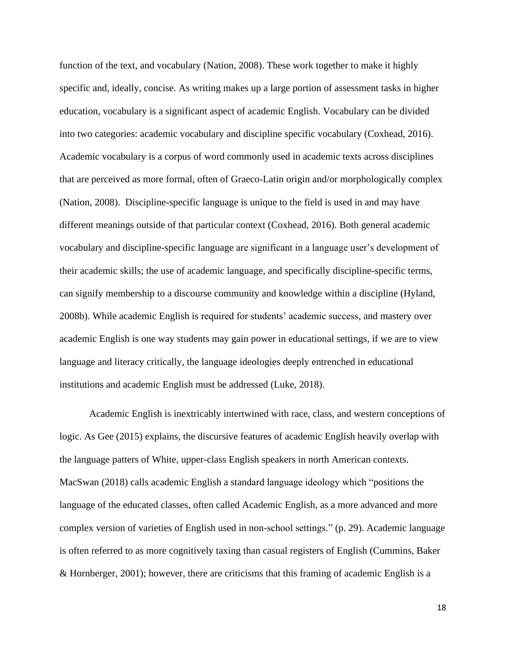function of the text, and vocabulary (Nation, 2008). These work together to make it highly specific and, ideally, concise. As writing makes up a large portion of assessment tasks in higher education, vocabulary is a significant aspect of academic English. Vocabulary can be divided into two categories: academic vocabulary and discipline specific vocabulary (Coxhead, 2016). Academic vocabulary is a corpus of word commonly used in academic texts across disciplines that are perceived as more formal, often of Graeco-Latin origin and/or morphologically complex (Nation, 2008). Discipline-specific language is unique to the field is used in and may have different meanings outside of that particular context (Coxhead, 2016). Both general academic vocabulary and discipline-specific language are significant in a language user's development of their academic skills; the use of academic language, and specifically discipline-specific terms, can signify membership to a discourse community and knowledge within a discipline (Hyland, 2008b). While academic English is required for students' academic success, and mastery over academic English is one way students may gain power in educational settings, if we are to view language and literacy critically, the language ideologies deeply entrenched in educational institutions and academic English must be addressed (Luke, 2018).

Academic English is inextricably intertwined with race, class, and western conceptions of logic. As Gee (2015) explains, the discursive features of academic English heavily overlap with the language patters of White, upper-class English speakers in north American contexts. MacSwan (2018) calls academic English a standard language ideology which "positions the language of the educated classes, often called Academic English, as a more advanced and more complex version of varieties of English used in non-school settings." (p. 29). Academic language is often referred to as more cognitively taxing than casual registers of English (Cummins, Baker & Hornberger, 2001); however, there are criticisms that this framing of academic English is a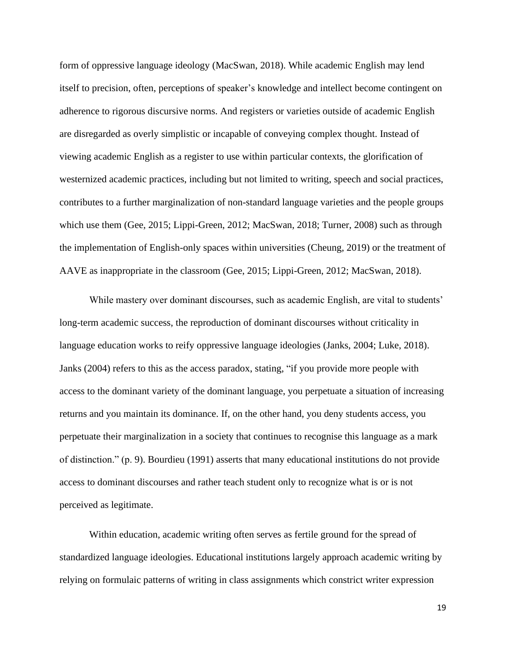form of oppressive language ideology (MacSwan, 2018). While academic English may lend itself to precision, often, perceptions of speaker's knowledge and intellect become contingent on adherence to rigorous discursive norms. And registers or varieties outside of academic English are disregarded as overly simplistic or incapable of conveying complex thought. Instead of viewing academic English as a register to use within particular contexts, the glorification of westernized academic practices, including but not limited to writing, speech and social practices, contributes to a further marginalization of non-standard language varieties and the people groups which use them (Gee, 2015; Lippi-Green, 2012; MacSwan, 2018; Turner, 2008) such as through the implementation of English-only spaces within universities (Cheung, 2019) or the treatment of AAVE as inappropriate in the classroom (Gee, 2015; Lippi-Green, 2012; MacSwan, 2018).

While mastery over dominant discourses, such as academic English, are vital to students' long-term academic success, the reproduction of dominant discourses without criticality in language education works to reify oppressive language ideologies (Janks, 2004; Luke, 2018). Janks (2004) refers to this as the access paradox, stating, "if you provide more people with access to the dominant variety of the dominant language, you perpetuate a situation of increasing returns and you maintain its dominance. If, on the other hand, you deny students access, you perpetuate their marginalization in a society that continues to recognise this language as a mark of distinction." (p. 9). Bourdieu (1991) asserts that many educational institutions do not provide access to dominant discourses and rather teach student only to recognize what is or is not perceived as legitimate.

Within education, academic writing often serves as fertile ground for the spread of standardized language ideologies. Educational institutions largely approach academic writing by relying on formulaic patterns of writing in class assignments which constrict writer expression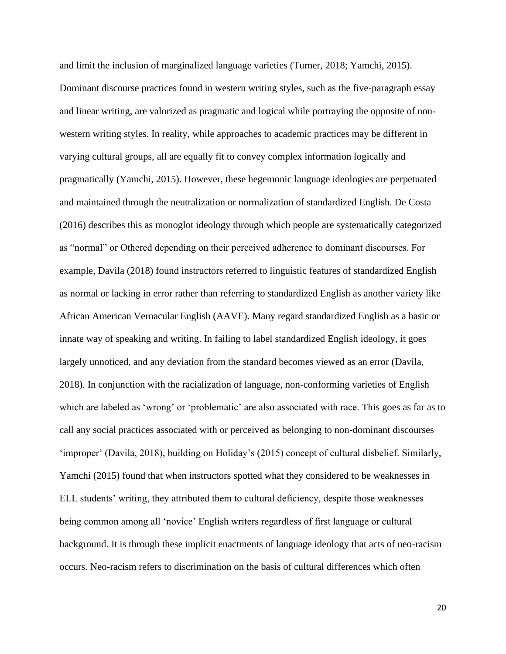and limit the inclusion of marginalized language varieties (Turner, 2018; Yamchi, 2015). Dominant discourse practices found in western writing styles, such as the five-paragraph essay and linear writing, are valorized as pragmatic and logical while portraying the opposite of nonwestern writing styles. In reality, while approaches to academic practices may be different in varying cultural groups, all are equally fit to convey complex information logically and pragmatically (Yamchi, 2015). However, these hegemonic language ideologies are perpetuated and maintained through the neutralization or normalization of standardized English. De Costa (2016) describes this as monoglot ideology through which people are systematically categorized as "normal" or Othered depending on their perceived adherence to dominant discourses. For example, Davila (2018) found instructors referred to linguistic features of standardized English as normal or lacking in error rather than referring to standardized English as another variety like African American Vernacular English (AAVE). Many regard standardized English as a basic or innate way of speaking and writing. In failing to label standardized English ideology, it goes largely unnoticed, and any deviation from the standard becomes viewed as an error (Davila, 2018). In conjunction with the racialization of language, non-conforming varieties of English which are labeled as 'wrong' or 'problematic' are also associated with race. This goes as far as to call any social practices associated with or perceived as belonging to non-dominant discourses 'improper' (Davila, 2018), building on Holiday's (2015) concept of cultural disbelief. Similarly, Yamchi (2015) found that when instructors spotted what they considered to be weaknesses in ELL students' writing, they attributed them to cultural deficiency, despite those weaknesses being common among all 'novice' English writers regardless of first language or cultural background. It is through these implicit enactments of language ideology that acts of neo-racism occurs. Neo-racism refers to discrimination on the basis of cultural differences which often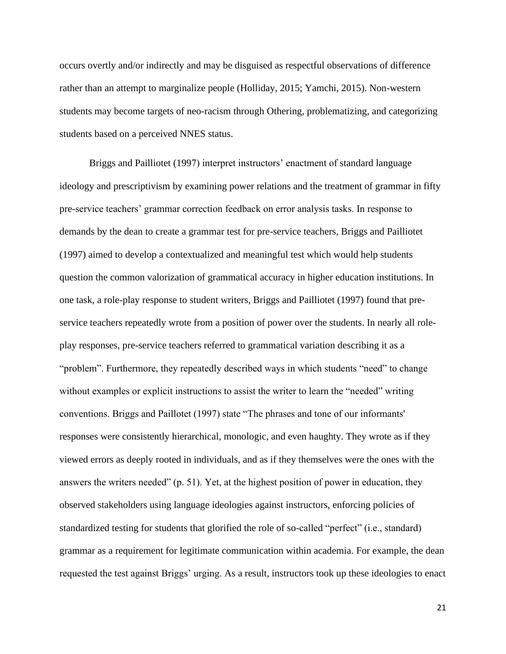occurs overtly and/or indirectly and may be disguised as respectful observations of difference rather than an attempt to marginalize people (Holliday, 2015; Yamchi, 2015). Non-western students may become targets of neo-racism through Othering, problematizing, and categorizing students based on a perceived NNES status.

Briggs and Pailliotet (1997) interpret instructors' enactment of standard language ideology and prescriptivism by examining power relations and the treatment of grammar in fifty pre-service teachers' grammar correction feedback on error analysis tasks. In response to demands by the dean to create a grammar test for pre-service teachers, Briggs and Pailliotet (1997) aimed to develop a contextualized and meaningful test which would help students question the common valorization of grammatical accuracy in higher education institutions. In one task, a role-play response to student writers, Briggs and Pailliotet (1997) found that preservice teachers repeatedly wrote from a position of power over the students. In nearly all roleplay responses, pre-service teachers referred to grammatical variation describing it as a "problem". Furthermore, they repeatedly described ways in which students "need" to change without examples or explicit instructions to assist the writer to learn the "needed" writing conventions. Briggs and Paillotet (1997) state "The phrases and tone of our informants' responses were consistently hierarchical, monologic, and even haughty. They wrote as if they viewed errors as deeply rooted in individuals, and as if they themselves were the ones with the answers the writers needed" (p. 51). Yet, at the highest position of power in education, they observed stakeholders using language ideologies against instructors, enforcing policies of standardized testing for students that glorified the role of so-called "perfect" (i.e., standard) grammar as a requirement for legitimate communication within academia. For example, the dean requested the test against Briggs' urging. As a result, instructors took up these ideologies to enact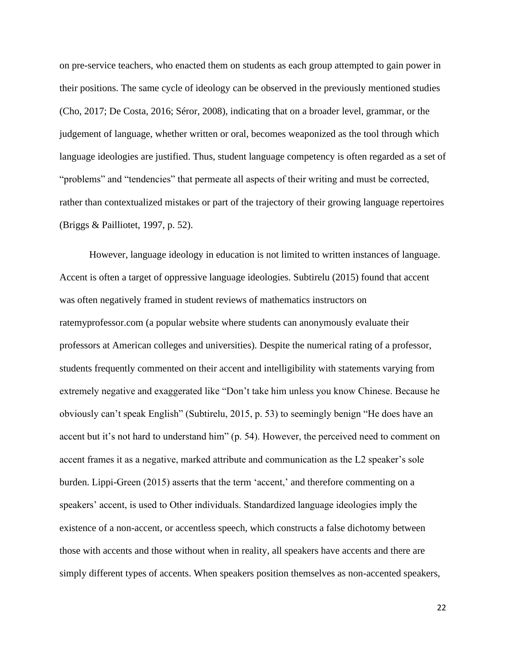on pre-service teachers, who enacted them on students as each group attempted to gain power in their positions. The same cycle of ideology can be observed in the previously mentioned studies (Cho, 2017; De Costa, 2016; Séror, 2008), indicating that on a broader level, grammar, or the judgement of language, whether written or oral, becomes weaponized as the tool through which language ideologies are justified. Thus, student language competency is often regarded as a set of "problems" and "tendencies" that permeate all aspects of their writing and must be corrected, rather than contextualized mistakes or part of the trajectory of their growing language repertoires (Briggs & Pailliotet, 1997, p. 52).

However, language ideology in education is not limited to written instances of language. Accent is often a target of oppressive language ideologies. Subtirelu (2015) found that accent was often negatively framed in student reviews of mathematics instructors on ratemyprofessor.com (a popular website where students can anonymously evaluate their professors at American colleges and universities). Despite the numerical rating of a professor, students frequently commented on their accent and intelligibility with statements varying from extremely negative and exaggerated like "Don't take him unless you know Chinese. Because he obviously can't speak English" (Subtirelu, 2015, p. 53) to seemingly benign "He does have an accent but it's not hard to understand him" (p. 54). However, the perceived need to comment on accent frames it as a negative, marked attribute and communication as the L2 speaker's sole burden. Lippi-Green (2015) asserts that the term 'accent,' and therefore commenting on a speakers' accent, is used to Other individuals. Standardized language ideologies imply the existence of a non-accent, or accentless speech, which constructs a false dichotomy between those with accents and those without when in reality, all speakers have accents and there are simply different types of accents. When speakers position themselves as non-accented speakers,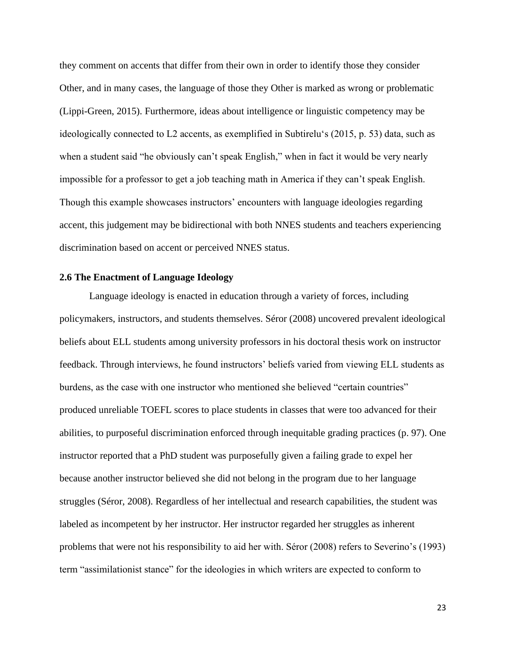they comment on accents that differ from their own in order to identify those they consider Other, and in many cases, the language of those they Other is marked as wrong or problematic (Lippi-Green, 2015). Furthermore, ideas about intelligence or linguistic competency may be ideologically connected to L2 accents, as exemplified in Subtirelu's (2015, p. 53) data, such as when a student said "he obviously can't speak English," when in fact it would be very nearly impossible for a professor to get a job teaching math in America if they can't speak English. Though this example showcases instructors' encounters with language ideologies regarding accent, this judgement may be bidirectional with both NNES students and teachers experiencing discrimination based on accent or perceived NNES status.

#### **2.6 The Enactment of Language Ideology**

Language ideology is enacted in education through a variety of forces, including policymakers, instructors, and students themselves. Séror (2008) uncovered prevalent ideological beliefs about ELL students among university professors in his doctoral thesis work on instructor feedback. Through interviews, he found instructors' beliefs varied from viewing ELL students as burdens, as the case with one instructor who mentioned she believed "certain countries" produced unreliable TOEFL scores to place students in classes that were too advanced for their abilities, to purposeful discrimination enforced through inequitable grading practices (p. 97). One instructor reported that a PhD student was purposefully given a failing grade to expel her because another instructor believed she did not belong in the program due to her language struggles (Séror, 2008). Regardless of her intellectual and research capabilities, the student was labeled as incompetent by her instructor. Her instructor regarded her struggles as inherent problems that were not his responsibility to aid her with. Séror (2008) refers to Severino's (1993) term "assimilationist stance" for the ideologies in which writers are expected to conform to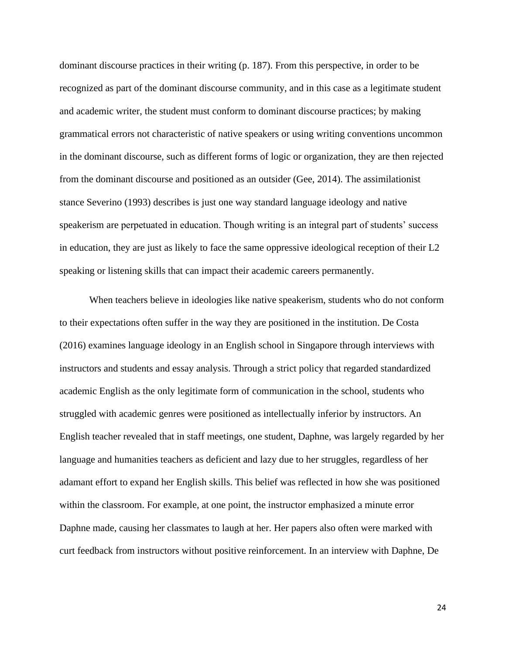dominant discourse practices in their writing (p. 187). From this perspective, in order to be recognized as part of the dominant discourse community, and in this case as a legitimate student and academic writer, the student must conform to dominant discourse practices; by making grammatical errors not characteristic of native speakers or using writing conventions uncommon in the dominant discourse, such as different forms of logic or organization, they are then rejected from the dominant discourse and positioned as an outsider (Gee, 2014). The assimilationist stance Severino (1993) describes is just one way standard language ideology and native speakerism are perpetuated in education. Though writing is an integral part of students' success in education, they are just as likely to face the same oppressive ideological reception of their L2 speaking or listening skills that can impact their academic careers permanently.

When teachers believe in ideologies like native speakerism, students who do not conform to their expectations often suffer in the way they are positioned in the institution. De Costa (2016) examines language ideology in an English school in Singapore through interviews with instructors and students and essay analysis. Through a strict policy that regarded standardized academic English as the only legitimate form of communication in the school, students who struggled with academic genres were positioned as intellectually inferior by instructors. An English teacher revealed that in staff meetings, one student, Daphne, was largely regarded by her language and humanities teachers as deficient and lazy due to her struggles, regardless of her adamant effort to expand her English skills. This belief was reflected in how she was positioned within the classroom. For example, at one point, the instructor emphasized a minute error Daphne made, causing her classmates to laugh at her. Her papers also often were marked with curt feedback from instructors without positive reinforcement. In an interview with Daphne, De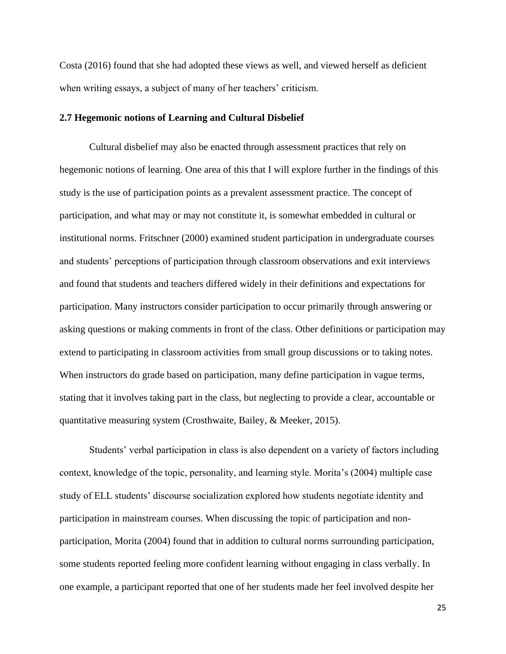Costa (2016) found that she had adopted these views as well, and viewed herself as deficient when writing essays, a subject of many of her teachers' criticism.

# **2.7 Hegemonic notions of Learning and Cultural Disbelief**

Cultural disbelief may also be enacted through assessment practices that rely on hegemonic notions of learning. One area of this that I will explore further in the findings of this study is the use of participation points as a prevalent assessment practice. The concept of participation, and what may or may not constitute it, is somewhat embedded in cultural or institutional norms. Fritschner (2000) examined student participation in undergraduate courses and students' perceptions of participation through classroom observations and exit interviews and found that students and teachers differed widely in their definitions and expectations for participation. Many instructors consider participation to occur primarily through answering or asking questions or making comments in front of the class. Other definitions or participation may extend to participating in classroom activities from small group discussions or to taking notes. When instructors do grade based on participation, many define participation in vague terms, stating that it involves taking part in the class, but neglecting to provide a clear, accountable or quantitative measuring system (Crosthwaite, Bailey, & Meeker, 2015).

Students' verbal participation in class is also dependent on a variety of factors including context, knowledge of the topic, personality, and learning style. Morita's (2004) multiple case study of ELL students' discourse socialization explored how students negotiate identity and participation in mainstream courses. When discussing the topic of participation and nonparticipation, Morita (2004) found that in addition to cultural norms surrounding participation, some students reported feeling more confident learning without engaging in class verbally. In one example, a participant reported that one of her students made her feel involved despite her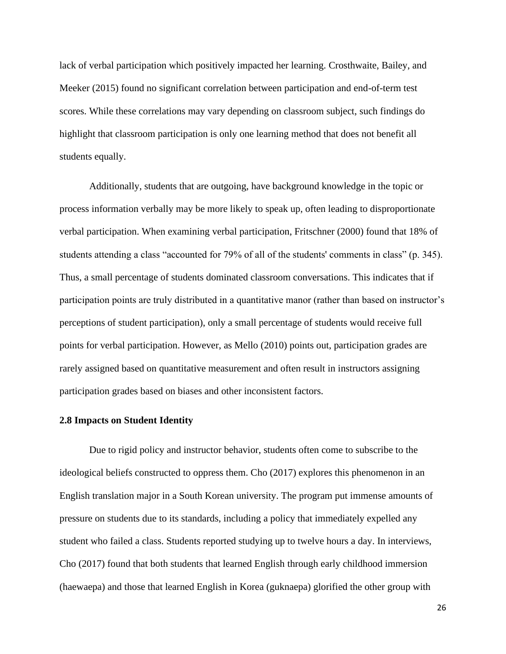lack of verbal participation which positively impacted her learning. Crosthwaite, Bailey, and Meeker (2015) found no significant correlation between participation and end-of-term test scores. While these correlations may vary depending on classroom subject, such findings do highlight that classroom participation is only one learning method that does not benefit all students equally.

Additionally, students that are outgoing, have background knowledge in the topic or process information verbally may be more likely to speak up, often leading to disproportionate verbal participation. When examining verbal participation, Fritschner (2000) found that 18% of students attending a class "accounted for 79% of all of the students' comments in class" (p. 345). Thus, a small percentage of students dominated classroom conversations. This indicates that if participation points are truly distributed in a quantitative manor (rather than based on instructor's perceptions of student participation), only a small percentage of students would receive full points for verbal participation. However, as Mello (2010) points out, participation grades are rarely assigned based on quantitative measurement and often result in instructors assigning participation grades based on biases and other inconsistent factors.

#### **2.8 Impacts on Student Identity**

Due to rigid policy and instructor behavior, students often come to subscribe to the ideological beliefs constructed to oppress them. Cho (2017) explores this phenomenon in an English translation major in a South Korean university. The program put immense amounts of pressure on students due to its standards, including a policy that immediately expelled any student who failed a class. Students reported studying up to twelve hours a day. In interviews, Cho (2017) found that both students that learned English through early childhood immersion (haewaepa) and those that learned English in Korea (guknaepa) glorified the other group with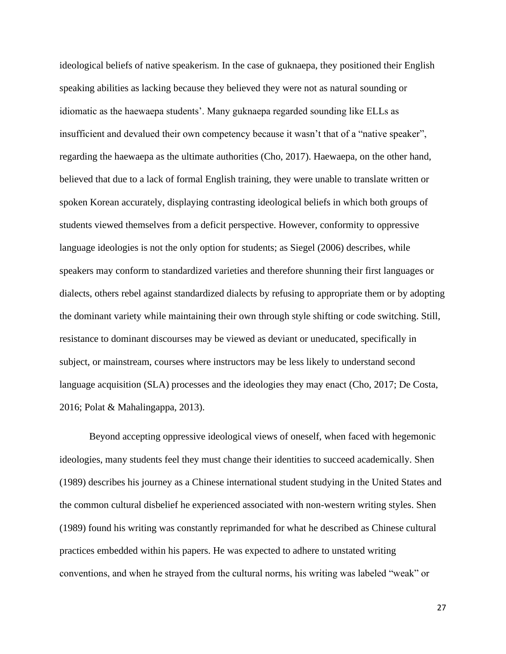ideological beliefs of native speakerism. In the case of guknaepa, they positioned their English speaking abilities as lacking because they believed they were not as natural sounding or idiomatic as the haewaepa students'. Many guknaepa regarded sounding like ELLs as insufficient and devalued their own competency because it wasn't that of a "native speaker", regarding the haewaepa as the ultimate authorities (Cho, 2017). Haewaepa, on the other hand, believed that due to a lack of formal English training, they were unable to translate written or spoken Korean accurately, displaying contrasting ideological beliefs in which both groups of students viewed themselves from a deficit perspective. However, conformity to oppressive language ideologies is not the only option for students; as Siegel (2006) describes, while speakers may conform to standardized varieties and therefore shunning their first languages or dialects, others rebel against standardized dialects by refusing to appropriate them or by adopting the dominant variety while maintaining their own through style shifting or code switching. Still, resistance to dominant discourses may be viewed as deviant or uneducated, specifically in subject, or mainstream, courses where instructors may be less likely to understand second language acquisition (SLA) processes and the ideologies they may enact (Cho, 2017; De Costa, 2016; Polat & Mahalingappa, 2013).

Beyond accepting oppressive ideological views of oneself, when faced with hegemonic ideologies, many students feel they must change their identities to succeed academically. Shen (1989) describes his journey as a Chinese international student studying in the United States and the common cultural disbelief he experienced associated with non-western writing styles. Shen (1989) found his writing was constantly reprimanded for what he described as Chinese cultural practices embedded within his papers. He was expected to adhere to unstated writing conventions, and when he strayed from the cultural norms, his writing was labeled "weak" or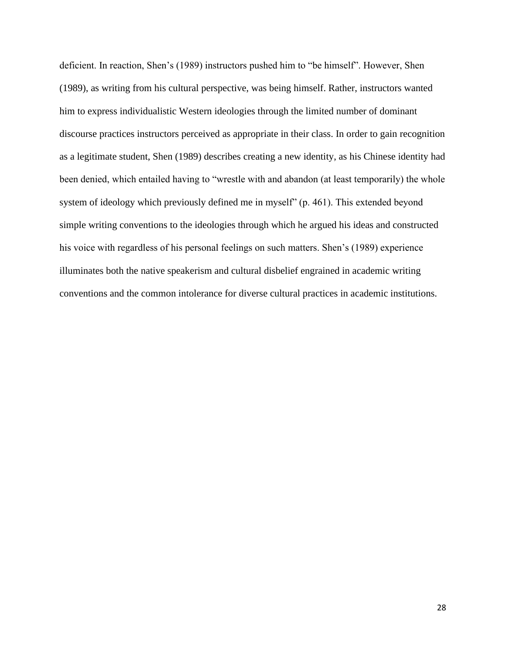deficient. In reaction, Shen's (1989) instructors pushed him to "be himself". However, Shen (1989), as writing from his cultural perspective, was being himself. Rather, instructors wanted him to express individualistic Western ideologies through the limited number of dominant discourse practices instructors perceived as appropriate in their class. In order to gain recognition as a legitimate student, Shen (1989) describes creating a new identity, as his Chinese identity had been denied, which entailed having to "wrestle with and abandon (at least temporarily) the whole system of ideology which previously defined me in myself" (p. 461). This extended beyond simple writing conventions to the ideologies through which he argued his ideas and constructed his voice with regardless of his personal feelings on such matters. Shen's (1989) experience illuminates both the native speakerism and cultural disbelief engrained in academic writing conventions and the common intolerance for diverse cultural practices in academic institutions.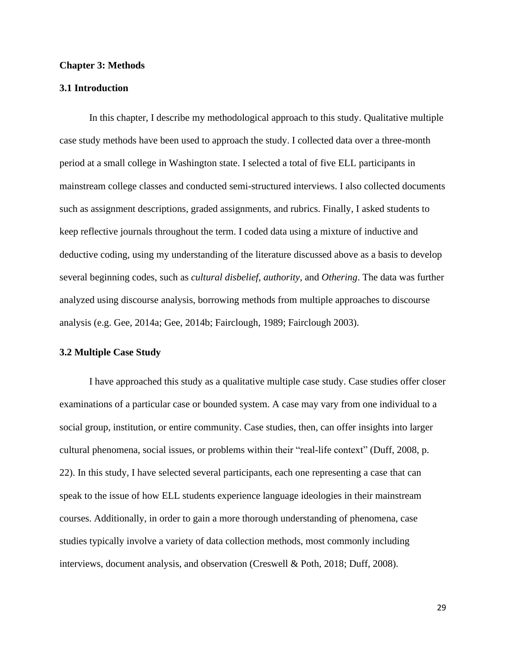#### **Chapter 3: Methods**

# **3.1 Introduction**

In this chapter, I describe my methodological approach to this study. Qualitative multiple case study methods have been used to approach the study. I collected data over a three-month period at a small college in Washington state. I selected a total of five ELL participants in mainstream college classes and conducted semi-structured interviews. I also collected documents such as assignment descriptions, graded assignments, and rubrics. Finally, I asked students to keep reflective journals throughout the term. I coded data using a mixture of inductive and deductive coding, using my understanding of the literature discussed above as a basis to develop several beginning codes, such as *cultural disbelief, authority,* and *Othering*. The data was further analyzed using discourse analysis, borrowing methods from multiple approaches to discourse analysis (e.g. Gee, 2014a; Gee, 2014b; Fairclough, 1989; Fairclough 2003).

#### **3.2 Multiple Case Study**

I have approached this study as a qualitative multiple case study. Case studies offer closer examinations of a particular case or bounded system. A case may vary from one individual to a social group, institution, or entire community. Case studies, then, can offer insights into larger cultural phenomena, social issues, or problems within their "real-life context" (Duff, 2008, p. 22). In this study, I have selected several participants, each one representing a case that can speak to the issue of how ELL students experience language ideologies in their mainstream courses. Additionally, in order to gain a more thorough understanding of phenomena, case studies typically involve a variety of data collection methods, most commonly including interviews, document analysis, and observation (Creswell & Poth, 2018; Duff, 2008).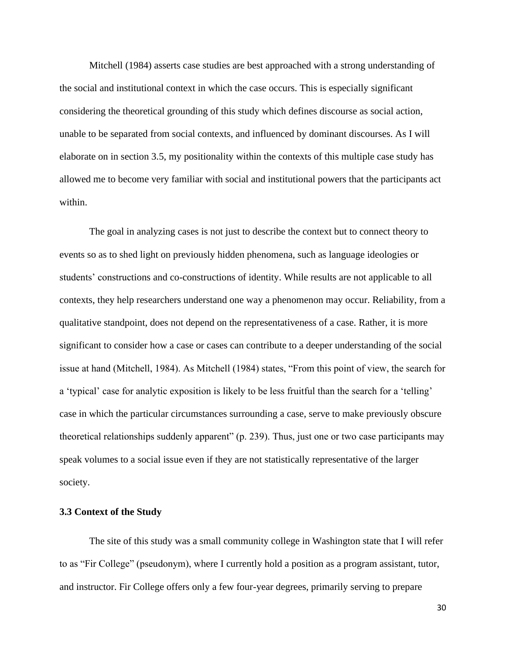Mitchell (1984) asserts case studies are best approached with a strong understanding of the social and institutional context in which the case occurs. This is especially significant considering the theoretical grounding of this study which defines discourse as social action, unable to be separated from social contexts, and influenced by dominant discourses. As I will elaborate on in section 3.5, my positionality within the contexts of this multiple case study has allowed me to become very familiar with social and institutional powers that the participants act within.

The goal in analyzing cases is not just to describe the context but to connect theory to events so as to shed light on previously hidden phenomena, such as language ideologies or students' constructions and co-constructions of identity. While results are not applicable to all contexts, they help researchers understand one way a phenomenon may occur. Reliability, from a qualitative standpoint, does not depend on the representativeness of a case. Rather, it is more significant to consider how a case or cases can contribute to a deeper understanding of the social issue at hand (Mitchell, 1984). As Mitchell (1984) states, "From this point of view, the search for a 'typical' case for analytic exposition is likely to be less fruitful than the search for a 'telling' case in which the particular circumstances surrounding a case, serve to make previously obscure theoretical relationships suddenly apparent" (p. 239). Thus, just one or two case participants may speak volumes to a social issue even if they are not statistically representative of the larger society.

#### **3.3 Context of the Study**

The site of this study was a small community college in Washington state that I will refer to as "Fir College" (pseudonym), where I currently hold a position as a program assistant, tutor, and instructor. Fir College offers only a few four-year degrees, primarily serving to prepare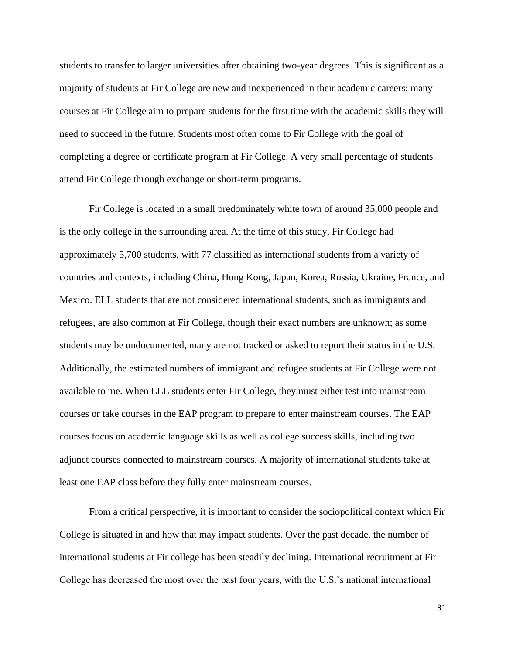students to transfer to larger universities after obtaining two-year degrees. This is significant as a majority of students at Fir College are new and inexperienced in their academic careers; many courses at Fir College aim to prepare students for the first time with the academic skills they will need to succeed in the future. Students most often come to Fir College with the goal of completing a degree or certificate program at Fir College. A very small percentage of students attend Fir College through exchange or short-term programs.

Fir College is located in a small predominately white town of around 35,000 people and is the only college in the surrounding area. At the time of this study, Fir College had approximately 5,700 students, with 77 classified as international students from a variety of countries and contexts, including China, Hong Kong, Japan, Korea, Russia, Ukraine, France, and Mexico. ELL students that are not considered international students, such as immigrants and refugees, are also common at Fir College, though their exact numbers are unknown; as some students may be undocumented, many are not tracked or asked to report their status in the U.S. Additionally, the estimated numbers of immigrant and refugee students at Fir College were not available to me. When ELL students enter Fir College, they must either test into mainstream courses or take courses in the EAP program to prepare to enter mainstream courses. The EAP courses focus on academic language skills as well as college success skills, including two adjunct courses connected to mainstream courses. A majority of international students take at least one EAP class before they fully enter mainstream courses.

From a critical perspective, it is important to consider the sociopolitical context which Fir College is situated in and how that may impact students. Over the past decade, the number of international students at Fir college has been steadily declining. International recruitment at Fir College has decreased the most over the past four years, with the U.S.'s national international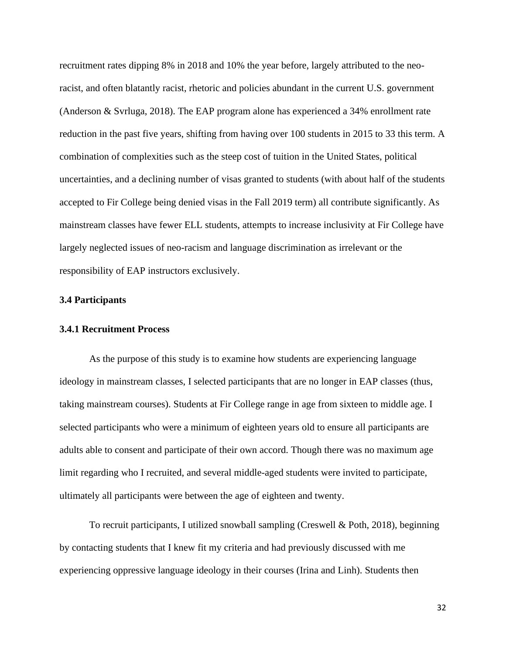recruitment rates dipping 8% in 2018 and 10% the year before, largely attributed to the neoracist, and often blatantly racist, rhetoric and policies abundant in the current U.S. government (Anderson & Svrluga, 2018). The EAP program alone has experienced a 34% enrollment rate reduction in the past five years, shifting from having over 100 students in 2015 to 33 this term. A combination of complexities such as the steep cost of tuition in the United States, political uncertainties, and a declining number of visas granted to students (with about half of the students accepted to Fir College being denied visas in the Fall 2019 term) all contribute significantly. As mainstream classes have fewer ELL students, attempts to increase inclusivity at Fir College have largely neglected issues of neo-racism and language discrimination as irrelevant or the responsibility of EAP instructors exclusively.

# **3.4 Participants**

#### **3.4.1 Recruitment Process**

As the purpose of this study is to examine how students are experiencing language ideology in mainstream classes, I selected participants that are no longer in EAP classes (thus, taking mainstream courses). Students at Fir College range in age from sixteen to middle age. I selected participants who were a minimum of eighteen years old to ensure all participants are adults able to consent and participate of their own accord. Though there was no maximum age limit regarding who I recruited, and several middle-aged students were invited to participate, ultimately all participants were between the age of eighteen and twenty.

To recruit participants, I utilized snowball sampling (Creswell & Poth, 2018), beginning by contacting students that I knew fit my criteria and had previously discussed with me experiencing oppressive language ideology in their courses (Irina and Linh). Students then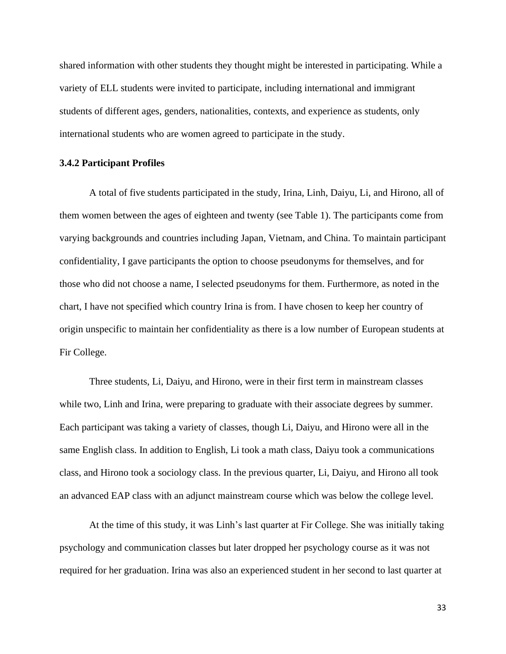shared information with other students they thought might be interested in participating. While a variety of ELL students were invited to participate, including international and immigrant students of different ages, genders, nationalities, contexts, and experience as students, only international students who are women agreed to participate in the study.

# **3.4.2 Participant Profiles**

A total of five students participated in the study, Irina, Linh, Daiyu, Li, and Hirono, all of them women between the ages of eighteen and twenty (see Table 1). The participants come from varying backgrounds and countries including Japan, Vietnam, and China. To maintain participant confidentiality, I gave participants the option to choose pseudonyms for themselves, and for those who did not choose a name, I selected pseudonyms for them. Furthermore, as noted in the chart, I have not specified which country Irina is from. I have chosen to keep her country of origin unspecific to maintain her confidentiality as there is a low number of European students at Fir College.

Three students, Li, Daiyu, and Hirono, were in their first term in mainstream classes while two, Linh and Irina, were preparing to graduate with their associate degrees by summer. Each participant was taking a variety of classes, though Li, Daiyu, and Hirono were all in the same English class. In addition to English, Li took a math class, Daiyu took a communications class, and Hirono took a sociology class. In the previous quarter, Li, Daiyu, and Hirono all took an advanced EAP class with an adjunct mainstream course which was below the college level.

At the time of this study, it was Linh's last quarter at Fir College. She was initially taking psychology and communication classes but later dropped her psychology course as it was not required for her graduation. Irina was also an experienced student in her second to last quarter at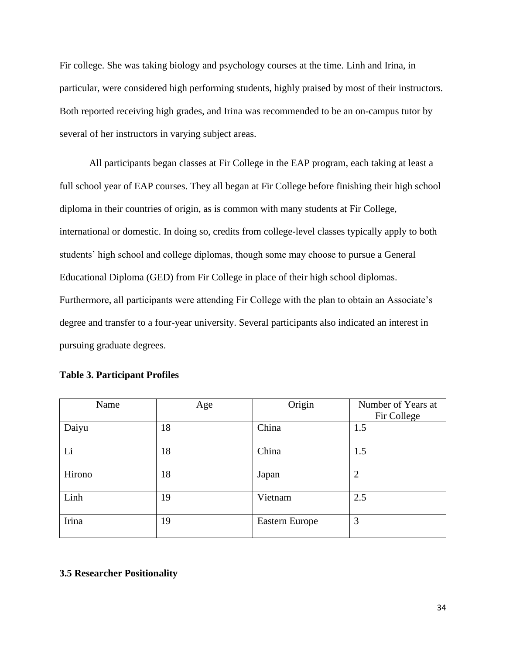Fir college. She was taking biology and psychology courses at the time. Linh and Irina, in particular, were considered high performing students, highly praised by most of their instructors. Both reported receiving high grades, and Irina was recommended to be an on-campus tutor by several of her instructors in varying subject areas.

All participants began classes at Fir College in the EAP program, each taking at least a full school year of EAP courses. They all began at Fir College before finishing their high school diploma in their countries of origin, as is common with many students at Fir College, international or domestic. In doing so, credits from college-level classes typically apply to both students' high school and college diplomas, though some may choose to pursue a General Educational Diploma (GED) from Fir College in place of their high school diplomas. Furthermore, all participants were attending Fir College with the plan to obtain an Associate's degree and transfer to a four-year university. Several participants also indicated an interest in pursuing graduate degrees.

| Name   | Age | Origin         | Number of Years at<br>Fir College |
|--------|-----|----------------|-----------------------------------|
| Daiyu  | 18  | China          | 1.5                               |
| Li     | 18  | China          | 1.5                               |
| Hirono | 18  | Japan          | $\overline{2}$                    |
| Linh   | 19  | Vietnam        | 2.5                               |
| Irina  | 19  | Eastern Europe | 3                                 |

# **3.5 Researcher Positionality**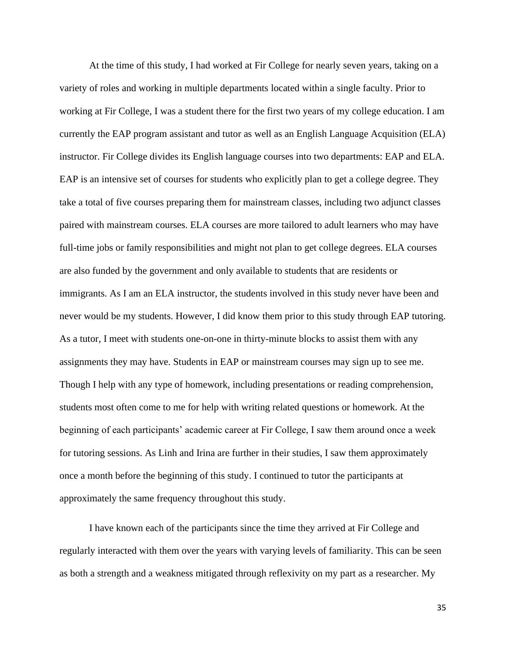At the time of this study, I had worked at Fir College for nearly seven years, taking on a variety of roles and working in multiple departments located within a single faculty. Prior to working at Fir College, I was a student there for the first two years of my college education. I am currently the EAP program assistant and tutor as well as an English Language Acquisition (ELA) instructor. Fir College divides its English language courses into two departments: EAP and ELA. EAP is an intensive set of courses for students who explicitly plan to get a college degree. They take a total of five courses preparing them for mainstream classes, including two adjunct classes paired with mainstream courses. ELA courses are more tailored to adult learners who may have full-time jobs or family responsibilities and might not plan to get college degrees. ELA courses are also funded by the government and only available to students that are residents or immigrants. As I am an ELA instructor, the students involved in this study never have been and never would be my students. However, I did know them prior to this study through EAP tutoring. As a tutor, I meet with students one-on-one in thirty-minute blocks to assist them with any assignments they may have. Students in EAP or mainstream courses may sign up to see me. Though I help with any type of homework, including presentations or reading comprehension, students most often come to me for help with writing related questions or homework. At the beginning of each participants' academic career at Fir College, I saw them around once a week for tutoring sessions. As Linh and Irina are further in their studies, I saw them approximately once a month before the beginning of this study. I continued to tutor the participants at approximately the same frequency throughout this study.

I have known each of the participants since the time they arrived at Fir College and regularly interacted with them over the years with varying levels of familiarity. This can be seen as both a strength and a weakness mitigated through reflexivity on my part as a researcher. My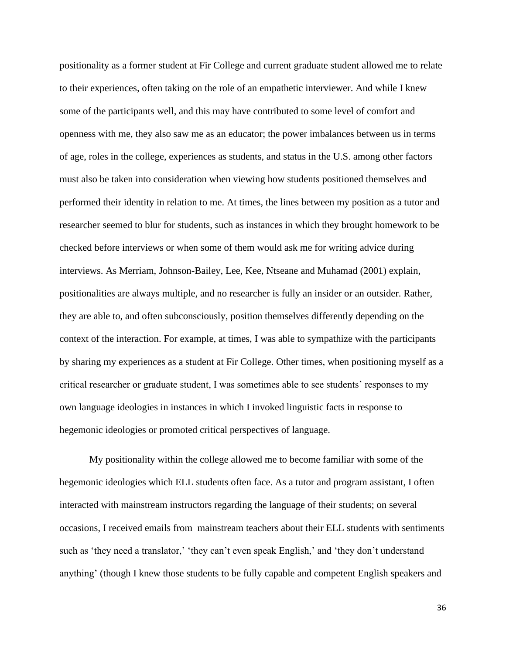positionality as a former student at Fir College and current graduate student allowed me to relate to their experiences, often taking on the role of an empathetic interviewer. And while I knew some of the participants well, and this may have contributed to some level of comfort and openness with me, they also saw me as an educator; the power imbalances between us in terms of age, roles in the college, experiences as students, and status in the U.S. among other factors must also be taken into consideration when viewing how students positioned themselves and performed their identity in relation to me. At times, the lines between my position as a tutor and researcher seemed to blur for students, such as instances in which they brought homework to be checked before interviews or when some of them would ask me for writing advice during interviews. As Merriam, Johnson-Bailey, Lee, Kee, Ntseane and Muhamad (2001) explain, positionalities are always multiple, and no researcher is fully an insider or an outsider. Rather, they are able to, and often subconsciously, position themselves differently depending on the context of the interaction. For example, at times, I was able to sympathize with the participants by sharing my experiences as a student at Fir College. Other times, when positioning myself as a critical researcher or graduate student, I was sometimes able to see students' responses to my own language ideologies in instances in which I invoked linguistic facts in response to hegemonic ideologies or promoted critical perspectives of language.

My positionality within the college allowed me to become familiar with some of the hegemonic ideologies which ELL students often face. As a tutor and program assistant, I often interacted with mainstream instructors regarding the language of their students; on several occasions, I received emails from mainstream teachers about their ELL students with sentiments such as 'they need a translator,' 'they can't even speak English,' and 'they don't understand anything' (though I knew those students to be fully capable and competent English speakers and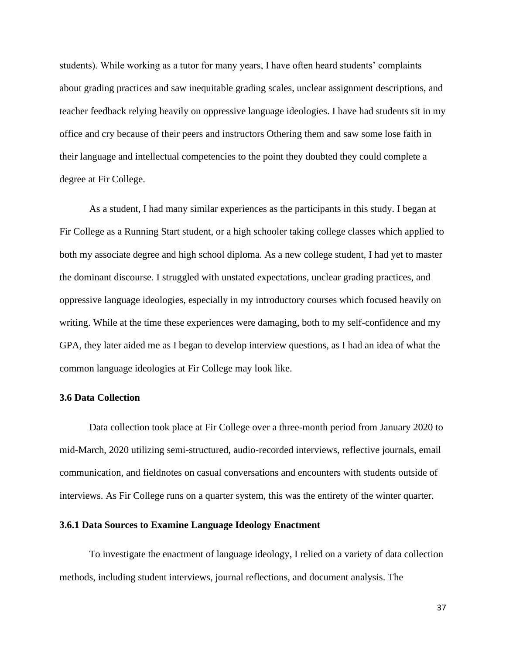students). While working as a tutor for many years, I have often heard students' complaints about grading practices and saw inequitable grading scales, unclear assignment descriptions, and teacher feedback relying heavily on oppressive language ideologies. I have had students sit in my office and cry because of their peers and instructors Othering them and saw some lose faith in their language and intellectual competencies to the point they doubted they could complete a degree at Fir College.

As a student, I had many similar experiences as the participants in this study. I began at Fir College as a Running Start student, or a high schooler taking college classes which applied to both my associate degree and high school diploma. As a new college student, I had yet to master the dominant discourse. I struggled with unstated expectations, unclear grading practices, and oppressive language ideologies, especially in my introductory courses which focused heavily on writing. While at the time these experiences were damaging, both to my self-confidence and my GPA, they later aided me as I began to develop interview questions, as I had an idea of what the common language ideologies at Fir College may look like.

#### **3.6 Data Collection**

Data collection took place at Fir College over a three-month period from January 2020 to mid-March, 2020 utilizing semi-structured, audio-recorded interviews, reflective journals, email communication, and fieldnotes on casual conversations and encounters with students outside of interviews. As Fir College runs on a quarter system, this was the entirety of the winter quarter.

# **3.6.1 Data Sources to Examine Language Ideology Enactment**

To investigate the enactment of language ideology, I relied on a variety of data collection methods, including student interviews, journal reflections, and document analysis. The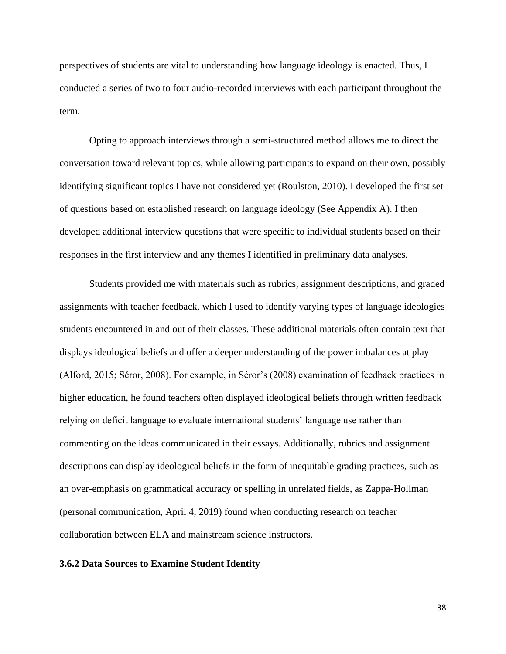perspectives of students are vital to understanding how language ideology is enacted. Thus, I conducted a series of two to four audio-recorded interviews with each participant throughout the term.

Opting to approach interviews through a semi-structured method allows me to direct the conversation toward relevant topics, while allowing participants to expand on their own, possibly identifying significant topics I have not considered yet (Roulston, 2010). I developed the first set of questions based on established research on language ideology (See Appendix A). I then developed additional interview questions that were specific to individual students based on their responses in the first interview and any themes I identified in preliminary data analyses.

Students provided me with materials such as rubrics, assignment descriptions, and graded assignments with teacher feedback, which I used to identify varying types of language ideologies students encountered in and out of their classes. These additional materials often contain text that displays ideological beliefs and offer a deeper understanding of the power imbalances at play (Alford, 2015; Séror, 2008). For example, in Séror's (2008) examination of feedback practices in higher education, he found teachers often displayed ideological beliefs through written feedback relying on deficit language to evaluate international students' language use rather than commenting on the ideas communicated in their essays. Additionally, rubrics and assignment descriptions can display ideological beliefs in the form of inequitable grading practices, such as an over-emphasis on grammatical accuracy or spelling in unrelated fields, as Zappa-Hollman (personal communication, April 4, 2019) found when conducting research on teacher collaboration between ELA and mainstream science instructors.

#### **3.6.2 Data Sources to Examine Student Identity**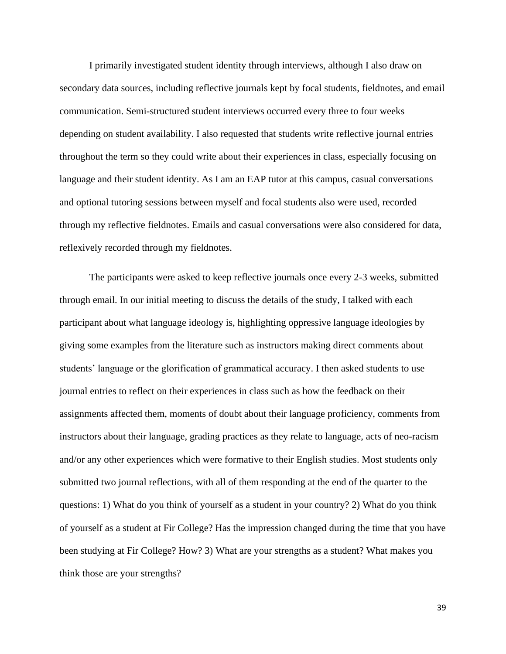I primarily investigated student identity through interviews, although I also draw on secondary data sources, including reflective journals kept by focal students, fieldnotes, and email communication. Semi-structured student interviews occurred every three to four weeks depending on student availability. I also requested that students write reflective journal entries throughout the term so they could write about their experiences in class, especially focusing on language and their student identity. As I am an EAP tutor at this campus, casual conversations and optional tutoring sessions between myself and focal students also were used, recorded through my reflective fieldnotes. Emails and casual conversations were also considered for data, reflexively recorded through my fieldnotes.

The participants were asked to keep reflective journals once every 2-3 weeks, submitted through email. In our initial meeting to discuss the details of the study, I talked with each participant about what language ideology is, highlighting oppressive language ideologies by giving some examples from the literature such as instructors making direct comments about students' language or the glorification of grammatical accuracy. I then asked students to use journal entries to reflect on their experiences in class such as how the feedback on their assignments affected them, moments of doubt about their language proficiency, comments from instructors about their language, grading practices as they relate to language, acts of neo-racism and/or any other experiences which were formative to their English studies. Most students only submitted two journal reflections, with all of them responding at the end of the quarter to the questions: 1) What do you think of yourself as a student in your country? 2) What do you think of yourself as a student at Fir College? Has the impression changed during the time that you have been studying at Fir College? How? 3) What are your strengths as a student? What makes you think those are your strengths?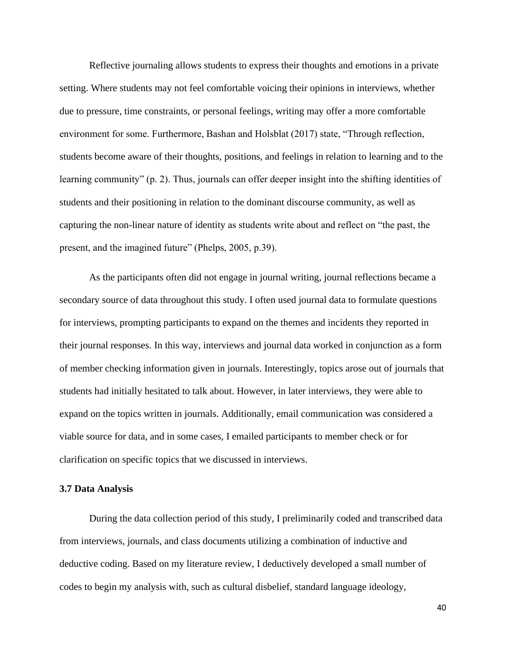Reflective journaling allows students to express their thoughts and emotions in a private setting. Where students may not feel comfortable voicing their opinions in interviews, whether due to pressure, time constraints, or personal feelings, writing may offer a more comfortable environment for some. Furthermore, Bashan and Holsblat (2017) state, "Through reflection, students become aware of their thoughts, positions, and feelings in relation to learning and to the learning community" (p. 2). Thus, journals can offer deeper insight into the shifting identities of students and their positioning in relation to the dominant discourse community, as well as capturing the non-linear nature of identity as students write about and reflect on "the past, the present, and the imagined future" (Phelps, 2005, p.39).

As the participants often did not engage in journal writing, journal reflections became a secondary source of data throughout this study. I often used journal data to formulate questions for interviews, prompting participants to expand on the themes and incidents they reported in their journal responses. In this way, interviews and journal data worked in conjunction as a form of member checking information given in journals. Interestingly, topics arose out of journals that students had initially hesitated to talk about. However, in later interviews, they were able to expand on the topics written in journals. Additionally, email communication was considered a viable source for data, and in some cases, I emailed participants to member check or for clarification on specific topics that we discussed in interviews.

#### **3.7 Data Analysis**

During the data collection period of this study, I preliminarily coded and transcribed data from interviews, journals, and class documents utilizing a combination of inductive and deductive coding. Based on my literature review, I deductively developed a small number of codes to begin my analysis with, such as cultural disbelief, standard language ideology,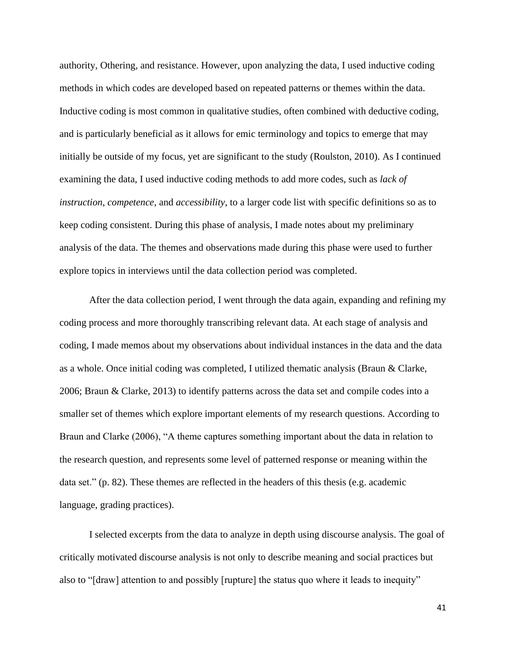authority, Othering, and resistance. However, upon analyzing the data, I used inductive coding methods in which codes are developed based on repeated patterns or themes within the data. Inductive coding is most common in qualitative studies, often combined with deductive coding, and is particularly beneficial as it allows for emic terminology and topics to emerge that may initially be outside of my focus, yet are significant to the study (Roulston, 2010). As I continued examining the data, I used inductive coding methods to add more codes, such as *lack of instruction*, *competence*, and *accessibility*, to a larger code list with specific definitions so as to keep coding consistent. During this phase of analysis, I made notes about my preliminary analysis of the data. The themes and observations made during this phase were used to further explore topics in interviews until the data collection period was completed.

After the data collection period, I went through the data again, expanding and refining my coding process and more thoroughly transcribing relevant data. At each stage of analysis and coding, I made memos about my observations about individual instances in the data and the data as a whole. Once initial coding was completed, I utilized thematic analysis (Braun & Clarke, 2006; Braun & Clarke, 2013) to identify patterns across the data set and compile codes into a smaller set of themes which explore important elements of my research questions. According to Braun and Clarke (2006), "A theme captures something important about the data in relation to the research question, and represents some level of patterned response or meaning within the data set." (p. 82). These themes are reflected in the headers of this thesis (e.g. academic language, grading practices).

I selected excerpts from the data to analyze in depth using discourse analysis. The goal of critically motivated discourse analysis is not only to describe meaning and social practices but also to "[draw] attention to and possibly [rupture] the status quo where it leads to inequity"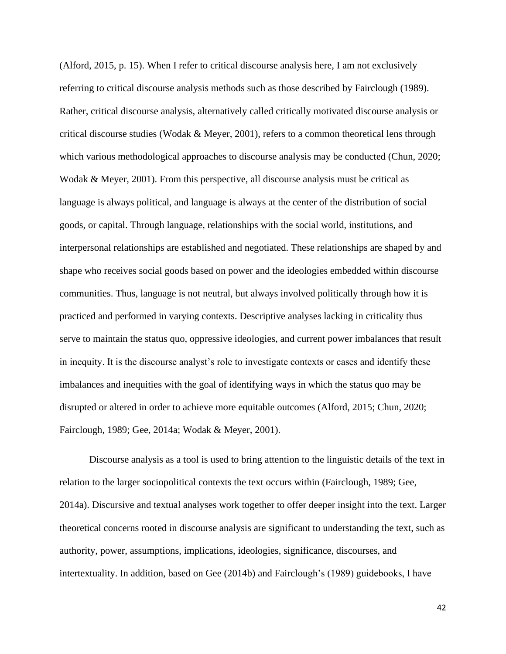(Alford, 2015, p. 15). When I refer to critical discourse analysis here, I am not exclusively referring to critical discourse analysis methods such as those described by Fairclough (1989). Rather, critical discourse analysis, alternatively called critically motivated discourse analysis or critical discourse studies (Wodak & Meyer, 2001), refers to a common theoretical lens through which various methodological approaches to discourse analysis may be conducted (Chun, 2020; Wodak & Meyer, 2001). From this perspective, all discourse analysis must be critical as language is always political, and language is always at the center of the distribution of social goods, or capital. Through language, relationships with the social world, institutions, and interpersonal relationships are established and negotiated. These relationships are shaped by and shape who receives social goods based on power and the ideologies embedded within discourse communities. Thus, language is not neutral, but always involved politically through how it is practiced and performed in varying contexts. Descriptive analyses lacking in criticality thus serve to maintain the status quo, oppressive ideologies, and current power imbalances that result in inequity. It is the discourse analyst's role to investigate contexts or cases and identify these imbalances and inequities with the goal of identifying ways in which the status quo may be disrupted or altered in order to achieve more equitable outcomes (Alford, 2015; Chun, 2020; Fairclough, 1989; Gee, 2014a; Wodak & Meyer, 2001).

Discourse analysis as a tool is used to bring attention to the linguistic details of the text in relation to the larger sociopolitical contexts the text occurs within (Fairclough, 1989; Gee, 2014a). Discursive and textual analyses work together to offer deeper insight into the text. Larger theoretical concerns rooted in discourse analysis are significant to understanding the text, such as authority, power, assumptions, implications, ideologies, significance, discourses, and intertextuality. In addition, based on Gee (2014b) and Fairclough's (1989) guidebooks, I have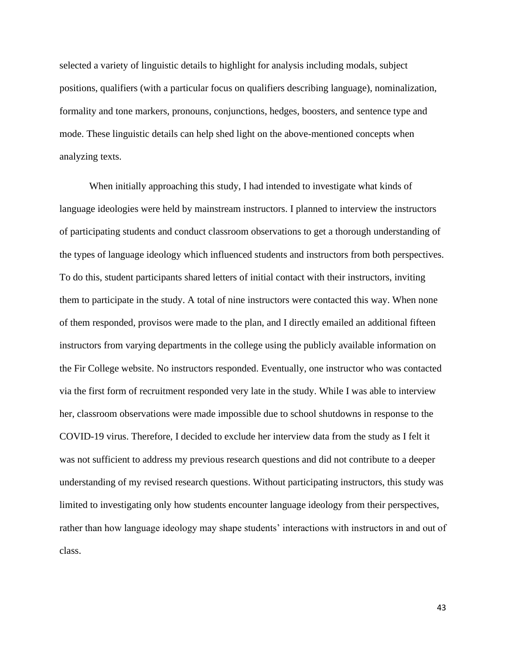selected a variety of linguistic details to highlight for analysis including modals, subject positions, qualifiers (with a particular focus on qualifiers describing language), nominalization, formality and tone markers, pronouns, conjunctions, hedges, boosters, and sentence type and mode. These linguistic details can help shed light on the above-mentioned concepts when analyzing texts.

When initially approaching this study, I had intended to investigate what kinds of language ideologies were held by mainstream instructors. I planned to interview the instructors of participating students and conduct classroom observations to get a thorough understanding of the types of language ideology which influenced students and instructors from both perspectives. To do this, student participants shared letters of initial contact with their instructors, inviting them to participate in the study. A total of nine instructors were contacted this way. When none of them responded, provisos were made to the plan, and I directly emailed an additional fifteen instructors from varying departments in the college using the publicly available information on the Fir College website. No instructors responded. Eventually, one instructor who was contacted via the first form of recruitment responded very late in the study. While I was able to interview her, classroom observations were made impossible due to school shutdowns in response to the COVID-19 virus. Therefore, I decided to exclude her interview data from the study as I felt it was not sufficient to address my previous research questions and did not contribute to a deeper understanding of my revised research questions. Without participating instructors, this study was limited to investigating only how students encounter language ideology from their perspectives, rather than how language ideology may shape students' interactions with instructors in and out of class.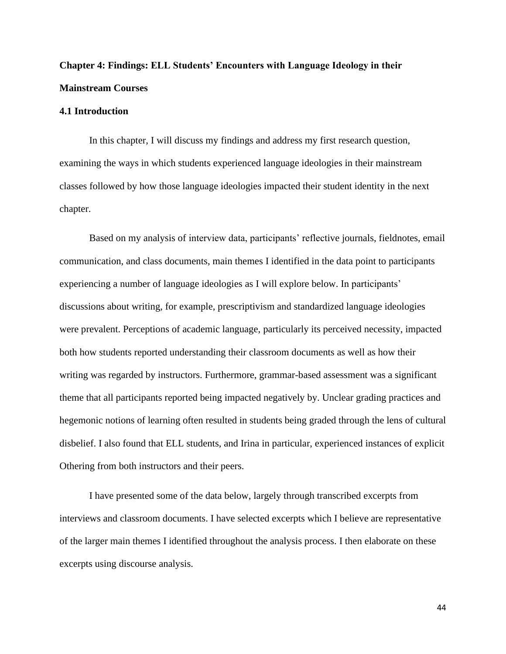# **Chapter 4: Findings: ELL Students' Encounters with Language Ideology in their Mainstream Courses**

# **4.1 Introduction**

In this chapter, I will discuss my findings and address my first research question, examining the ways in which students experienced language ideologies in their mainstream classes followed by how those language ideologies impacted their student identity in the next chapter.

Based on my analysis of interview data, participants' reflective journals, fieldnotes, email communication, and class documents, main themes I identified in the data point to participants experiencing a number of language ideologies as I will explore below. In participants' discussions about writing, for example, prescriptivism and standardized language ideologies were prevalent. Perceptions of academic language, particularly its perceived necessity, impacted both how students reported understanding their classroom documents as well as how their writing was regarded by instructors. Furthermore, grammar-based assessment was a significant theme that all participants reported being impacted negatively by. Unclear grading practices and hegemonic notions of learning often resulted in students being graded through the lens of cultural disbelief. I also found that ELL students, and Irina in particular, experienced instances of explicit Othering from both instructors and their peers.

I have presented some of the data below, largely through transcribed excerpts from interviews and classroom documents. I have selected excerpts which I believe are representative of the larger main themes I identified throughout the analysis process. I then elaborate on these excerpts using discourse analysis.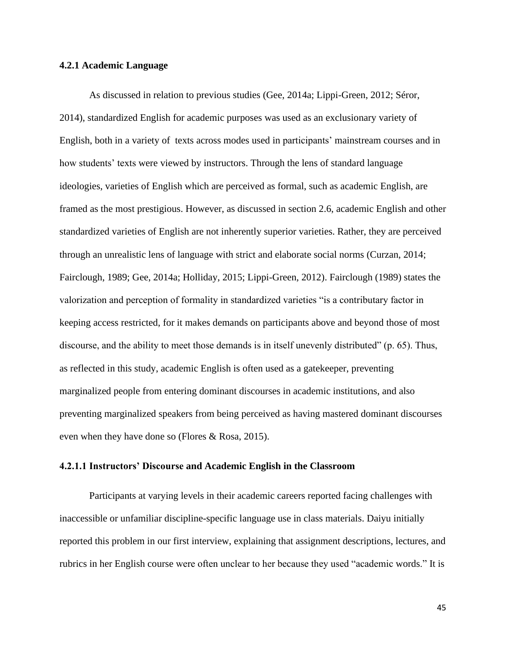# **4.2.1 Academic Language**

As discussed in relation to previous studies (Gee, 2014a; Lippi-Green, 2012; Séror, 2014), standardized English for academic purposes was used as an exclusionary variety of English, both in a variety of texts across modes used in participants' mainstream courses and in how students' texts were viewed by instructors. Through the lens of standard language ideologies, varieties of English which are perceived as formal, such as academic English, are framed as the most prestigious. However, as discussed in section 2.6, academic English and other standardized varieties of English are not inherently superior varieties. Rather, they are perceived through an unrealistic lens of language with strict and elaborate social norms (Curzan, 2014; Fairclough, 1989; Gee, 2014a; Holliday, 2015; Lippi-Green, 2012). Fairclough (1989) states the valorization and perception of formality in standardized varieties "is a contributary factor in keeping access restricted, for it makes demands on participants above and beyond those of most discourse, and the ability to meet those demands is in itself unevenly distributed" (p. 65). Thus, as reflected in this study, academic English is often used as a gatekeeper, preventing marginalized people from entering dominant discourses in academic institutions, and also preventing marginalized speakers from being perceived as having mastered dominant discourses even when they have done so (Flores & Rosa, 2015).

# **4.2.1.1 Instructors' Discourse and Academic English in the Classroom**

Participants at varying levels in their academic careers reported facing challenges with inaccessible or unfamiliar discipline-specific language use in class materials. Daiyu initially reported this problem in our first interview, explaining that assignment descriptions, lectures, and rubrics in her English course were often unclear to her because they used "academic words." It is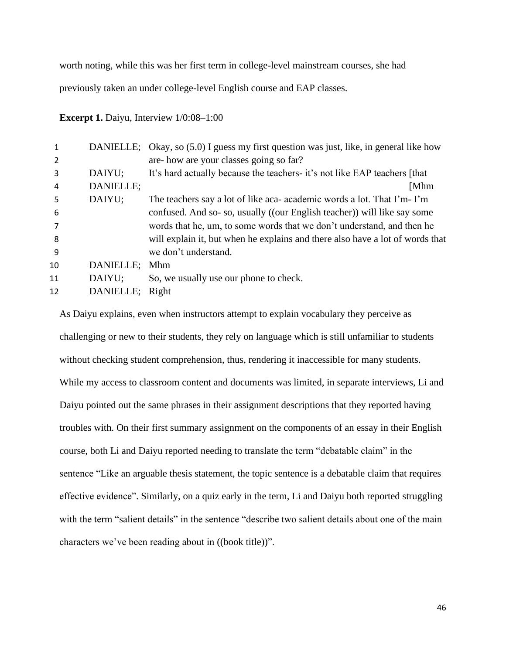worth noting, while this was her first term in college-level mainstream courses, she had

previously taken an under college-level English course and EAP classes.

**Excerpt 1.** Daiyu, Interview  $1/0:08-1:00$ 

|    |                 | DANIELLE; Okay, so (5.0) I guess my first question was just, like, in general like how |
|----|-----------------|----------------------------------------------------------------------------------------|
| 2  |                 | are-how are your classes going so far?                                                 |
| 3  | DAIYU;          | It's hard actually because the teachers- it's not like EAP teachers [that]             |
| 4  | DANIELLE;       | [Mhm                                                                                   |
| 5  | DAIYU;          | The teachers say a lot of like aca- academic words a lot. That I'm-I'm                 |
| 6  |                 | confused. And so-so, usually ((our English teacher)) will like say some                |
|    |                 | words that he, um, to some words that we don't understand, and then he                 |
| 8  |                 | will explain it, but when he explains and there also have a lot of words that          |
| 9  |                 | we don't understand.                                                                   |
| 10 | DANIELLE;       | <b>Mhm</b>                                                                             |
| 11 | DAIYU;          | So, we usually use our phone to check.                                                 |
| 12 | DANIELLE; Right |                                                                                        |
|    |                 |                                                                                        |

As Daiyu explains, even when instructors attempt to explain vocabulary they perceive as challenging or new to their students, they rely on language which is still unfamiliar to students without checking student comprehension, thus, rendering it inaccessible for many students. While my access to classroom content and documents was limited, in separate interviews, Li and Daiyu pointed out the same phrases in their assignment descriptions that they reported having troubles with. On their first summary assignment on the components of an essay in their English course, both Li and Daiyu reported needing to translate the term "debatable claim" in the sentence "Like an arguable thesis statement, the topic sentence is a debatable claim that requires effective evidence". Similarly, on a quiz early in the term, Li and Daiyu both reported struggling with the term "salient details" in the sentence "describe two salient details about one of the main characters we've been reading about in ((book title))".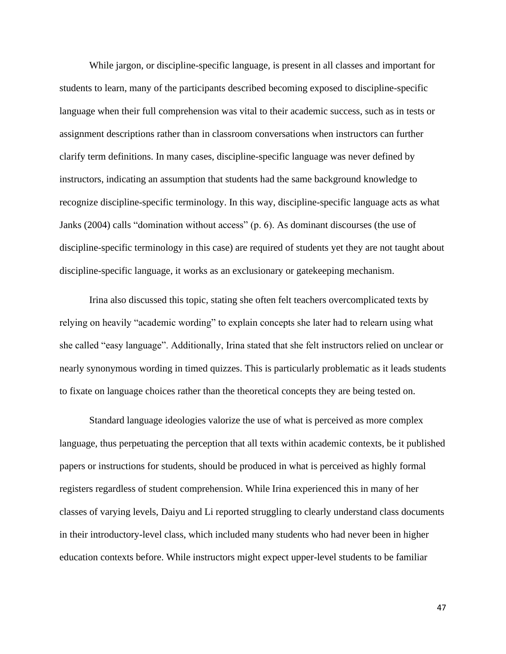While jargon, or discipline-specific language, is present in all classes and important for students to learn, many of the participants described becoming exposed to discipline-specific language when their full comprehension was vital to their academic success, such as in tests or assignment descriptions rather than in classroom conversations when instructors can further clarify term definitions. In many cases, discipline-specific language was never defined by instructors, indicating an assumption that students had the same background knowledge to recognize discipline-specific terminology. In this way, discipline-specific language acts as what Janks (2004) calls "domination without access" (p. 6). As dominant discourses (the use of discipline-specific terminology in this case) are required of students yet they are not taught about discipline-specific language, it works as an exclusionary or gatekeeping mechanism.

Irina also discussed this topic, stating she often felt teachers overcomplicated texts by relying on heavily "academic wording" to explain concepts she later had to relearn using what she called "easy language". Additionally, Irina stated that she felt instructors relied on unclear or nearly synonymous wording in timed quizzes. This is particularly problematic as it leads students to fixate on language choices rather than the theoretical concepts they are being tested on.

Standard language ideologies valorize the use of what is perceived as more complex language, thus perpetuating the perception that all texts within academic contexts, be it published papers or instructions for students, should be produced in what is perceived as highly formal registers regardless of student comprehension. While Irina experienced this in many of her classes of varying levels, Daiyu and Li reported struggling to clearly understand class documents in their introductory-level class, which included many students who had never been in higher education contexts before. While instructors might expect upper-level students to be familiar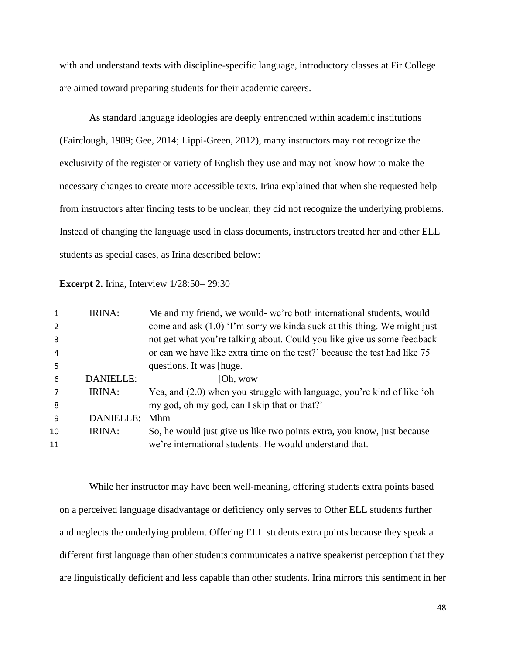with and understand texts with discipline-specific language, introductory classes at Fir College are aimed toward preparing students for their academic careers.

As standard language ideologies are deeply entrenched within academic institutions (Fairclough, 1989; Gee, 2014; Lippi-Green, 2012), many instructors may not recognize the exclusivity of the register or variety of English they use and may not know how to make the necessary changes to create more accessible texts. Irina explained that when she requested help from instructors after finding tests to be unclear, they did not recognize the underlying problems. Instead of changing the language used in class documents, instructors treated her and other ELL students as special cases, as Irina described below:

**Excerpt 2.** Irina, Interview 1/28:50– 29:30

| come and ask $(1.0)$ 'I'm sorry we kind asuck at this thing. We might just |
|----------------------------------------------------------------------------|
|                                                                            |
| not get what you're talking about. Could you like give us some feedback    |
| or can we have like extra time on the test?' because the test had like 75  |
|                                                                            |
|                                                                            |
| Yea, and (2.0) when you struggle with language, you're kind of like 'oh    |
|                                                                            |
|                                                                            |
| So, he would just give us like two points extra, you know, just because    |
|                                                                            |
|                                                                            |

While her instructor may have been well-meaning, offering students extra points based on a perceived language disadvantage or deficiency only serves to Other ELL students further and neglects the underlying problem. Offering ELL students extra points because they speak a different first language than other students communicates a native speakerist perception that they are linguistically deficient and less capable than other students. Irina mirrors this sentiment in her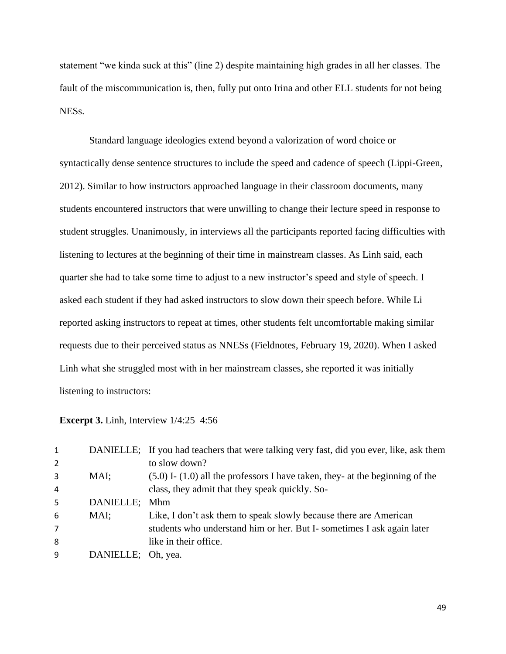statement "we kinda suck at this" (line 2) despite maintaining high grades in all her classes. The fault of the miscommunication is, then, fully put onto Irina and other ELL students for not being NESs.

Standard language ideologies extend beyond a valorization of word choice or syntactically dense sentence structures to include the speed and cadence of speech (Lippi-Green, 2012). Similar to how instructors approached language in their classroom documents, many students encountered instructors that were unwilling to change their lecture speed in response to student struggles. Unanimously, in interviews all the participants reported facing difficulties with listening to lectures at the beginning of their time in mainstream classes. As Linh said, each quarter she had to take some time to adjust to a new instructor's speed and style of speech. I asked each student if they had asked instructors to slow down their speech before. While Li reported asking instructors to repeat at times, other students felt uncomfortable making similar requests due to their perceived status as NNESs (Fieldnotes, February 19, 2020). When I asked Linh what she struggled most with in her mainstream classes, she reported it was initially listening to instructors:

# **Excerpt 3.** Linh, Interview 1/4:25–4:56

| 1              |                    | DANIELLE; If you had teachers that were talking very fast, did you ever, like, ask them |
|----------------|--------------------|-----------------------------------------------------------------------------------------|
| 2              |                    | to slow down?                                                                           |
| 3              | MAI;               | $(5.0)$ I- $(1.0)$ all the professors I have taken, they- at the beginning of the       |
| 4              |                    | class, they admit that they speak quickly. So-                                          |
| 5              | DANIELLE;          | <b>Mhm</b>                                                                              |
| 6              | MAI;               | Like, I don't ask them to speak slowly because there are American                       |
| $\overline{7}$ |                    | students who understand him or her. But I-sometimes I ask again later                   |
| 8              |                    | like in their office.                                                                   |
| 9              | DANIELLE; Oh, yea. |                                                                                         |
|                |                    |                                                                                         |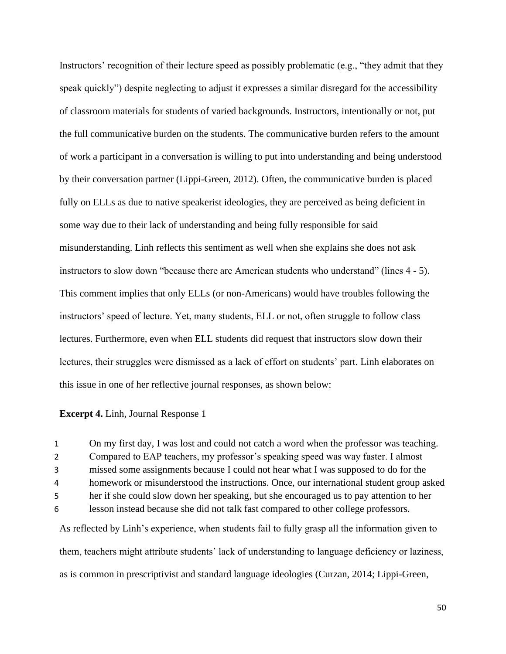Instructors' recognition of their lecture speed as possibly problematic (e.g., "they admit that they speak quickly") despite neglecting to adjust it expresses a similar disregard for the accessibility of classroom materials for students of varied backgrounds. Instructors, intentionally or not, put the full communicative burden on the students. The communicative burden refers to the amount of work a participant in a conversation is willing to put into understanding and being understood by their conversation partner (Lippi-Green, 2012). Often, the communicative burden is placed fully on ELLs as due to native speakerist ideologies, they are perceived as being deficient in some way due to their lack of understanding and being fully responsible for said misunderstanding. Linh reflects this sentiment as well when she explains she does not ask instructors to slow down "because there are American students who understand" (lines 4 - 5). This comment implies that only ELLs (or non-Americans) would have troubles following the instructors' speed of lecture. Yet, many students, ELL or not, often struggle to follow class lectures. Furthermore, even when ELL students did request that instructors slow down their lectures, their struggles were dismissed as a lack of effort on students' part. Linh elaborates on this issue in one of her reflective journal responses, as shown below:

#### **Excerpt 4.** Linh, Journal Response 1

 On my first day, I was lost and could not catch a word when the professor was teaching. Compared to EAP teachers, my professor's speaking speed was way faster. I almost missed some assignments because I could not hear what I was supposed to do for the homework or misunderstood the instructions. Once, our international student group asked her if she could slow down her speaking, but she encouraged us to pay attention to her lesson instead because she did not talk fast compared to other college professors. As reflected by Linh's experience, when students fail to fully grasp all the information given to them, teachers might attribute students' lack of understanding to language deficiency or laziness, as is common in prescriptivist and standard language ideologies (Curzan, 2014; Lippi-Green,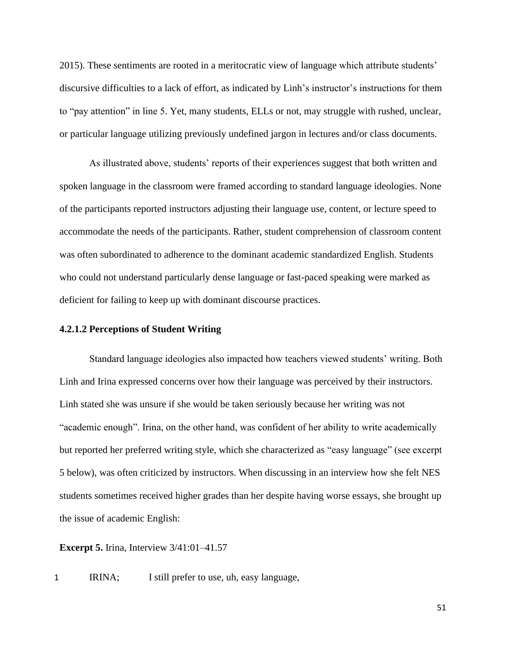2015). These sentiments are rooted in a meritocratic view of language which attribute students' discursive difficulties to a lack of effort, as indicated by Linh's instructor's instructions for them to "pay attention" in line 5. Yet, many students, ELLs or not, may struggle with rushed, unclear, or particular language utilizing previously undefined jargon in lectures and/or class documents.

As illustrated above, students' reports of their experiences suggest that both written and spoken language in the classroom were framed according to standard language ideologies. None of the participants reported instructors adjusting their language use, content, or lecture speed to accommodate the needs of the participants. Rather, student comprehension of classroom content was often subordinated to adherence to the dominant academic standardized English. Students who could not understand particularly dense language or fast-paced speaking were marked as deficient for failing to keep up with dominant discourse practices.

# **4.2.1.2 Perceptions of Student Writing**

Standard language ideologies also impacted how teachers viewed students' writing. Both Linh and Irina expressed concerns over how their language was perceived by their instructors. Linh stated she was unsure if she would be taken seriously because her writing was not "academic enough". Irina, on the other hand, was confident of her ability to write academically but reported her preferred writing style, which she characterized as "easy language" (see excerpt 5 below), was often criticized by instructors. When discussing in an interview how she felt NES students sometimes received higher grades than her despite having worse essays, she brought up the issue of academic English:

**Excerpt 5.** Irina, Interview 3/41:01–41.57

1 IRINA; I still prefer to use, uh, easy language,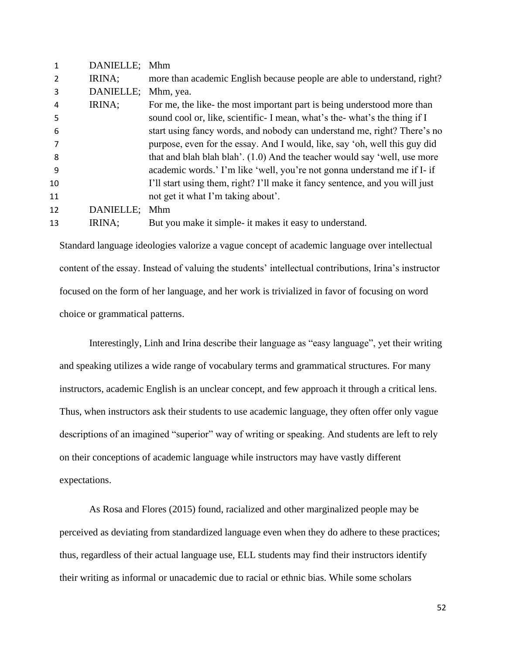|    | DANIELLE; | Mhm                                                                          |
|----|-----------|------------------------------------------------------------------------------|
|    | IRINA;    | more than academic English because people are able to understand, right?     |
| 3  | DANIELLE; | Mhm, yea.                                                                    |
| 4  | IRINA;    | For me, the like- the most important part is being understood more than      |
| 5  |           | sound cool or, like, scientific- I mean, what's the-what's the thing if I    |
| 6  |           | start using fancy words, and nobody can understand me, right? There's no     |
|    |           | purpose, even for the essay. And I would, like, say 'oh, well this guy did   |
| 8  |           | that and blah blah blah'. (1.0) And the teacher would say 'well, use more    |
| 9  |           | academic words.' I'm like 'well, you're not gonna understand me if I- if     |
| 10 |           | I'll start using them, right? I'll make it fancy sentence, and you will just |
| 11 |           | not get it what I'm taking about'.                                           |
| 12 | DANIELLE; | Mhm                                                                          |
| 13 | IRINA;    | But you make it simple- it makes it easy to understand.                      |
|    |           |                                                                              |

Standard language ideologies valorize a vague concept of academic language over intellectual content of the essay. Instead of valuing the students' intellectual contributions, Irina's instructor focused on the form of her language, and her work is trivialized in favor of focusing on word choice or grammatical patterns.

Interestingly, Linh and Irina describe their language as "easy language", yet their writing and speaking utilizes a wide range of vocabulary terms and grammatical structures. For many instructors, academic English is an unclear concept, and few approach it through a critical lens. Thus, when instructors ask their students to use academic language, they often offer only vague descriptions of an imagined "superior" way of writing or speaking. And students are left to rely on their conceptions of academic language while instructors may have vastly different expectations.

As Rosa and Flores (2015) found, racialized and other marginalized people may be perceived as deviating from standardized language even when they do adhere to these practices; thus, regardless of their actual language use, ELL students may find their instructors identify their writing as informal or unacademic due to racial or ethnic bias. While some scholars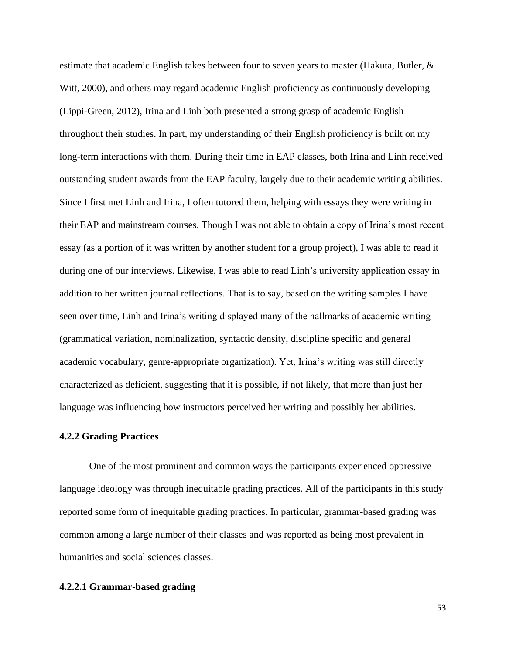estimate that academic English takes between four to seven years to master (Hakuta, Butler, & Witt, 2000), and others may regard academic English proficiency as continuously developing (Lippi-Green, 2012), Irina and Linh both presented a strong grasp of academic English throughout their studies. In part, my understanding of their English proficiency is built on my long-term interactions with them. During their time in EAP classes, both Irina and Linh received outstanding student awards from the EAP faculty, largely due to their academic writing abilities. Since I first met Linh and Irina, I often tutored them, helping with essays they were writing in their EAP and mainstream courses. Though I was not able to obtain a copy of Irina's most recent essay (as a portion of it was written by another student for a group project), I was able to read it during one of our interviews. Likewise, I was able to read Linh's university application essay in addition to her written journal reflections. That is to say, based on the writing samples I have seen over time, Linh and Irina's writing displayed many of the hallmarks of academic writing (grammatical variation, nominalization, syntactic density, discipline specific and general academic vocabulary, genre-appropriate organization). Yet, Irina's writing was still directly characterized as deficient, suggesting that it is possible, if not likely, that more than just her language was influencing how instructors perceived her writing and possibly her abilities.

# **4.2.2 Grading Practices**

One of the most prominent and common ways the participants experienced oppressive language ideology was through inequitable grading practices. All of the participants in this study reported some form of inequitable grading practices. In particular, grammar-based grading was common among a large number of their classes and was reported as being most prevalent in humanities and social sciences classes.

# **4.2.2.1 Grammar-based grading**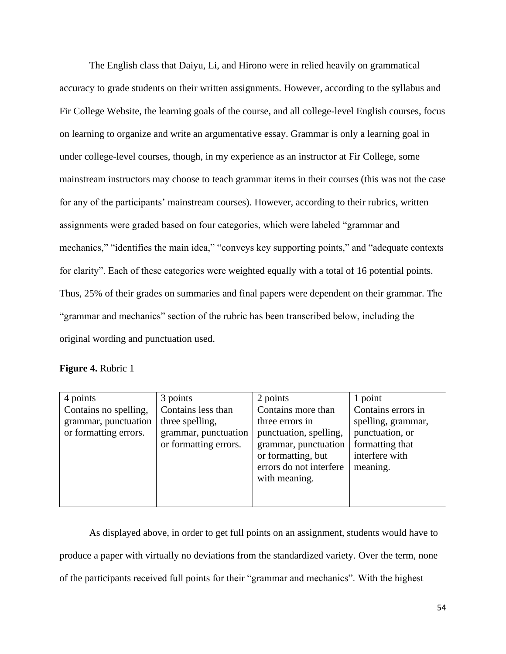The English class that Daiyu, Li, and Hirono were in relied heavily on grammatical accuracy to grade students on their written assignments. However, according to the syllabus and Fir College Website, the learning goals of the course, and all college-level English courses, focus on learning to organize and write an argumentative essay. Grammar is only a learning goal in under college-level courses, though, in my experience as an instructor at Fir College, some mainstream instructors may choose to teach grammar items in their courses (this was not the case for any of the participants' mainstream courses). However, according to their rubrics, written assignments were graded based on four categories, which were labeled "grammar and mechanics," "identifies the main idea," "conveys key supporting points," and "adequate contexts for clarity". Each of these categories were weighted equally with a total of 16 potential points. Thus, 25% of their grades on summaries and final papers were dependent on their grammar. The "grammar and mechanics" section of the rubric has been transcribed below, including the original wording and punctuation used.

#### **Figure 4.** Rubric 1

| 4 points                                                               | 3 points                                                                               | 2 points                                                                                                                                                  | 1 point                                                                                                      |
|------------------------------------------------------------------------|----------------------------------------------------------------------------------------|-----------------------------------------------------------------------------------------------------------------------------------------------------------|--------------------------------------------------------------------------------------------------------------|
| Contains no spelling,<br>grammar, punctuation<br>or formatting errors. | Contains less than<br>three spelling,<br>grammar, punctuation<br>or formatting errors. | Contains more than<br>three errors in<br>punctuation, spelling,<br>grammar, punctuation<br>or formatting, but<br>errors do not interfere<br>with meaning. | Contains errors in<br>spelling, grammar,<br>punctuation, or<br>formatting that<br>interfere with<br>meaning. |

As displayed above, in order to get full points on an assignment, students would have to produce a paper with virtually no deviations from the standardized variety. Over the term, none of the participants received full points for their "grammar and mechanics". With the highest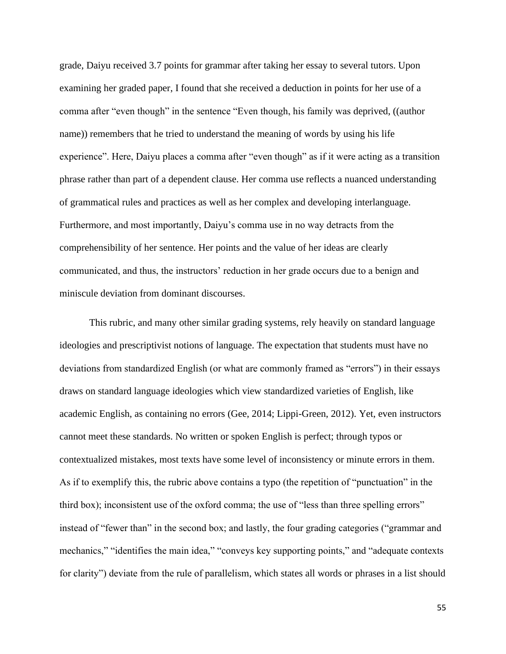grade, Daiyu received 3.7 points for grammar after taking her essay to several tutors. Upon examining her graded paper, I found that she received a deduction in points for her use of a comma after "even though" in the sentence "Even though, his family was deprived, ((author name)) remembers that he tried to understand the meaning of words by using his life experience". Here, Daiyu places a comma after "even though" as if it were acting as a transition phrase rather than part of a dependent clause. Her comma use reflects a nuanced understanding of grammatical rules and practices as well as her complex and developing interlanguage. Furthermore, and most importantly, Daiyu's comma use in no way detracts from the comprehensibility of her sentence. Her points and the value of her ideas are clearly communicated, and thus, the instructors' reduction in her grade occurs due to a benign and miniscule deviation from dominant discourses.

This rubric, and many other similar grading systems, rely heavily on standard language ideologies and prescriptivist notions of language. The expectation that students must have no deviations from standardized English (or what are commonly framed as "errors") in their essays draws on standard language ideologies which view standardized varieties of English, like academic English, as containing no errors (Gee, 2014; Lippi-Green, 2012). Yet, even instructors cannot meet these standards. No written or spoken English is perfect; through typos or contextualized mistakes, most texts have some level of inconsistency or minute errors in them. As if to exemplify this, the rubric above contains a typo (the repetition of "punctuation" in the third box); inconsistent use of the oxford comma; the use of "less than three spelling errors" instead of "fewer than" in the second box; and lastly, the four grading categories ("grammar and mechanics," "identifies the main idea," "conveys key supporting points," and "adequate contexts for clarity") deviate from the rule of parallelism, which states all words or phrases in a list should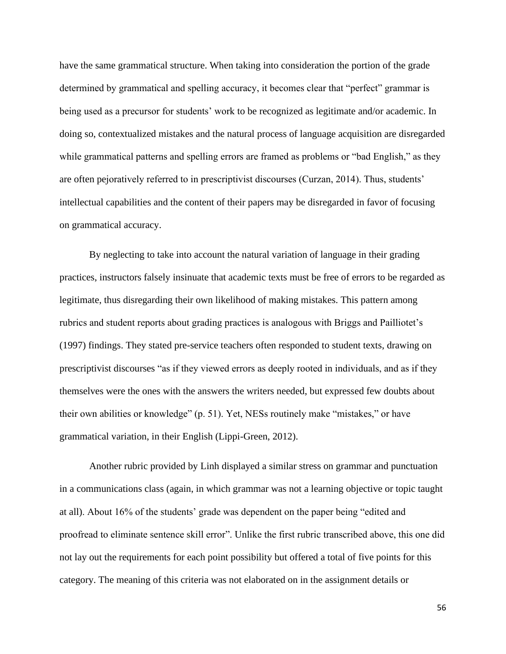have the same grammatical structure. When taking into consideration the portion of the grade determined by grammatical and spelling accuracy, it becomes clear that "perfect" grammar is being used as a precursor for students' work to be recognized as legitimate and/or academic. In doing so, contextualized mistakes and the natural process of language acquisition are disregarded while grammatical patterns and spelling errors are framed as problems or "bad English," as they are often pejoratively referred to in prescriptivist discourses (Curzan, 2014). Thus, students' intellectual capabilities and the content of their papers may be disregarded in favor of focusing on grammatical accuracy.

By neglecting to take into account the natural variation of language in their grading practices, instructors falsely insinuate that academic texts must be free of errors to be regarded as legitimate, thus disregarding their own likelihood of making mistakes. This pattern among rubrics and student reports about grading practices is analogous with Briggs and Pailliotet's (1997) findings. They stated pre-service teachers often responded to student texts, drawing on prescriptivist discourses "as if they viewed errors as deeply rooted in individuals, and as if they themselves were the ones with the answers the writers needed, but expressed few doubts about their own abilities or knowledge" (p. 51). Yet, NESs routinely make "mistakes," or have grammatical variation, in their English (Lippi-Green, 2012).

Another rubric provided by Linh displayed a similar stress on grammar and punctuation in a communications class (again, in which grammar was not a learning objective or topic taught at all). About 16% of the students' grade was dependent on the paper being "edited and proofread to eliminate sentence skill error". Unlike the first rubric transcribed above, this one did not lay out the requirements for each point possibility but offered a total of five points for this category. The meaning of this criteria was not elaborated on in the assignment details or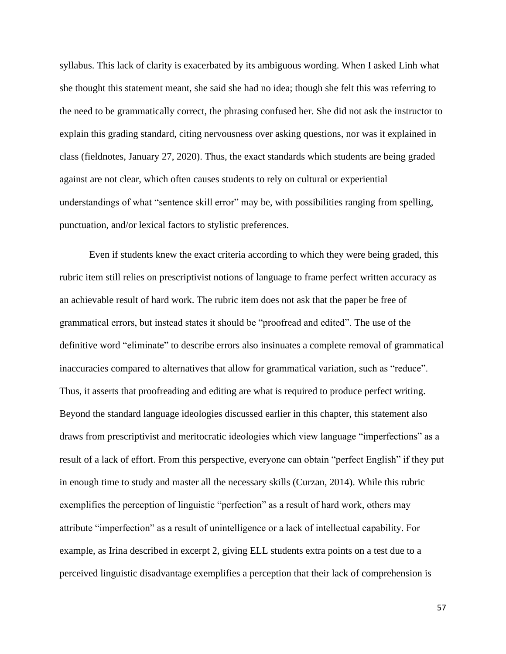syllabus. This lack of clarity is exacerbated by its ambiguous wording. When I asked Linh what she thought this statement meant, she said she had no idea; though she felt this was referring to the need to be grammatically correct, the phrasing confused her. She did not ask the instructor to explain this grading standard, citing nervousness over asking questions, nor was it explained in class (fieldnotes, January 27, 2020). Thus, the exact standards which students are being graded against are not clear, which often causes students to rely on cultural or experiential understandings of what "sentence skill error" may be, with possibilities ranging from spelling, punctuation, and/or lexical factors to stylistic preferences.

Even if students knew the exact criteria according to which they were being graded, this rubric item still relies on prescriptivist notions of language to frame perfect written accuracy as an achievable result of hard work. The rubric item does not ask that the paper be free of grammatical errors, but instead states it should be "proofread and edited". The use of the definitive word "eliminate" to describe errors also insinuates a complete removal of grammatical inaccuracies compared to alternatives that allow for grammatical variation, such as "reduce". Thus, it asserts that proofreading and editing are what is required to produce perfect writing. Beyond the standard language ideologies discussed earlier in this chapter, this statement also draws from prescriptivist and meritocratic ideologies which view language "imperfections" as a result of a lack of effort. From this perspective, everyone can obtain "perfect English" if they put in enough time to study and master all the necessary skills (Curzan, 2014). While this rubric exemplifies the perception of linguistic "perfection" as a result of hard work, others may attribute "imperfection" as a result of unintelligence or a lack of intellectual capability. For example, as Irina described in excerpt 2, giving ELL students extra points on a test due to a perceived linguistic disadvantage exemplifies a perception that their lack of comprehension is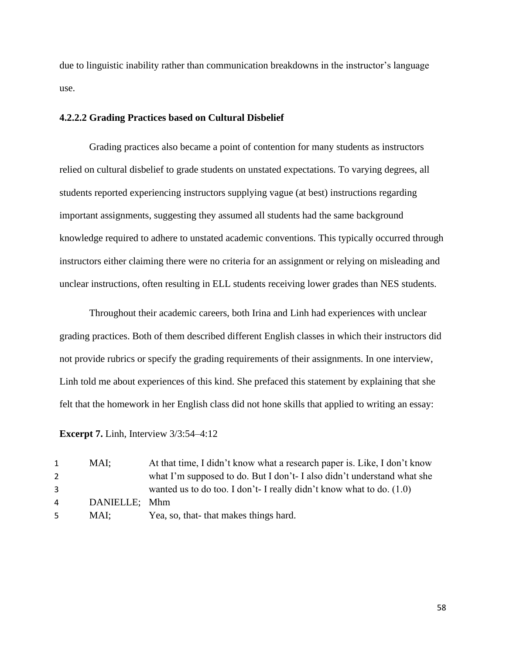due to linguistic inability rather than communication breakdowns in the instructor's language use.

# **4.2.2.2 Grading Practices based on Cultural Disbelief**

Grading practices also became a point of contention for many students as instructors relied on cultural disbelief to grade students on unstated expectations. To varying degrees, all students reported experiencing instructors supplying vague (at best) instructions regarding important assignments, suggesting they assumed all students had the same background knowledge required to adhere to unstated academic conventions. This typically occurred through instructors either claiming there were no criteria for an assignment or relying on misleading and unclear instructions, often resulting in ELL students receiving lower grades than NES students.

Throughout their academic careers, both Irina and Linh had experiences with unclear grading practices. Both of them described different English classes in which their instructors did not provide rubrics or specify the grading requirements of their assignments. In one interview, Linh told me about experiences of this kind. She prefaced this statement by explaining that she felt that the homework in her English class did not hone skills that applied to writing an essay:

**Excerpt 7.** Linh, Interview 3/3:54–4:12

| 1 | MAI:          | At that time, I didn't know what a research paper is. Like, I don't know |
|---|---------------|--------------------------------------------------------------------------|
| 2 |               | what I'm supposed to do. But I don't-I also didn't understand what she   |
| 3 |               | wanted us to do too. I don't- I really didn't know what to do. $(1.0)$   |
| 4 | DANIELLE; Mhm |                                                                          |
| 5 | MAI:          | Yea, so, that-that makes things hard.                                    |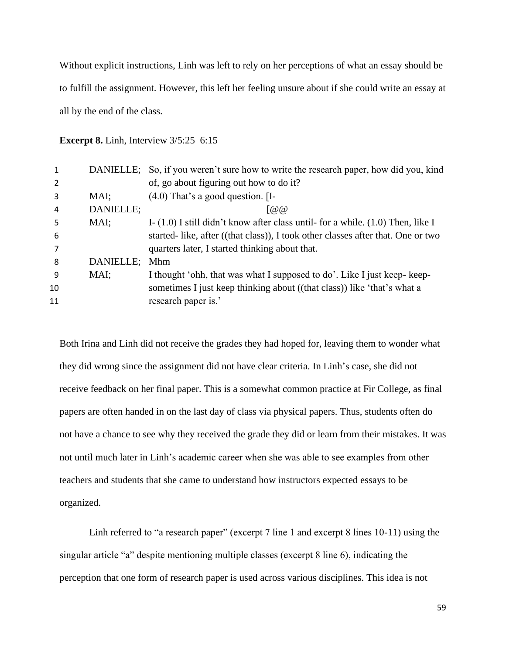Without explicit instructions, Linh was left to rely on her perceptions of what an essay should be to fulfill the assignment. However, this left her feeling unsure about if she could write an essay at all by the end of the class.

**Excerpt 8. Linh, Interview 3/5:25–6:15** 

|    |           | DANIELLE; So, if you weren't sure how to write the research paper, how did you, kind |
|----|-----------|--------------------------------------------------------------------------------------|
|    |           | of, go about figuring out how to do it?                                              |
| 3  | MAI:      | $(4.0)$ That's a good question. [I-                                                  |
| 4  | DANIELLE; | [@Q]                                                                                 |
| 5  | MAI;      | I- $(1.0)$ I still didn't know after class until- for a while. $(1.0)$ Then, like I  |
| 6  |           | started-like, after ((that class)), I took other classes after that. One or two      |
|    |           | quarters later, I started thinking about that.                                       |
| 8  | DANIELLE; | Mhm                                                                                  |
| 9  | MAI;      | I thought 'ohh, that was what I supposed to do'. Like I just keep-keep-              |
| 10 |           | sometimes I just keep thinking about ((that class)) like 'that's what a              |
| 11 |           | research paper is.'                                                                  |
|    |           |                                                                                      |

Both Irina and Linh did not receive the grades they had hoped for, leaving them to wonder what they did wrong since the assignment did not have clear criteria. In Linh's case, she did not receive feedback on her final paper. This is a somewhat common practice at Fir College, as final papers are often handed in on the last day of class via physical papers. Thus, students often do not have a chance to see why they received the grade they did or learn from their mistakes. It was not until much later in Linh's academic career when she was able to see examples from other teachers and students that she came to understand how instructors expected essays to be organized.

Linh referred to "a research paper" (excerpt 7 line 1 and excerpt 8 lines 10-11) using the singular article "a" despite mentioning multiple classes (excerpt 8 line 6), indicating the perception that one form of research paper is used across various disciplines. This idea is not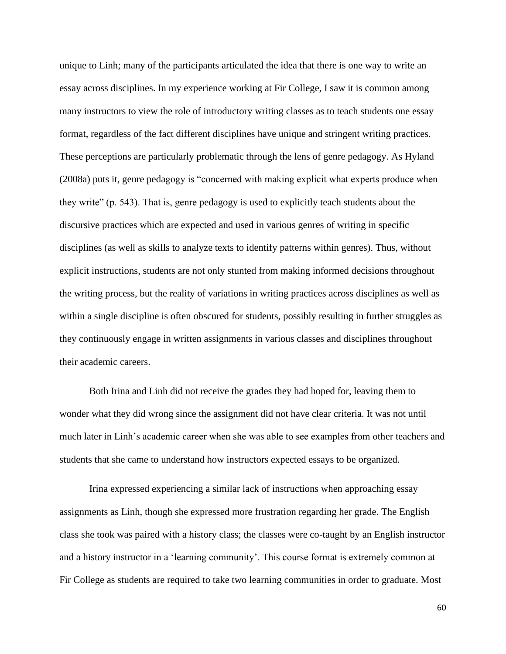unique to Linh; many of the participants articulated the idea that there is one way to write an essay across disciplines. In my experience working at Fir College, I saw it is common among many instructors to view the role of introductory writing classes as to teach students one essay format, regardless of the fact different disciplines have unique and stringent writing practices. These perceptions are particularly problematic through the lens of genre pedagogy. As Hyland (2008a) puts it, genre pedagogy is "concerned with making explicit what experts produce when they write" (p. 543). That is, genre pedagogy is used to explicitly teach students about the discursive practices which are expected and used in various genres of writing in specific disciplines (as well as skills to analyze texts to identify patterns within genres). Thus, without explicit instructions, students are not only stunted from making informed decisions throughout the writing process, but the reality of variations in writing practices across disciplines as well as within a single discipline is often obscured for students, possibly resulting in further struggles as they continuously engage in written assignments in various classes and disciplines throughout their academic careers.

Both Irina and Linh did not receive the grades they had hoped for, leaving them to wonder what they did wrong since the assignment did not have clear criteria. It was not until much later in Linh's academic career when she was able to see examples from other teachers and students that she came to understand how instructors expected essays to be organized.

Irina expressed experiencing a similar lack of instructions when approaching essay assignments as Linh, though she expressed more frustration regarding her grade. The English class she took was paired with a history class; the classes were co-taught by an English instructor and a history instructor in a 'learning community'. This course format is extremely common at Fir College as students are required to take two learning communities in order to graduate. Most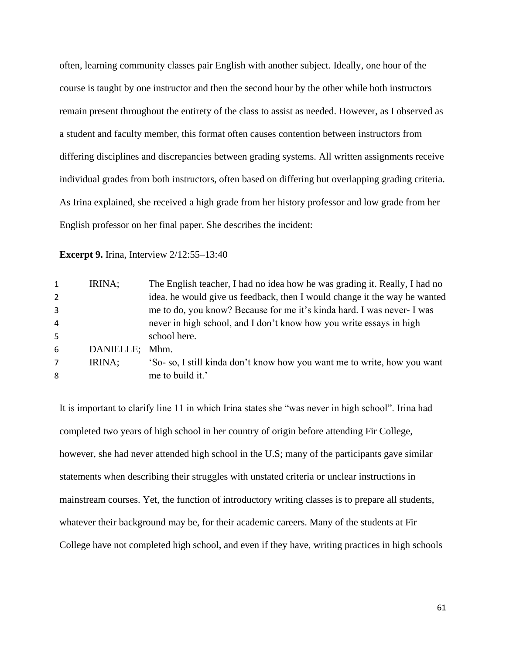often, learning community classes pair English with another subject. Ideally, one hour of the course is taught by one instructor and then the second hour by the other while both instructors remain present throughout the entirety of the class to assist as needed. However, as I observed as a student and faculty member, this format often causes contention between instructors from differing disciplines and discrepancies between grading systems. All written assignments receive individual grades from both instructors, often based on differing but overlapping grading criteria. As Irina explained, she received a high grade from her history professor and low grade from her English professor on her final paper. She describes the incident:

**Excerpt 9.** Irina, Interview 2/12:55–13:40

| $\mathbf{1}$   | IRINA;    | The English teacher, I had no idea how he was grading it. Really, I had no |
|----------------|-----------|----------------------------------------------------------------------------|
| $\overline{2}$ |           | idea, he would give us feedback, then I would change it the way he wanted  |
| 3              |           | me to do, you know? Because for me it's kinda hard. I was never- I was     |
| 4              |           | never in high school, and I don't know how you write essays in high        |
| 5              |           | school here.                                                               |
| 6              | DANIELLE; | Mhm.                                                                       |
| 7              | IRINA;    | 'So- so, I still kinda don't know how you want me to write, how you want   |
| 8              |           | me to build it.'                                                           |
|                |           |                                                                            |

It is important to clarify line 11 in which Irina states she "was never in high school". Irina had completed two years of high school in her country of origin before attending Fir College, however, she had never attended high school in the U.S; many of the participants gave similar statements when describing their struggles with unstated criteria or unclear instructions in mainstream courses. Yet, the function of introductory writing classes is to prepare all students, whatever their background may be, for their academic careers. Many of the students at Fir College have not completed high school, and even if they have, writing practices in high schools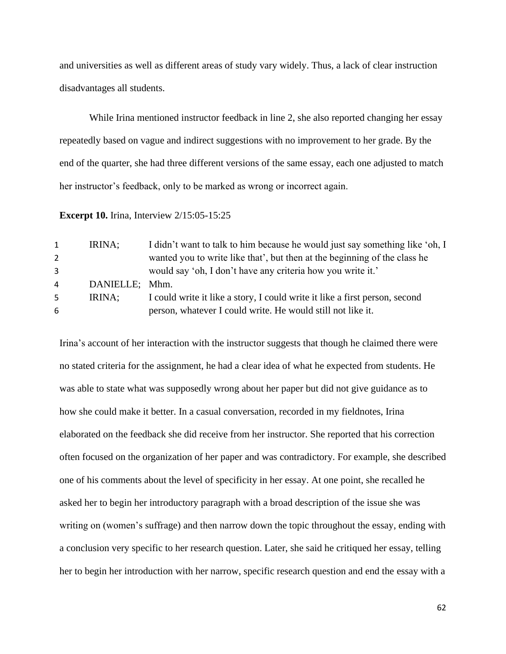and universities as well as different areas of study vary widely. Thus, a lack of clear instruction disadvantages all students.

While Irina mentioned instructor feedback in line 2, she also reported changing her essay repeatedly based on vague and indirect suggestions with no improvement to her grade. By the end of the quarter, she had three different versions of the same essay, each one adjusted to match her instructor's feedback, only to be marked as wrong or incorrect again.

**Excerpt 10.** Irina, Interview 2/15:05-15:25

| $1 \ \theta$ | IRINA;         | I didn't want to talk to him because he would just say something like 'oh, I |
|--------------|----------------|------------------------------------------------------------------------------|
| 2            |                | wanted you to write like that', but then at the beginning of the class he    |
| 3            |                | would say 'oh, I don't have any criteria how you write it.'                  |
| 4            | DANIELLE; Mhm. |                                                                              |
| 5            | IRINA;         | I could write it like a story, I could write it like a first person, second  |
| 6.           |                | person, whatever I could write. He would still not like it.                  |
|              |                |                                                                              |

Irina's account of her interaction with the instructor suggests that though he claimed there were no stated criteria for the assignment, he had a clear idea of what he expected from students. He was able to state what was supposedly wrong about her paper but did not give guidance as to how she could make it better. In a casual conversation, recorded in my fieldnotes, Irina elaborated on the feedback she did receive from her instructor. She reported that his correction often focused on the organization of her paper and was contradictory. For example, she described one of his comments about the level of specificity in her essay. At one point, she recalled he asked her to begin her introductory paragraph with a broad description of the issue she was writing on (women's suffrage) and then narrow down the topic throughout the essay, ending with a conclusion very specific to her research question. Later, she said he critiqued her essay, telling her to begin her introduction with her narrow, specific research question and end the essay with a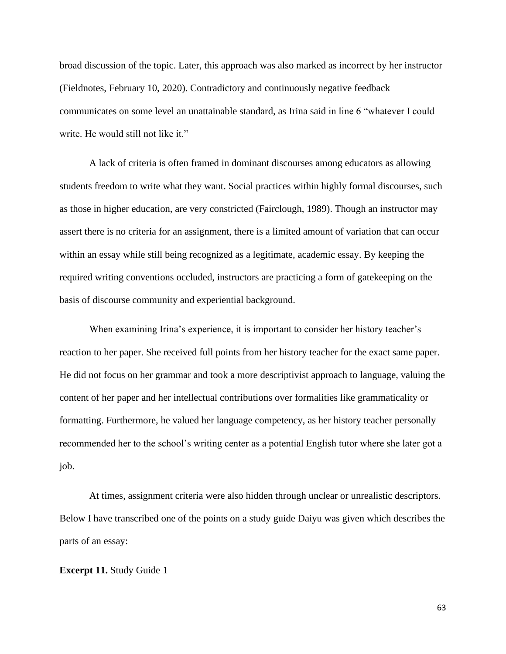broad discussion of the topic. Later, this approach was also marked as incorrect by her instructor (Fieldnotes, February 10, 2020). Contradictory and continuously negative feedback communicates on some level an unattainable standard, as Irina said in line 6 "whatever I could write. He would still not like it."

A lack of criteria is often framed in dominant discourses among educators as allowing students freedom to write what they want. Social practices within highly formal discourses, such as those in higher education, are very constricted (Fairclough, 1989). Though an instructor may assert there is no criteria for an assignment, there is a limited amount of variation that can occur within an essay while still being recognized as a legitimate, academic essay. By keeping the required writing conventions occluded, instructors are practicing a form of gatekeeping on the basis of discourse community and experiential background.

When examining Irina's experience, it is important to consider her history teacher's reaction to her paper. She received full points from her history teacher for the exact same paper. He did not focus on her grammar and took a more descriptivist approach to language, valuing the content of her paper and her intellectual contributions over formalities like grammaticality or formatting. Furthermore, he valued her language competency, as her history teacher personally recommended her to the school's writing center as a potential English tutor where she later got a job.

At times, assignment criteria were also hidden through unclear or unrealistic descriptors. Below I have transcribed one of the points on a study guide Daiyu was given which describes the parts of an essay:

## **Excerpt 11.** Study Guide 1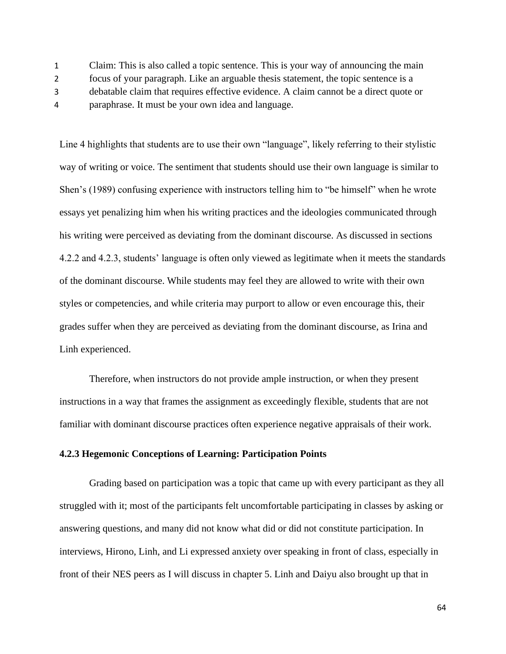1 Claim: This is also called a topic sentence. This is your way of announcing the main

- 2 focus of your paragraph. Like an arguable thesis statement, the topic sentence is a
- 3 debatable claim that requires effective evidence. A claim cannot be a direct quote or
- 4 paraphrase. It must be your own idea and language.

Line 4 highlights that students are to use their own "language", likely referring to their stylistic way of writing or voice. The sentiment that students should use their own language is similar to Shen's (1989) confusing experience with instructors telling him to "be himself" when he wrote essays yet penalizing him when his writing practices and the ideologies communicated through his writing were perceived as deviating from the dominant discourse. As discussed in sections 4.2.2 and 4.2.3, students' language is often only viewed as legitimate when it meets the standards of the dominant discourse. While students may feel they are allowed to write with their own styles or competencies, and while criteria may purport to allow or even encourage this, their grades suffer when they are perceived as deviating from the dominant discourse, as Irina and Linh experienced.

Therefore, when instructors do not provide ample instruction, or when they present instructions in a way that frames the assignment as exceedingly flexible, students that are not familiar with dominant discourse practices often experience negative appraisals of their work.

# **4.2.3 Hegemonic Conceptions of Learning: Participation Points**

Grading based on participation was a topic that came up with every participant as they all struggled with it; most of the participants felt uncomfortable participating in classes by asking or answering questions, and many did not know what did or did not constitute participation. In interviews, Hirono, Linh, and Li expressed anxiety over speaking in front of class, especially in front of their NES peers as I will discuss in chapter 5. Linh and Daiyu also brought up that in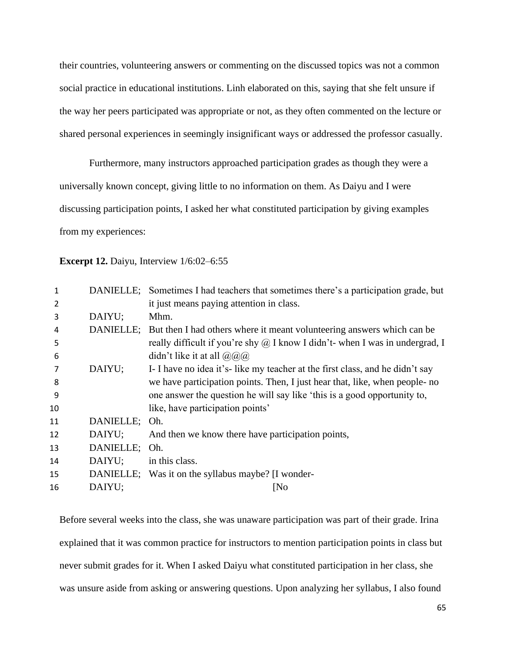their countries, volunteering answers or commenting on the discussed topics was not a common social practice in educational institutions. Linh elaborated on this, saying that she felt unsure if the way her peers participated was appropriate or not, as they often commented on the lecture or shared personal experiences in seemingly insignificant ways or addressed the professor casually.

Furthermore, many instructors approached participation grades as though they were a universally known concept, giving little to no information on them. As Daiyu and I were discussing participation points, I asked her what constituted participation by giving examples from my experiences:

#### **Excerpt 12.** Daiyu, Interview 1/6:02–6:55

| 1  |               | DANIELLE; Sometimes I had teachers that sometimes there's a participation grade, but |
|----|---------------|--------------------------------------------------------------------------------------|
| 2  |               | it just means paying attention in class.                                             |
| 3  | DAIYU;        | Mhm.                                                                                 |
| 4  |               | DANIELLE; But then I had others where it meant volunteering answers which can be     |
| 5  |               | really difficult if you're shy $\omega$ I know I didn't- when I was in undergrad, I  |
| 6  |               | didn't like it at all $\omega(\omega)$                                               |
| 7  | DAIYU;        | I- I have no idea it's-like my teacher at the first class, and he didn't say         |
| 8  |               | we have participation points. Then, I just hear that, like, when people- no          |
| 9  |               | one answer the question he will say like 'this is a good opportunity to,             |
| 10 |               | like, have participation points'                                                     |
| 11 | DANIELLE; Oh. |                                                                                      |
| 12 | DAIYU;        | And then we know there have participation points,                                    |
| 13 | DANIELLE; Oh. |                                                                                      |
| 14 | DAIYU;        | in this class.                                                                       |
| 15 |               | DANIELLE; Was it on the syllabus maybe? [I wonder-                                   |
| 16 | DAIYU;        | [No]                                                                                 |

Before several weeks into the class, she was unaware participation was part of their grade. Irina explained that it was common practice for instructors to mention participation points in class but never submit grades for it. When I asked Daiyu what constituted participation in her class, she was unsure aside from asking or answering questions. Upon analyzing her syllabus, I also found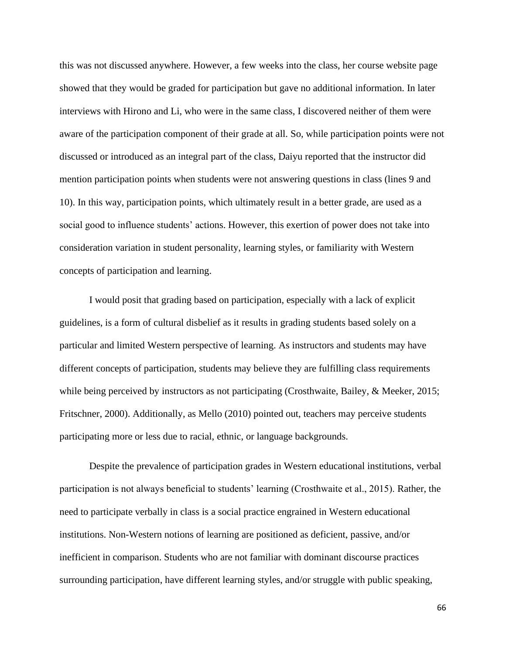this was not discussed anywhere. However, a few weeks into the class, her course website page showed that they would be graded for participation but gave no additional information. In later interviews with Hirono and Li, who were in the same class, I discovered neither of them were aware of the participation component of their grade at all. So, while participation points were not discussed or introduced as an integral part of the class, Daiyu reported that the instructor did mention participation points when students were not answering questions in class (lines 9 and 10). In this way, participation points, which ultimately result in a better grade, are used as a social good to influence students' actions. However, this exertion of power does not take into consideration variation in student personality, learning styles, or familiarity with Western concepts of participation and learning.

I would posit that grading based on participation, especially with a lack of explicit guidelines, is a form of cultural disbelief as it results in grading students based solely on a particular and limited Western perspective of learning. As instructors and students may have different concepts of participation, students may believe they are fulfilling class requirements while being perceived by instructors as not participating (Crosthwaite, Bailey, & Meeker, 2015; Fritschner, 2000). Additionally, as Mello (2010) pointed out, teachers may perceive students participating more or less due to racial, ethnic, or language backgrounds.

Despite the prevalence of participation grades in Western educational institutions, verbal participation is not always beneficial to students' learning (Crosthwaite et al., 2015). Rather, the need to participate verbally in class is a social practice engrained in Western educational institutions. Non-Western notions of learning are positioned as deficient, passive, and/or inefficient in comparison. Students who are not familiar with dominant discourse practices surrounding participation, have different learning styles, and/or struggle with public speaking,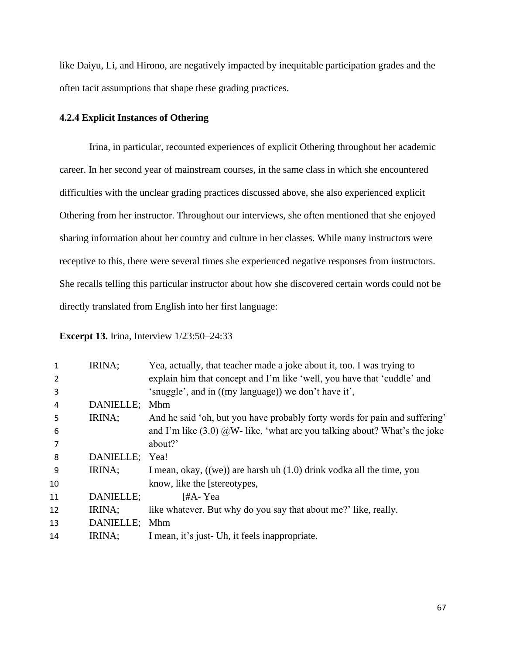like Daiyu, Li, and Hirono, are negatively impacted by inequitable participation grades and the often tacit assumptions that shape these grading practices.

# **4.2.4 Explicit Instances of Othering**

Irina, in particular, recounted experiences of explicit Othering throughout her academic career. In her second year of mainstream courses, in the same class in which she encountered difficulties with the unclear grading practices discussed above, she also experienced explicit Othering from her instructor. Throughout our interviews, she often mentioned that she enjoyed sharing information about her country and culture in her classes. While many instructors were receptive to this, there were several times she experienced negative responses from instructors. She recalls telling this particular instructor about how she discovered certain words could not be directly translated from English into her first language:

**Excerpt 13.** Irina, Interview 1/23:50–24:33

| 1  | IRINA;    | Yea, actually, that teacher made a joke about it, too. I was trying to      |
|----|-----------|-----------------------------------------------------------------------------|
| 2  |           | explain him that concept and I'm like 'well, you have that 'cuddle' and     |
| 3  |           | 'snuggle', and in ((my language)) we don't have it',                        |
| 4  | DANIELLE; | Mhm                                                                         |
| 5  | IRINA;    | And he said 'oh, but you have probably forty words for pain and suffering'  |
| 6  |           | and I'm like $(3.0)$ @W- like, 'what are you talking about? What's the joke |
| 7  |           | about?'                                                                     |
| 8  | DANIELLE; | Yea!                                                                        |
| 9  | IRINA;    | I mean, okay, $((we))$ are harsh uh $(1.0)$ drink vodka all the time, you   |
| 10 |           | know, like the [stereotypes,                                                |
| 11 | DANIELLE: | [#A-Yea                                                                     |
| 12 | IRINA;    | like whatever. But why do you say that about me?' like, really.             |
| 13 | DANIELLE; | Mhm                                                                         |
| 14 | IRINA;    | I mean, it's just- Uh, it feels inappropriate.                              |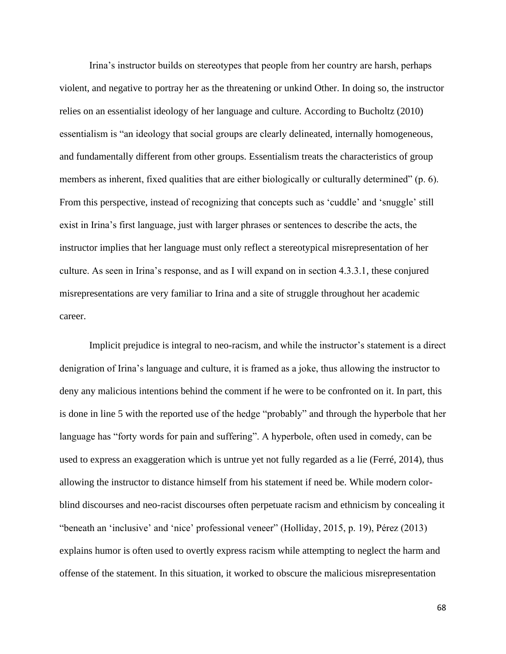Irina's instructor builds on stereotypes that people from her country are harsh, perhaps violent, and negative to portray her as the threatening or unkind Other. In doing so, the instructor relies on an essentialist ideology of her language and culture. According to Bucholtz (2010) essentialism is "an ideology that social groups are clearly delineated, internally homogeneous, and fundamentally different from other groups. Essentialism treats the characteristics of group members as inherent, fixed qualities that are either biologically or culturally determined" (p. 6). From this perspective, instead of recognizing that concepts such as 'cuddle' and 'snuggle' still exist in Irina's first language, just with larger phrases or sentences to describe the acts, the instructor implies that her language must only reflect a stereotypical misrepresentation of her culture. As seen in Irina's response, and as I will expand on in section 4.3.3.1, these conjured misrepresentations are very familiar to Irina and a site of struggle throughout her academic career.

Implicit prejudice is integral to neo-racism, and while the instructor's statement is a direct denigration of Irina's language and culture, it is framed as a joke, thus allowing the instructor to deny any malicious intentions behind the comment if he were to be confronted on it. In part, this is done in line 5 with the reported use of the hedge "probably" and through the hyperbole that her language has "forty words for pain and suffering". A hyperbole, often used in comedy, can be used to express an exaggeration which is untrue yet not fully regarded as a lie (Ferré, 2014), thus allowing the instructor to distance himself from his statement if need be. While modern colorblind discourses and neo-racist discourses often perpetuate racism and ethnicism by concealing it "beneath an 'inclusive' and 'nice' professional veneer" (Holliday, 2015, p. 19), Pérez (2013) explains humor is often used to overtly express racism while attempting to neglect the harm and offense of the statement. In this situation, it worked to obscure the malicious misrepresentation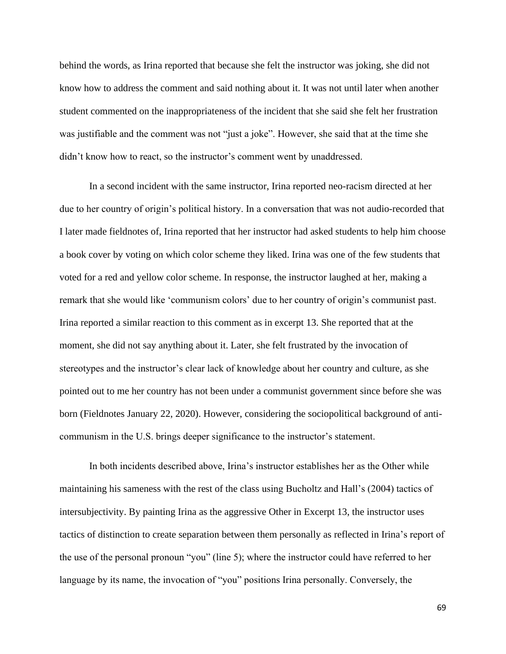behind the words, as Irina reported that because she felt the instructor was joking, she did not know how to address the comment and said nothing about it. It was not until later when another student commented on the inappropriateness of the incident that she said she felt her frustration was justifiable and the comment was not "just a joke". However, she said that at the time she didn't know how to react, so the instructor's comment went by unaddressed.

In a second incident with the same instructor, Irina reported neo-racism directed at her due to her country of origin's political history. In a conversation that was not audio-recorded that I later made fieldnotes of, Irina reported that her instructor had asked students to help him choose a book cover by voting on which color scheme they liked. Irina was one of the few students that voted for a red and yellow color scheme. In response, the instructor laughed at her, making a remark that she would like 'communism colors' due to her country of origin's communist past. Irina reported a similar reaction to this comment as in excerpt 13. She reported that at the moment, she did not say anything about it. Later, she felt frustrated by the invocation of stereotypes and the instructor's clear lack of knowledge about her country and culture, as she pointed out to me her country has not been under a communist government since before she was born (Fieldnotes January 22, 2020). However, considering the sociopolitical background of anticommunism in the U.S. brings deeper significance to the instructor's statement.

In both incidents described above, Irina's instructor establishes her as the Other while maintaining his sameness with the rest of the class using Bucholtz and Hall's (2004) tactics of intersubjectivity. By painting Irina as the aggressive Other in Excerpt 13, the instructor uses tactics of distinction to create separation between them personally as reflected in Irina's report of the use of the personal pronoun "you" (line 5); where the instructor could have referred to her language by its name, the invocation of "you" positions Irina personally. Conversely, the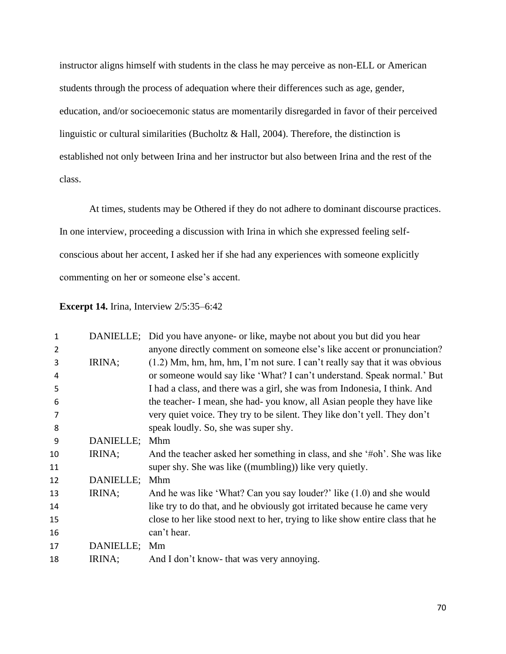instructor aligns himself with students in the class he may perceive as non-ELL or American students through the process of adequation where their differences such as age, gender, education, and/or socioecemonic status are momentarily disregarded in favor of their perceived linguistic or cultural similarities (Bucholtz & Hall, 2004). Therefore, the distinction is established not only between Irina and her instructor but also between Irina and the rest of the class.

At times, students may be Othered if they do not adhere to dominant discourse practices. In one interview, proceeding a discussion with Irina in which she expressed feeling selfconscious about her accent, I asked her if she had any experiences with someone explicitly commenting on her or someone else's accent.

## **Excerpt 14.** Irina, Interview 2/5:35–6:42

| 1  |              | DANIELLE; Did you have anyone- or like, maybe not about you but did you hear  |
|----|--------------|-------------------------------------------------------------------------------|
|    |              |                                                                               |
| 2  |              | anyone directly comment on someone else's like accent or pronunciation?       |
| 3  | IRINA;       | $(1.2)$ Mm, hm, hm, hm, I'm not sure. I can't really say that it was obvious  |
| 4  |              | or someone would say like 'What? I can't understand. Speak normal.' But       |
| 5  |              | I had a class, and there was a girl, she was from Indonesia, I think. And     |
| 6  |              | the teacher- I mean, she had-you know, all Asian people they have like        |
| 7  |              | very quiet voice. They try to be silent. They like don't yell. They don't     |
| 8  |              | speak loudly. So, she was super shy.                                          |
| 9  | DANIELLE;    | Mhm                                                                           |
| 10 | IRINA;       | And the teacher asked her something in class, and she '#oh'. She was like     |
| 11 |              | super shy. She was like ((mumbling)) like very quietly.                       |
| 12 | DANIELLE;    | Mhm                                                                           |
| 13 | IRINA;       | And he was like 'What? Can you say louder?' like (1.0) and she would          |
| 14 |              | like try to do that, and he obviously got irritated because he came very      |
| 15 |              | close to her like stood next to her, trying to like show entire class that he |
| 16 |              | can't hear.                                                                   |
| 17 | DANIELLE; Mm |                                                                               |
| 18 | IRINA;       | And I don't know- that was very annoying.                                     |
|    |              |                                                                               |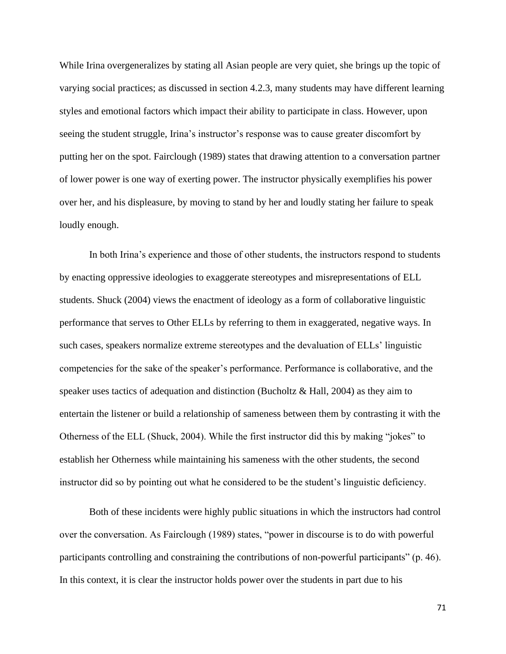While Irina overgeneralizes by stating all Asian people are very quiet, she brings up the topic of varying social practices; as discussed in section 4.2.3, many students may have different learning styles and emotional factors which impact their ability to participate in class. However, upon seeing the student struggle, Irina's instructor's response was to cause greater discomfort by putting her on the spot. Fairclough (1989) states that drawing attention to a conversation partner of lower power is one way of exerting power. The instructor physically exemplifies his power over her, and his displeasure, by moving to stand by her and loudly stating her failure to speak loudly enough.

In both Irina's experience and those of other students, the instructors respond to students by enacting oppressive ideologies to exaggerate stereotypes and misrepresentations of ELL students. Shuck (2004) views the enactment of ideology as a form of collaborative linguistic performance that serves to Other ELLs by referring to them in exaggerated, negative ways. In such cases, speakers normalize extreme stereotypes and the devaluation of ELLs' linguistic competencies for the sake of the speaker's performance. Performance is collaborative, and the speaker uses tactics of adequation and distinction (Bucholtz & Hall, 2004) as they aim to entertain the listener or build a relationship of sameness between them by contrasting it with the Otherness of the ELL (Shuck, 2004). While the first instructor did this by making "jokes" to establish her Otherness while maintaining his sameness with the other students, the second instructor did so by pointing out what he considered to be the student's linguistic deficiency.

Both of these incidents were highly public situations in which the instructors had control over the conversation. As Fairclough (1989) states, "power in discourse is to do with powerful participants controlling and constraining the contributions of non-powerful participants" (p. 46). In this context, it is clear the instructor holds power over the students in part due to his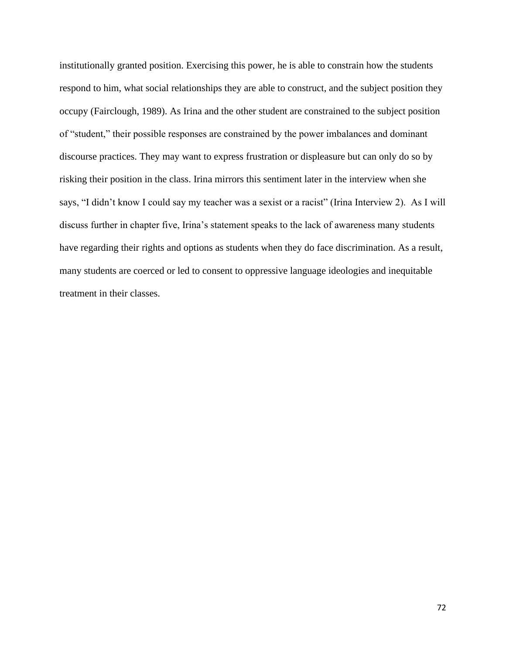institutionally granted position. Exercising this power, he is able to constrain how the students respond to him, what social relationships they are able to construct, and the subject position they occupy (Fairclough, 1989). As Irina and the other student are constrained to the subject position of "student," their possible responses are constrained by the power imbalances and dominant discourse practices. They may want to express frustration or displeasure but can only do so by risking their position in the class. Irina mirrors this sentiment later in the interview when she says, "I didn't know I could say my teacher was a sexist or a racist" (Irina Interview 2). As I will discuss further in chapter five, Irina's statement speaks to the lack of awareness many students have regarding their rights and options as students when they do face discrimination. As a result, many students are coerced or led to consent to oppressive language ideologies and inequitable treatment in their classes.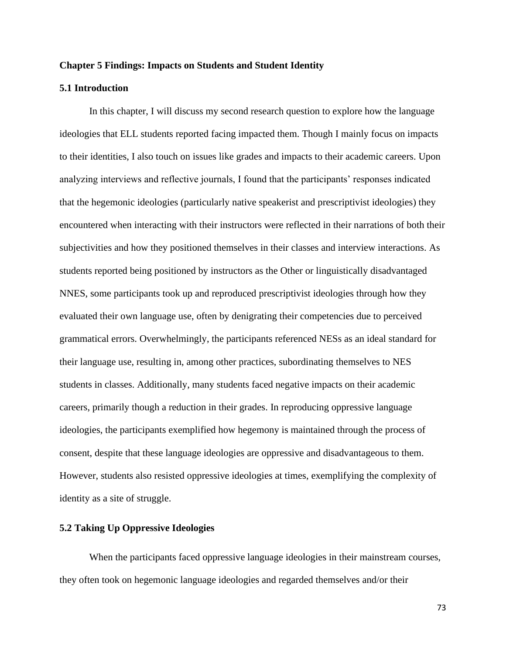## **Chapter 5 Findings: Impacts on Students and Student Identity**

# **5.1 Introduction**

In this chapter, I will discuss my second research question to explore how the language ideologies that ELL students reported facing impacted them. Though I mainly focus on impacts to their identities, I also touch on issues like grades and impacts to their academic careers. Upon analyzing interviews and reflective journals, I found that the participants' responses indicated that the hegemonic ideologies (particularly native speakerist and prescriptivist ideologies) they encountered when interacting with their instructors were reflected in their narrations of both their subjectivities and how they positioned themselves in their classes and interview interactions. As students reported being positioned by instructors as the Other or linguistically disadvantaged NNES, some participants took up and reproduced prescriptivist ideologies through how they evaluated their own language use, often by denigrating their competencies due to perceived grammatical errors. Overwhelmingly, the participants referenced NESs as an ideal standard for their language use, resulting in, among other practices, subordinating themselves to NES students in classes. Additionally, many students faced negative impacts on their academic careers, primarily though a reduction in their grades. In reproducing oppressive language ideologies, the participants exemplified how hegemony is maintained through the process of consent, despite that these language ideologies are oppressive and disadvantageous to them. However, students also resisted oppressive ideologies at times, exemplifying the complexity of identity as a site of struggle.

#### **5.2 Taking Up Oppressive Ideologies**

When the participants faced oppressive language ideologies in their mainstream courses, they often took on hegemonic language ideologies and regarded themselves and/or their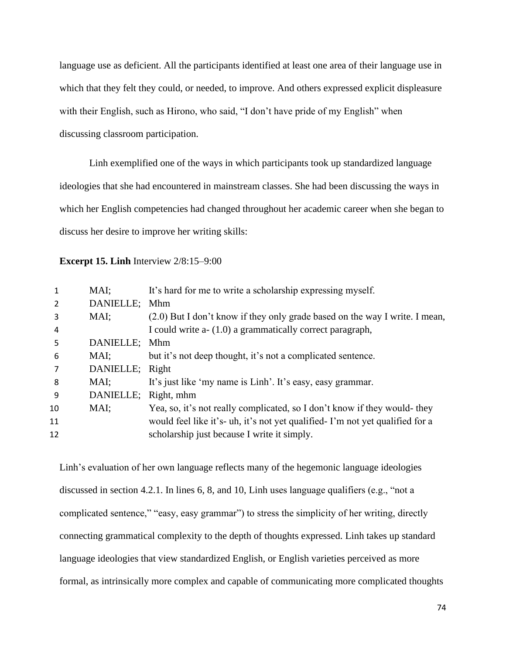language use as deficient. All the participants identified at least one area of their language use in which that they felt they could, or needed, to improve. And others expressed explicit displeasure with their English, such as Hirono, who said, "I don't have pride of my English" when discussing classroom participation.

Linh exemplified one of the ways in which participants took up standardized language ideologies that she had encountered in mainstream classes. She had been discussing the ways in which her English competencies had changed throughout her academic career when she began to discuss her desire to improve her writing skills:

**Excerpt 15. Linh** Interview 2/8:15–9:00

|                | MAI;            | It's hard for me to write a scholarship expressing myself.                   |
|----------------|-----------------|------------------------------------------------------------------------------|
| $\overline{2}$ | DANIELLE; Mhm   |                                                                              |
| 3              | MAI;            | (2.0) But I don't know if they only grade based on the way I write. I mean,  |
| 4              |                 | I could write a- (1.0) a grammatically correct paragraph,                    |
| 5              | DANIELLE; Mhm   |                                                                              |
| 6              | MAI;            | but it's not deep thought, it's not a complicated sentence.                  |
|                | DANIELLE; Right |                                                                              |
| 8              | MAI:            | It's just like 'my name is Linh'. It's easy, easy grammar.                   |
| 9              | DANIELLE;       | Right, mhm                                                                   |
| 10             | MAI;            | Yea, so, it's not really complicated, so I don't know if they would- they    |
| 11             |                 | would feel like it's- uh, it's not yet qualified-I'm not yet qualified for a |
| 12             |                 | scholarship just because I write it simply.                                  |
|                |                 |                                                                              |

Linh's evaluation of her own language reflects many of the hegemonic language ideologies discussed in section 4.2.1. In lines 6, 8, and 10, Linh uses language qualifiers (e.g., "not a complicated sentence," "easy, easy grammar") to stress the simplicity of her writing, directly connecting grammatical complexity to the depth of thoughts expressed. Linh takes up standard language ideologies that view standardized English, or English varieties perceived as more formal, as intrinsically more complex and capable of communicating more complicated thoughts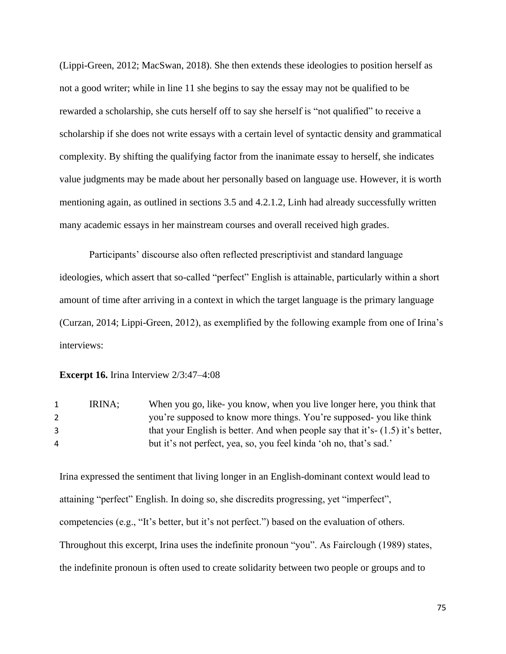(Lippi-Green, 2012; MacSwan, 2018). She then extends these ideologies to position herself as not a good writer; while in line 11 she begins to say the essay may not be qualified to be rewarded a scholarship, she cuts herself off to say she herself is "not qualified" to receive a scholarship if she does not write essays with a certain level of syntactic density and grammatical complexity. By shifting the qualifying factor from the inanimate essay to herself, she indicates value judgments may be made about her personally based on language use. However, it is worth mentioning again, as outlined in sections 3.5 and 4.2.1.2, Linh had already successfully written many academic essays in her mainstream courses and overall received high grades.

Participants' discourse also often reflected prescriptivist and standard language ideologies, which assert that so-called "perfect" English is attainable, particularly within a short amount of time after arriving in a context in which the target language is the primary language (Curzan, 2014; Lippi-Green, 2012), as exemplified by the following example from one of Irina's interviews:

## **Excerpt 16.** Irina Interview 2/3:47–4:08

| 1 | IRINA: | When you go, like-you know, when you live longer here, you think that            |
|---|--------|----------------------------------------------------------------------------------|
| 2 |        | you're supposed to know more things. You're supposed-you like think              |
|   |        | that your English is better. And when people say that it's- $(1.5)$ it's better, |
| 4 |        | but it's not perfect, yea, so, you feel kinda 'oh no, that's sad.'               |

Irina expressed the sentiment that living longer in an English-dominant context would lead to attaining "perfect" English. In doing so, she discredits progressing, yet "imperfect", competencies (e.g., "It's better, but it's not perfect.") based on the evaluation of others. Throughout this excerpt, Irina uses the indefinite pronoun "you". As Fairclough (1989) states, the indefinite pronoun is often used to create solidarity between two people or groups and to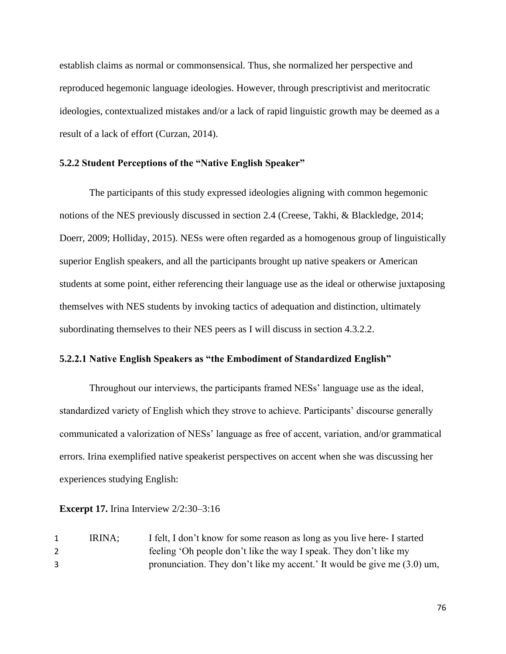establish claims as normal or commonsensical. Thus, she normalized her perspective and reproduced hegemonic language ideologies. However, through prescriptivist and meritocratic ideologies, contextualized mistakes and/or a lack of rapid linguistic growth may be deemed as a result of a lack of effort (Curzan, 2014).

# **5.2.2 Student Perceptions of the "Native English Speaker"**

The participants of this study expressed ideologies aligning with common hegemonic notions of the NES previously discussed in section 2.4 (Creese, Takhi, & Blackledge, 2014; Doerr, 2009; Holliday, 2015). NESs were often regarded as a homogenous group of linguistically superior English speakers, and all the participants brought up native speakers or American students at some point, either referencing their language use as the ideal or otherwise juxtaposing themselves with NES students by invoking tactics of adequation and distinction, ultimately subordinating themselves to their NES peers as I will discuss in section 4.3.2.2.

# **5.2.2.1 Native English Speakers as "the Embodiment of Standardized English"**

Throughout our interviews, the participants framed NESs' language use as the ideal, standardized variety of English which they strove to achieve. Participants' discourse generally communicated a valorization of NESs' language as free of accent, variation, and/or grammatical errors. Irina exemplified native speakerist perspectives on accent when she was discussing her experiences studying English:

**Excerpt 17.** Irina Interview 2/2:30–3:16

1 IRINA; I felt, I don't know for some reason as long as you live here- I started 2 feeling 'Oh people don't like the way I speak. They don't like my 3 pronunciation. They don't like my accent.' It would be give me (3.0) um,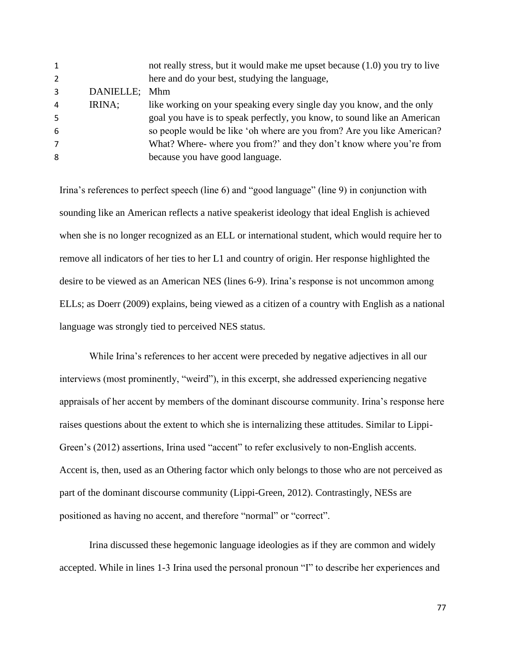|           | not really stress, but it would make me upset because (1.0) you try to live |
|-----------|-----------------------------------------------------------------------------|
|           | here and do your best, studying the language,                               |
| DANIELLE; | <b>Mhm</b>                                                                  |
| IRINA;    | like working on your speaking every single day you know, and the only       |
|           | goal you have is to speak perfectly, you know, to sound like an American    |
|           | so people would be like 'oh where are you from? Are you like American?      |
|           | What? Where- where you from?' and they don't know where you're from         |
|           | because you have good language.                                             |
|           |                                                                             |

Irina's references to perfect speech (line 6) and "good language" (line 9) in conjunction with sounding like an American reflects a native speakerist ideology that ideal English is achieved when she is no longer recognized as an ELL or international student, which would require her to remove all indicators of her ties to her L1 and country of origin. Her response highlighted the desire to be viewed as an American NES (lines 6-9). Irina's response is not uncommon among ELLs; as Doerr (2009) explains, being viewed as a citizen of a country with English as a national language was strongly tied to perceived NES status.

While Irina's references to her accent were preceded by negative adjectives in all our interviews (most prominently, "weird"), in this excerpt, she addressed experiencing negative appraisals of her accent by members of the dominant discourse community. Irina's response here raises questions about the extent to which she is internalizing these attitudes. Similar to Lippi-Green's (2012) assertions, Irina used "accent" to refer exclusively to non-English accents. Accent is, then, used as an Othering factor which only belongs to those who are not perceived as part of the dominant discourse community (Lippi-Green, 2012). Contrastingly, NESs are positioned as having no accent, and therefore "normal" or "correct".

Irina discussed these hegemonic language ideologies as if they are common and widely accepted. While in lines 1-3 Irina used the personal pronoun "I" to describe her experiences and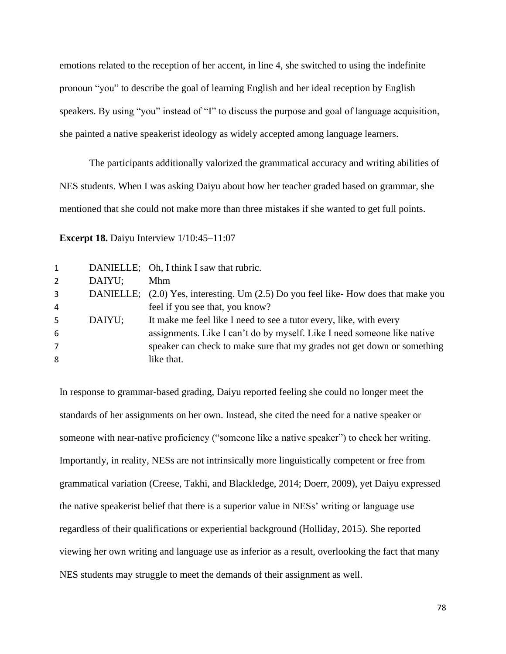emotions related to the reception of her accent, in line 4, she switched to using the indefinite pronoun "you" to describe the goal of learning English and her ideal reception by English speakers. By using "you" instead of "I" to discuss the purpose and goal of language acquisition, she painted a native speakerist ideology as widely accepted among language learners.

The participants additionally valorized the grammatical accuracy and writing abilities of NES students. When I was asking Daiyu about how her teacher graded based on grammar, she mentioned that she could not make more than three mistakes if she wanted to get full points.

**Excerpt 18.** Daiyu Interview  $1/10:45-11:07$ 

| 1              |        | DANIELLE; Oh, I think I saw that rubric.                                           |
|----------------|--------|------------------------------------------------------------------------------------|
| $\overline{2}$ | DAIYU; | Mhm                                                                                |
| 3              |        | DANIELLE; (2.0) Yes, interesting. Um (2.5) Do you feel like-How does that make you |
| 4              |        | feel if you see that, you know?                                                    |
| 5.             | DAIYU; | It make me feel like I need to see a tutor every, like, with every                 |
| 6              |        | assignments. Like I can't do by myself. Like I need someone like native            |
| 7              |        | speaker can check to make sure that my grades not get down or something            |
| 8              |        | like that.                                                                         |
|                |        |                                                                                    |

In response to grammar-based grading, Daiyu reported feeling she could no longer meet the standards of her assignments on her own. Instead, she cited the need for a native speaker or someone with near-native proficiency ("someone like a native speaker") to check her writing. Importantly, in reality, NESs are not intrinsically more linguistically competent or free from grammatical variation (Creese, Takhi, and Blackledge, 2014; Doerr, 2009), yet Daiyu expressed the native speakerist belief that there is a superior value in NESs' writing or language use regardless of their qualifications or experiential background (Holliday, 2015). She reported viewing her own writing and language use as inferior as a result, overlooking the fact that many NES students may struggle to meet the demands of their assignment as well.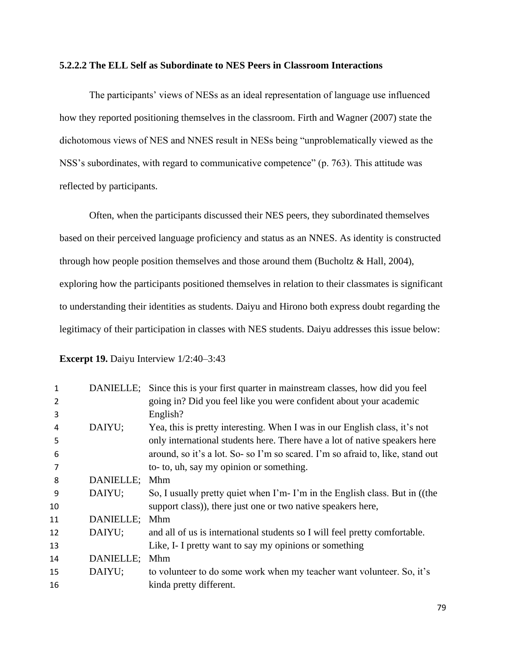## **5.2.2.2 The ELL Self as Subordinate to NES Peers in Classroom Interactions**

The participants' views of NESs as an ideal representation of language use influenced how they reported positioning themselves in the classroom. Firth and Wagner (2007) state the dichotomous views of NES and NNES result in NESs being "unproblematically viewed as the NSS's subordinates, with regard to communicative competence" (p. 763). This attitude was reflected by participants.

Often, when the participants discussed their NES peers, they subordinated themselves based on their perceived language proficiency and status as an NNES. As identity is constructed through how people position themselves and those around them (Bucholtz & Hall, 2004), exploring how the participants positioned themselves in relation to their classmates is significant to understanding their identities as students. Daiyu and Hirono both express doubt regarding the legitimacy of their participation in classes with NES students. Daiyu addresses this issue below:

| <b>Excerpt 19.</b> Daiyu Interview 1/2:40–3:43 |  |  |  |  |
|------------------------------------------------|--|--|--|--|
|------------------------------------------------|--|--|--|--|

| 1  |           | DANIELLE; Since this is your first quarter in mainstream classes, how did you feel |
|----|-----------|------------------------------------------------------------------------------------|
| 2  |           | going in? Did you feel like you were confident about your academic                 |
| 3  |           | English?                                                                           |
| 4  | DAIYU;    | Yea, this is pretty interesting. When I was in our English class, it's not         |
| 5  |           | only international students here. There have a lot of native speakers here         |
| 6  |           | around, so it's a lot. So-so I'm so scared. I'm so afraid to, like, stand out      |
| 7  |           | to- to, uh, say my opinion or something.                                           |
| 8  | DANIELLE; | Mhm                                                                                |
| 9  | DAIYU;    | So, I usually pretty quiet when I'm-I'm in the English class. But in ((the         |
| 10 |           | support class)), there just one or two native speakers here,                       |
| 11 | DANIELLE; | Mhm                                                                                |
| 12 | DAIYU;    | and all of us is international students so I will feel pretty comfortable.         |
| 13 |           | Like, I- I pretty want to say my opinions or something                             |
| 14 | DANIELLE; | Mhm                                                                                |
| 15 | DAIYU;    | to volunteer to do some work when my teacher want volunteer. So, it's              |
| 16 |           | kinda pretty different.                                                            |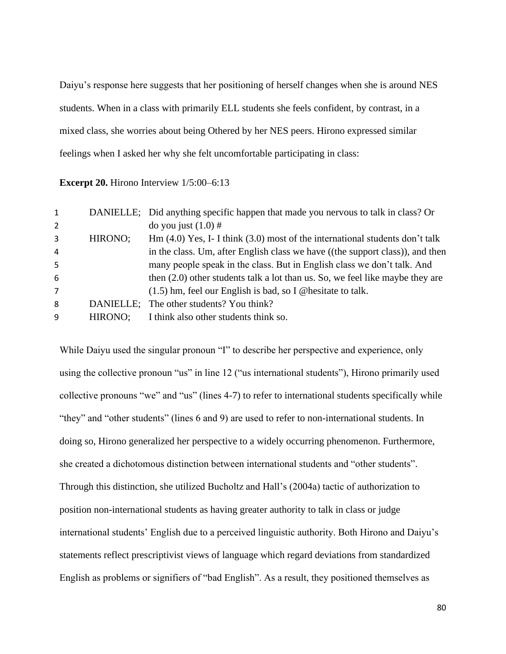Daiyu's response here suggests that her positioning of herself changes when she is around NES students. When in a class with primarily ELL students she feels confident, by contrast, in a mixed class, she worries about being Othered by her NES peers. Hirono expressed similar feelings when I asked her why she felt uncomfortable participating in class:

#### **Excerpt 20.** Hirono Interview  $1/5:00-6:13$

| $\mathbf{1}$   |         | DANIELLE; Did anything specific happen that made you nervous to talk in class? Or |
|----------------|---------|-----------------------------------------------------------------------------------|
| $\overline{2}$ |         | do you just $(1.0)$ #                                                             |
| 3              | HIRONO; | Hm $(4.0)$ Yes, I- I think $(3.0)$ most of the international students don't talk  |
| 4              |         | in the class. Um, after English class we have ((the support class)), and then     |
| 5              |         | many people speak in the class. But in English class we don't talk. And           |
| 6              |         | then $(2.0)$ other students talk a lot than us. So, we feel like maybe they are   |
| $\overline{7}$ |         | $(1.5)$ hm, feel our English is bad, so I @hesitate to talk.                      |
| 8              |         | DANIELLE: The other students? You think?                                          |
| 9              | HIRONO: | I think also other students think so.                                             |

While Daiyu used the singular pronoun "I" to describe her perspective and experience, only using the collective pronoun "us" in line 12 ("us international students"), Hirono primarily used collective pronouns "we" and "us" (lines 4-7) to refer to international students specifically while "they" and "other students" (lines 6 and 9) are used to refer to non-international students. In doing so, Hirono generalized her perspective to a widely occurring phenomenon. Furthermore, she created a dichotomous distinction between international students and "other students". Through this distinction, she utilized Bucholtz and Hall's (2004a) tactic of authorization to position non-international students as having greater authority to talk in class or judge international students' English due to a perceived linguistic authority. Both Hirono and Daiyu's statements reflect prescriptivist views of language which regard deviations from standardized English as problems or signifiers of "bad English". As a result, they positioned themselves as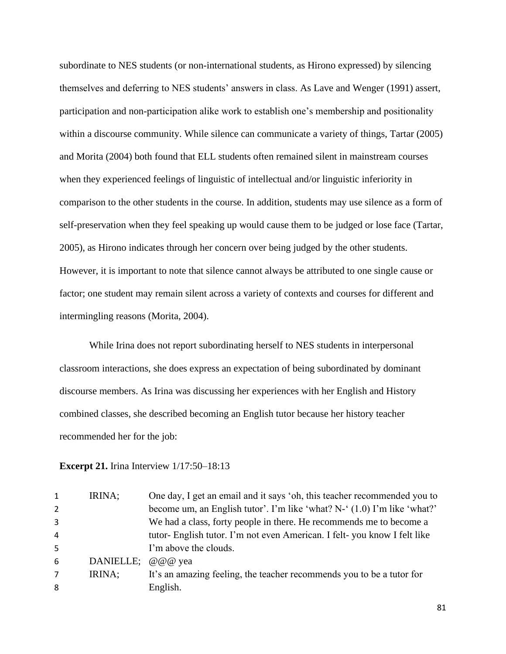subordinate to NES students (or non-international students, as Hirono expressed) by silencing themselves and deferring to NES students' answers in class. As Lave and Wenger (1991) assert, participation and non-participation alike work to establish one's membership and positionality within a discourse community. While silence can communicate a variety of things, Tartar (2005) and Morita (2004) both found that ELL students often remained silent in mainstream courses when they experienced feelings of linguistic of intellectual and/or linguistic inferiority in comparison to the other students in the course. In addition, students may use silence as a form of self-preservation when they feel speaking up would cause them to be judged or lose face (Tartar, 2005), as Hirono indicates through her concern over being judged by the other students. However, it is important to note that silence cannot always be attributed to one single cause or factor; one student may remain silent across a variety of contexts and courses for different and intermingling reasons (Morita, 2004).

While Irina does not report subordinating herself to NES students in interpersonal classroom interactions, she does express an expectation of being subordinated by dominant discourse members. As Irina was discussing her experiences with her English and History combined classes, she described becoming an English tutor because her history teacher recommended her for the job:

#### **Excerpt 21.** Irina Interview  $1/17:50-18:13$

| $\mathbf{1}$   | IRINA;            | One day, I get an email and it says 'oh, this teacher recommended you to |
|----------------|-------------------|--------------------------------------------------------------------------|
| 2              |                   | become um, an English tutor'. I'm like 'what? N-' (1.0) I'm like 'what?' |
| 3              |                   | We had a class, forty people in there. He recommends me to become a      |
| 4              |                   | tutor- English tutor. I'm not even American. I felt-you know I felt like |
| 5              |                   | I'm above the clouds.                                                    |
| 6              | DANIELLE; @@@ yea |                                                                          |
| $\overline{7}$ | IRINA;            | It's an amazing feeling, the teacher recommends you to be a tutor for    |
| 8              |                   | English.                                                                 |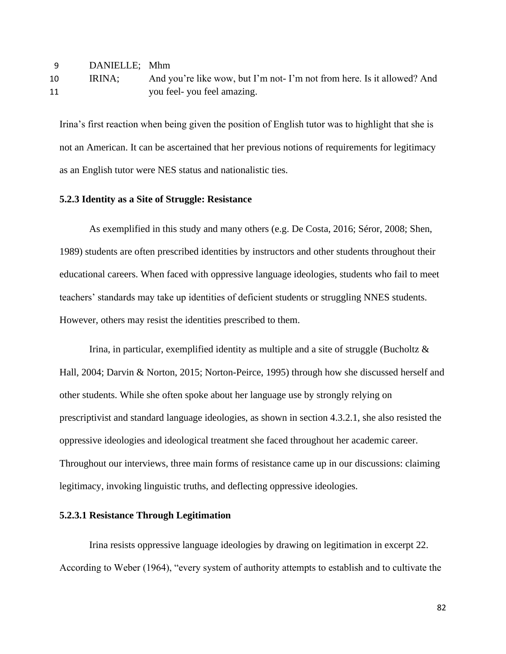| <b>q</b> | DANIELLE; Mhm |                                                                        |
|----------|---------------|------------------------------------------------------------------------|
| 10       | IRINA:        | And you're like wow, but I'm not-I'm not from here. Is it allowed? And |
| 11       |               | you feel-you feel amazing.                                             |

Irina's first reaction when being given the position of English tutor was to highlight that she is not an American. It can be ascertained that her previous notions of requirements for legitimacy as an English tutor were NES status and nationalistic ties.

## **5.2.3 Identity as a Site of Struggle: Resistance**

As exemplified in this study and many others (e.g. De Costa, 2016; Séror, 2008; Shen, 1989) students are often prescribed identities by instructors and other students throughout their educational careers. When faced with oppressive language ideologies, students who fail to meet teachers' standards may take up identities of deficient students or struggling NNES students. However, others may resist the identities prescribed to them.

Irina, in particular, exemplified identity as multiple and a site of struggle (Bucholtz  $\&$ Hall, 2004; Darvin & Norton, 2015; Norton-Peirce, 1995) through how she discussed herself and other students. While she often spoke about her language use by strongly relying on prescriptivist and standard language ideologies, as shown in section 4.3.2.1, she also resisted the oppressive ideologies and ideological treatment she faced throughout her academic career. Throughout our interviews, three main forms of resistance came up in our discussions: claiming legitimacy, invoking linguistic truths, and deflecting oppressive ideologies.

# **5.2.3.1 Resistance Through Legitimation**

Irina resists oppressive language ideologies by drawing on legitimation in excerpt 22. According to Weber (1964), "every system of authority attempts to establish and to cultivate the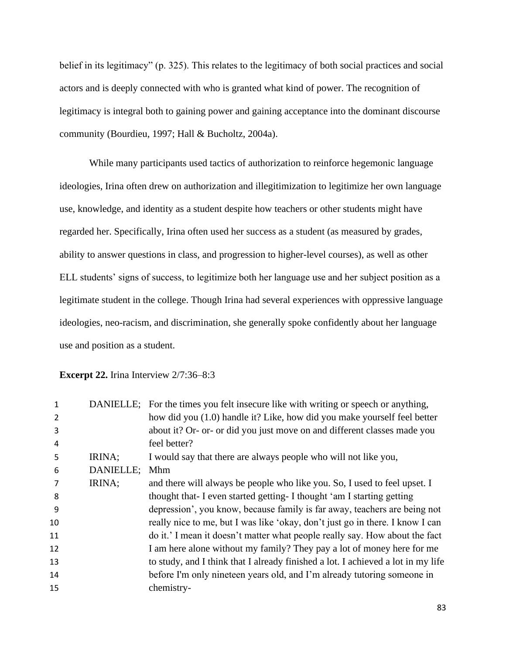belief in its legitimacy" (p. 325). This relates to the legitimacy of both social practices and social actors and is deeply connected with who is granted what kind of power. The recognition of legitimacy is integral both to gaining power and gaining acceptance into the dominant discourse community (Bourdieu, 1997; Hall & Bucholtz, 2004a).

While many participants used tactics of authorization to reinforce hegemonic language ideologies, Irina often drew on authorization and illegitimization to legitimize her own language use, knowledge, and identity as a student despite how teachers or other students might have regarded her. Specifically, Irina often used her success as a student (as measured by grades, ability to answer questions in class, and progression to higher-level courses), as well as other ELL students' signs of success, to legitimize both her language use and her subject position as a legitimate student in the college. Though Irina had several experiences with oppressive language ideologies, neo-racism, and discrimination, she generally spoke confidently about her language use and position as a student.

**Excerpt 22.** Irina Interview 2/7:36–8:3

| 1  |           | DANIELLE; For the times you felt insecure like with writing or speech or anything, |
|----|-----------|------------------------------------------------------------------------------------|
| 2  |           | how did you (1.0) handle it? Like, how did you make yourself feel better           |
| 3  |           | about it? Or- or- or did you just move on and different classes made you           |
| 4  |           | feel better?                                                                       |
| 5  | IRINA;    | I would say that there are always people who will not like you,                    |
| 6  | DANIELLE; | Mhm                                                                                |
|    | IRINA;    | and there will always be people who like you. So, I used to feel upset. I          |
| 8  |           | thought that-I even started getting-I thought 'am I starting getting               |
| 9  |           | depression', you know, because family is far away, teachers are being not          |
| 10 |           | really nice to me, but I was like 'okay, don't just go in there. I know I can      |
| 11 |           | do it.' I mean it doesn't matter what people really say. How about the fact        |
| 12 |           | I am here alone without my family? They pay a lot of money here for me             |
| 13 |           | to study, and I think that I already finished a lot. I achieved a lot in my life   |
| 14 |           | before I'm only nineteen years old, and I'm already tutoring someone in            |
| 15 |           | chemistry-                                                                         |
|    |           |                                                                                    |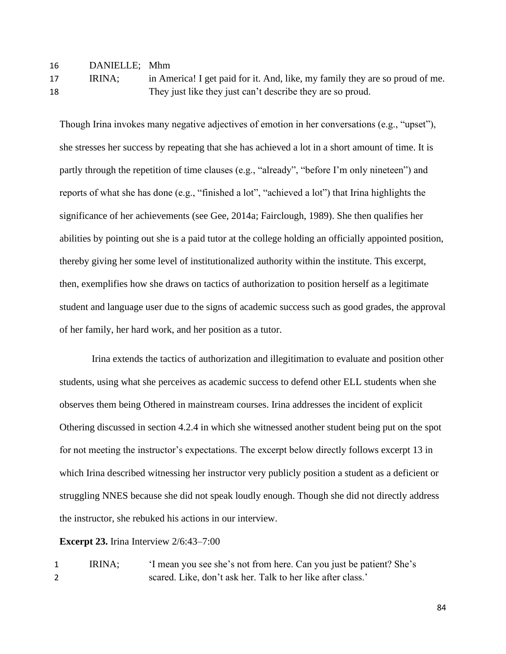| 16             | DANIELLE; Mhm |                                                                                     |
|----------------|---------------|-------------------------------------------------------------------------------------|
| $\overline{ }$ | <b>IDINA.</b> | $\frac{1}{2}$ $\frac{1}{2}$ $\frac{1}{2}$ $\frac{1}{2}$ $\frac{1}{2}$ $\frac{1}{2}$ |

17 IRINA; in America! I get paid for it. And, like, my family they are so proud of me. 18 They just like they just can't describe they are so proud.

Though Irina invokes many negative adjectives of emotion in her conversations (e.g., "upset"), she stresses her success by repeating that she has achieved a lot in a short amount of time. It is partly through the repetition of time clauses (e.g., "already", "before I'm only nineteen") and reports of what she has done (e.g., "finished a lot", "achieved a lot") that Irina highlights the significance of her achievements (see Gee, 2014a; Fairclough, 1989). She then qualifies her abilities by pointing out she is a paid tutor at the college holding an officially appointed position, thereby giving her some level of institutionalized authority within the institute. This excerpt, then, exemplifies how she draws on tactics of authorization to position herself as a legitimate student and language user due to the signs of academic success such as good grades, the approval of her family, her hard work, and her position as a tutor.

Irina extends the tactics of authorization and illegitimation to evaluate and position other students, using what she perceives as academic success to defend other ELL students when she observes them being Othered in mainstream courses. Irina addresses the incident of explicit Othering discussed in section 4.2.4 in which she witnessed another student being put on the spot for not meeting the instructor's expectations. The excerpt below directly follows excerpt 13 in which Irina described witnessing her instructor very publicly position a student as a deficient or struggling NNES because she did not speak loudly enough. Though she did not directly address the instructor, she rebuked his actions in our interview.

**Excerpt 23.** Irina Interview 2/6:43–7:00

1 IRINA; 'I mean you see she's not from here. Can you just be patient? She's 2 scared. Like, don't ask her. Talk to her like after class.'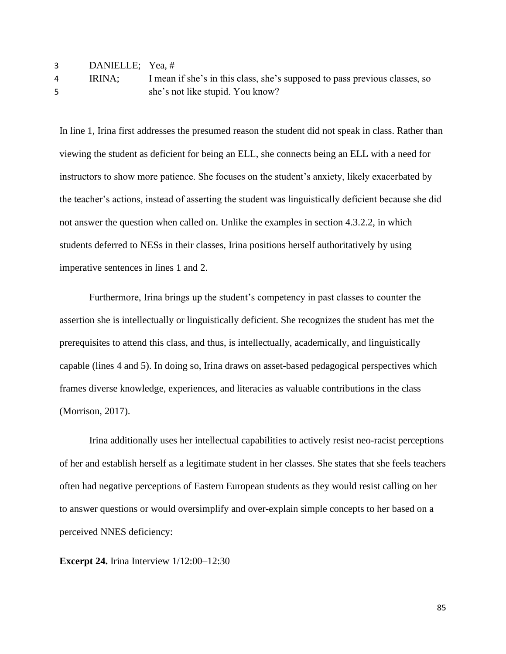| 3 | DANIELLE; Yea, # |                                                                            |
|---|------------------|----------------------------------------------------------------------------|
| 4 | IRINA:           | I mean if she's in this class, she's supposed to pass previous classes, so |
|   |                  | she's not like stupid. You know?                                           |

In line 1, Irina first addresses the presumed reason the student did not speak in class. Rather than viewing the student as deficient for being an ELL, she connects being an ELL with a need for instructors to show more patience. She focuses on the student's anxiety, likely exacerbated by the teacher's actions, instead of asserting the student was linguistically deficient because she did not answer the question when called on. Unlike the examples in section 4.3.2.2, in which students deferred to NESs in their classes, Irina positions herself authoritatively by using imperative sentences in lines 1 and 2.

Furthermore, Irina brings up the student's competency in past classes to counter the assertion she is intellectually or linguistically deficient. She recognizes the student has met the prerequisites to attend this class, and thus, is intellectually, academically, and linguistically capable (lines 4 and 5). In doing so, Irina draws on asset-based pedagogical perspectives which frames diverse knowledge, experiences, and literacies as valuable contributions in the class (Morrison, 2017).

Irina additionally uses her intellectual capabilities to actively resist neo-racist perceptions of her and establish herself as a legitimate student in her classes. She states that she feels teachers often had negative perceptions of Eastern European students as they would resist calling on her to answer questions or would oversimplify and over-explain simple concepts to her based on a perceived NNES deficiency:

**Excerpt 24.** Irina Interview 1/12:00–12:30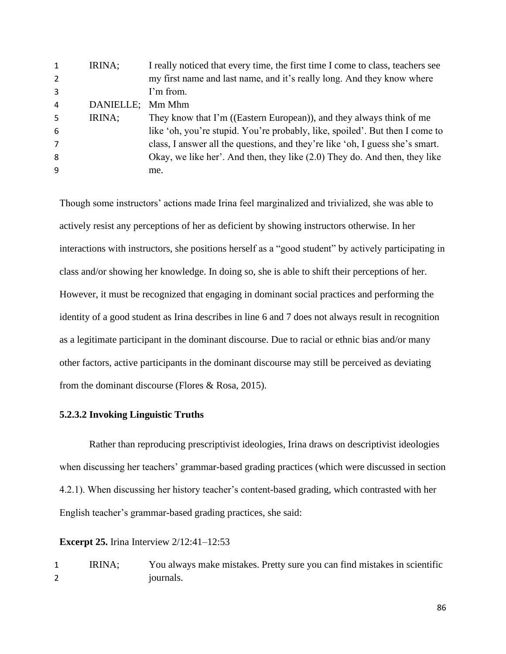| $\mathbf{1}$   | IRINA;    | I really noticed that every time, the first time I come to class, teachers see |
|----------------|-----------|--------------------------------------------------------------------------------|
| 2              |           | my first name and last name, and it's really long. And they know where         |
| 3              |           | I'm from.                                                                      |
| 4              | DANIELLE; | Mm Mhm                                                                         |
| 5              | IRINA;    | They know that I'm ((Eastern European)), and they always think of me           |
| 6              |           | like 'oh, you're stupid. You're probably, like, spoiled'. But then I come to   |
| $\overline{7}$ |           | class, I answer all the questions, and they're like 'oh, I guess she's smart.  |
| 8              |           | Okay, we like her'. And then, they like (2.0) They do. And then, they like     |
| 9              |           | me.                                                                            |
|                |           |                                                                                |

Though some instructors' actions made Irina feel marginalized and trivialized, she was able to actively resist any perceptions of her as deficient by showing instructors otherwise. In her interactions with instructors, she positions herself as a "good student" by actively participating in class and/or showing her knowledge. In doing so, she is able to shift their perceptions of her. However, it must be recognized that engaging in dominant social practices and performing the identity of a good student as Irina describes in line 6 and 7 does not always result in recognition as a legitimate participant in the dominant discourse. Due to racial or ethnic bias and/or many other factors, active participants in the dominant discourse may still be perceived as deviating from the dominant discourse (Flores & Rosa, 2015).

#### **5.2.3.2 Invoking Linguistic Truths**

Rather than reproducing prescriptivist ideologies, Irina draws on descriptivist ideologies when discussing her teachers' grammar-based grading practices (which were discussed in section 4.2.1). When discussing her history teacher's content-based grading, which contrasted with her English teacher's grammar-based grading practices, she said:

## **Excerpt 25.** Irina Interview 2/12:41–12:53

1 IRINA; You always make mistakes. Pretty sure you can find mistakes in scientific 2 iournals.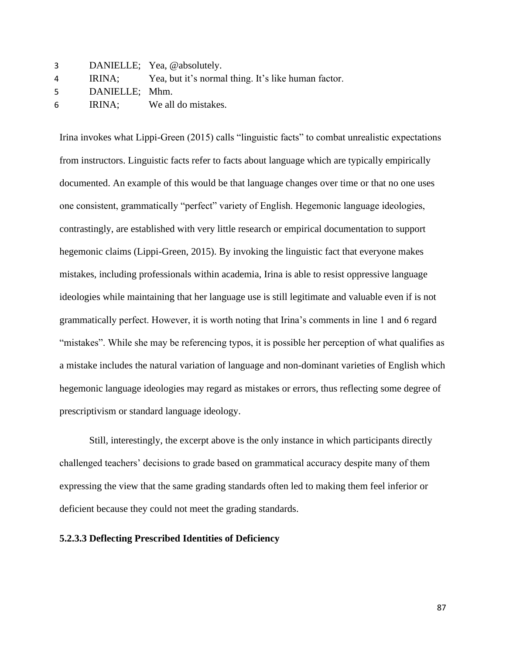| 3 |                | DANIELLE; Yea, @absolutely.                                |
|---|----------------|------------------------------------------------------------|
| 4 |                | IRINA; Yea, but it's normal thing. It's like human factor. |
| 5 | DANIELLE; Mhm. |                                                            |
| 6 | IRINA:         | We all do mistakes.                                        |

Irina invokes what Lippi-Green (2015) calls "linguistic facts" to combat unrealistic expectations from instructors. Linguistic facts refer to facts about language which are typically empirically documented. An example of this would be that language changes over time or that no one uses one consistent, grammatically "perfect" variety of English. Hegemonic language ideologies, contrastingly, are established with very little research or empirical documentation to support hegemonic claims (Lippi-Green, 2015). By invoking the linguistic fact that everyone makes mistakes, including professionals within academia, Irina is able to resist oppressive language ideologies while maintaining that her language use is still legitimate and valuable even if is not grammatically perfect. However, it is worth noting that Irina's comments in line 1 and 6 regard "mistakes". While she may be referencing typos, it is possible her perception of what qualifies as a mistake includes the natural variation of language and non-dominant varieties of English which hegemonic language ideologies may regard as mistakes or errors, thus reflecting some degree of prescriptivism or standard language ideology.

Still, interestingly, the excerpt above is the only instance in which participants directly challenged teachers' decisions to grade based on grammatical accuracy despite many of them expressing the view that the same grading standards often led to making them feel inferior or deficient because they could not meet the grading standards.

#### **5.2.3.3 Deflecting Prescribed Identities of Deficiency**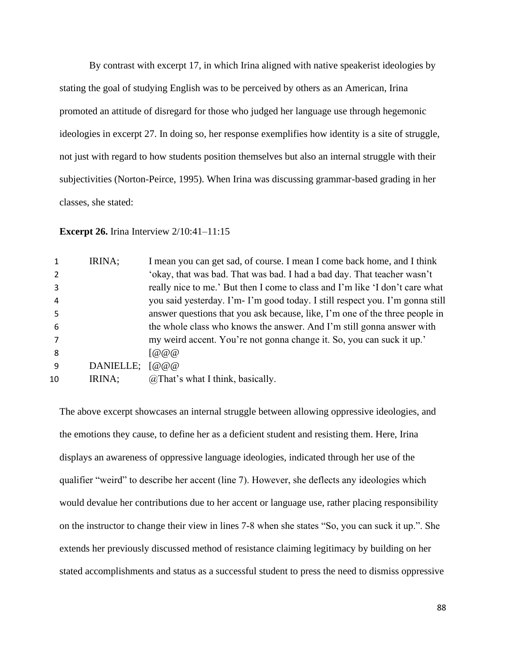By contrast with excerpt 17, in which Irina aligned with native speakerist ideologies by stating the goal of studying English was to be perceived by others as an American, Irina promoted an attitude of disregard for those who judged her language use through hegemonic ideologies in excerpt 27. In doing so, her response exemplifies how identity is a site of struggle, not just with regard to how students position themselves but also an internal struggle with their subjectivities (Norton-Peirce, 1995). When Irina was discussing grammar-based grading in her classes, she stated:

**Excerpt 26.** Irina Interview  $2/10:41-11:15$ 

|    | IRINA;    | I mean you can get sad, of course. I mean I come back home, and I think       |
|----|-----------|-------------------------------------------------------------------------------|
|    |           | 'okay, that was bad. That was bad. I had a bad day. That teacher wasn't       |
| 3  |           | really nice to me.' But then I come to class and I'm like 'I don't care what  |
| 4  |           | you said yesterday. I'm- I'm good today. I still respect you. I'm gonna still |
| 5  |           | answer questions that you ask because, like, I'm one of the three people in   |
| 6  |           | the whole class who knows the answer. And I'm still gonna answer with         |
|    |           | my weird accent. You're not gonna change it. So, you can suck it up.'         |
| 8  |           | [@@@                                                                          |
| q  | DANIELLE; | [@@@                                                                          |
| 10 | IRINA;    | $@$ That's what I think, basically.                                           |

The above excerpt showcases an internal struggle between allowing oppressive ideologies, and the emotions they cause, to define her as a deficient student and resisting them. Here, Irina displays an awareness of oppressive language ideologies, indicated through her use of the qualifier "weird" to describe her accent (line 7). However, she deflects any ideologies which would devalue her contributions due to her accent or language use, rather placing responsibility on the instructor to change their view in lines 7-8 when she states "So, you can suck it up.". She extends her previously discussed method of resistance claiming legitimacy by building on her stated accomplishments and status as a successful student to press the need to dismiss oppressive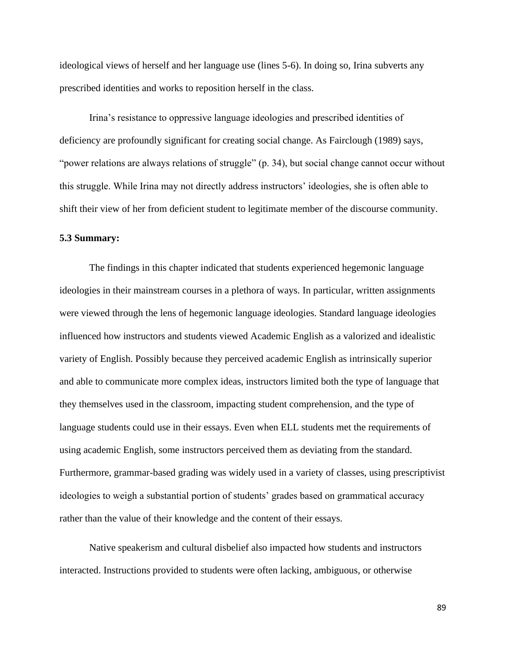ideological views of herself and her language use (lines 5-6). In doing so, Irina subverts any prescribed identities and works to reposition herself in the class.

Irina's resistance to oppressive language ideologies and prescribed identities of deficiency are profoundly significant for creating social change. As Fairclough (1989) says, "power relations are always relations of struggle" (p. 34), but social change cannot occur without this struggle. While Irina may not directly address instructors' ideologies, she is often able to shift their view of her from deficient student to legitimate member of the discourse community.

### **5.3 Summary:**

The findings in this chapter indicated that students experienced hegemonic language ideologies in their mainstream courses in a plethora of ways. In particular, written assignments were viewed through the lens of hegemonic language ideologies. Standard language ideologies influenced how instructors and students viewed Academic English as a valorized and idealistic variety of English. Possibly because they perceived academic English as intrinsically superior and able to communicate more complex ideas, instructors limited both the type of language that they themselves used in the classroom, impacting student comprehension, and the type of language students could use in their essays. Even when ELL students met the requirements of using academic English, some instructors perceived them as deviating from the standard. Furthermore, grammar-based grading was widely used in a variety of classes, using prescriptivist ideologies to weigh a substantial portion of students' grades based on grammatical accuracy rather than the value of their knowledge and the content of their essays.

Native speakerism and cultural disbelief also impacted how students and instructors interacted. Instructions provided to students were often lacking, ambiguous, or otherwise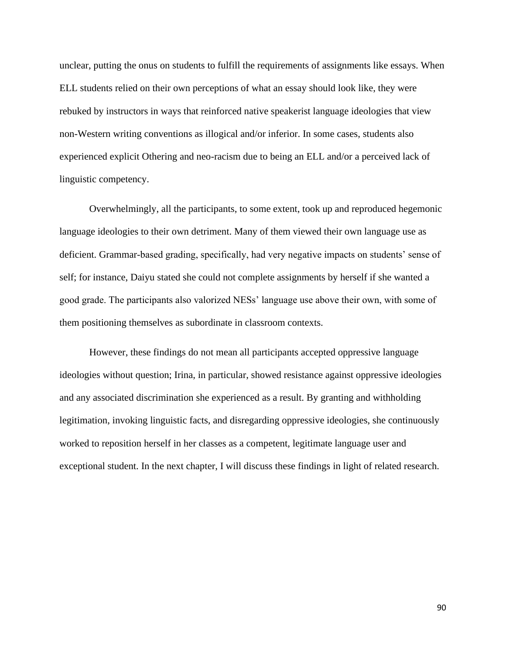unclear, putting the onus on students to fulfill the requirements of assignments like essays. When ELL students relied on their own perceptions of what an essay should look like, they were rebuked by instructors in ways that reinforced native speakerist language ideologies that view non-Western writing conventions as illogical and/or inferior. In some cases, students also experienced explicit Othering and neo-racism due to being an ELL and/or a perceived lack of linguistic competency.

Overwhelmingly, all the participants, to some extent, took up and reproduced hegemonic language ideologies to their own detriment. Many of them viewed their own language use as deficient. Grammar-based grading, specifically, had very negative impacts on students' sense of self; for instance, Daiyu stated she could not complete assignments by herself if she wanted a good grade. The participants also valorized NESs' language use above their own, with some of them positioning themselves as subordinate in classroom contexts.

However, these findings do not mean all participants accepted oppressive language ideologies without question; Irina, in particular, showed resistance against oppressive ideologies and any associated discrimination she experienced as a result. By granting and withholding legitimation, invoking linguistic facts, and disregarding oppressive ideologies, she continuously worked to reposition herself in her classes as a competent, legitimate language user and exceptional student. In the next chapter, I will discuss these findings in light of related research.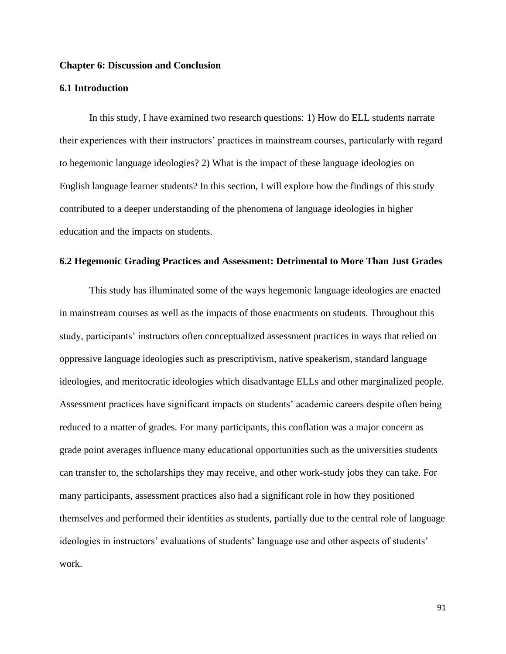## **Chapter 6: Discussion and Conclusion**

## **6.1 Introduction**

In this study, I have examined two research questions: 1) How do ELL students narrate their experiences with their instructors' practices in mainstream courses, particularly with regard to hegemonic language ideologies? 2) What is the impact of these language ideologies on English language learner students? In this section, I will explore how the findings of this study contributed to a deeper understanding of the phenomena of language ideologies in higher education and the impacts on students.

## **6.2 Hegemonic Grading Practices and Assessment: Detrimental to More Than Just Grades**

This study has illuminated some of the ways hegemonic language ideologies are enacted in mainstream courses as well as the impacts of those enactments on students. Throughout this study, participants' instructors often conceptualized assessment practices in ways that relied on oppressive language ideologies such as prescriptivism, native speakerism, standard language ideologies, and meritocratic ideologies which disadvantage ELLs and other marginalized people. Assessment practices have significant impacts on students' academic careers despite often being reduced to a matter of grades. For many participants, this conflation was a major concern as grade point averages influence many educational opportunities such as the universities students can transfer to, the scholarships they may receive, and other work-study jobs they can take. For many participants, assessment practices also had a significant role in how they positioned themselves and performed their identities as students, partially due to the central role of language ideologies in instructors' evaluations of students' language use and other aspects of students' work.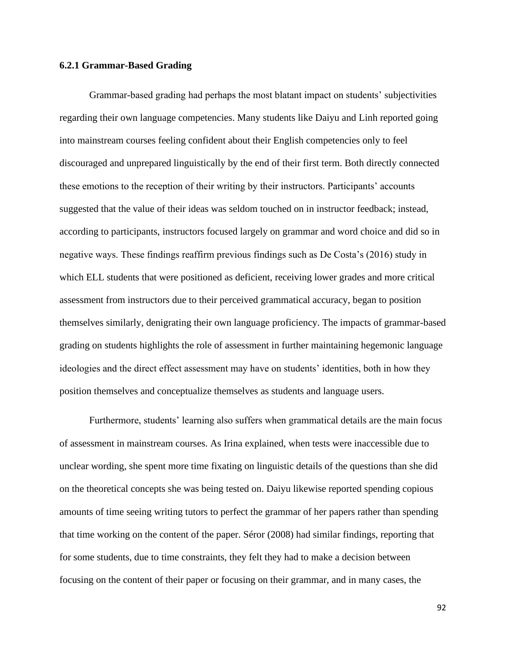## **6.2.1 Grammar-Based Grading**

Grammar-based grading had perhaps the most blatant impact on students' subjectivities regarding their own language competencies. Many students like Daiyu and Linh reported going into mainstream courses feeling confident about their English competencies only to feel discouraged and unprepared linguistically by the end of their first term. Both directly connected these emotions to the reception of their writing by their instructors. Participants' accounts suggested that the value of their ideas was seldom touched on in instructor feedback; instead, according to participants, instructors focused largely on grammar and word choice and did so in negative ways. These findings reaffirm previous findings such as De Costa's (2016) study in which ELL students that were positioned as deficient, receiving lower grades and more critical assessment from instructors due to their perceived grammatical accuracy, began to position themselves similarly, denigrating their own language proficiency. The impacts of grammar-based grading on students highlights the role of assessment in further maintaining hegemonic language ideologies and the direct effect assessment may have on students' identities, both in how they position themselves and conceptualize themselves as students and language users.

Furthermore, students' learning also suffers when grammatical details are the main focus of assessment in mainstream courses. As Irina explained, when tests were inaccessible due to unclear wording, she spent more time fixating on linguistic details of the questions than she did on the theoretical concepts she was being tested on. Daiyu likewise reported spending copious amounts of time seeing writing tutors to perfect the grammar of her papers rather than spending that time working on the content of the paper. Séror (2008) had similar findings, reporting that for some students, due to time constraints, they felt they had to make a decision between focusing on the content of their paper or focusing on their grammar, and in many cases, the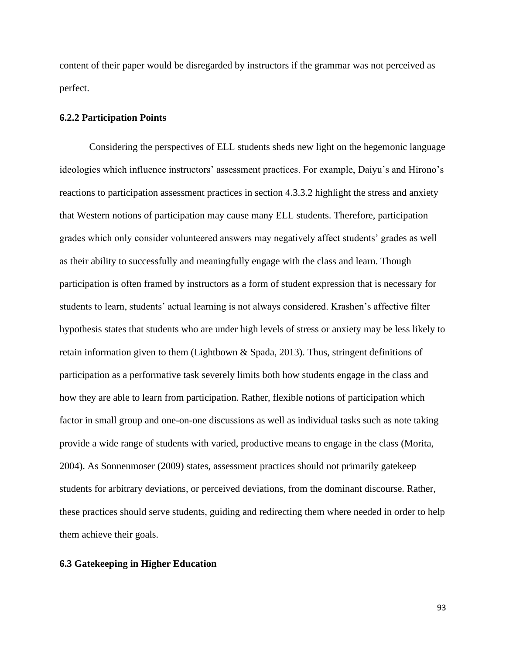content of their paper would be disregarded by instructors if the grammar was not perceived as perfect.

## **6.2.2 Participation Points**

Considering the perspectives of ELL students sheds new light on the hegemonic language ideologies which influence instructors' assessment practices. For example, Daiyu's and Hirono's reactions to participation assessment practices in section 4.3.3.2 highlight the stress and anxiety that Western notions of participation may cause many ELL students. Therefore, participation grades which only consider volunteered answers may negatively affect students' grades as well as their ability to successfully and meaningfully engage with the class and learn. Though participation is often framed by instructors as a form of student expression that is necessary for students to learn, students' actual learning is not always considered. Krashen's affective filter hypothesis states that students who are under high levels of stress or anxiety may be less likely to retain information given to them (Lightbown & Spada, 2013). Thus, stringent definitions of participation as a performative task severely limits both how students engage in the class and how they are able to learn from participation. Rather, flexible notions of participation which factor in small group and one-on-one discussions as well as individual tasks such as note taking provide a wide range of students with varied, productive means to engage in the class (Morita, 2004). As Sonnenmoser (2009) states, assessment practices should not primarily gatekeep students for arbitrary deviations, or perceived deviations, from the dominant discourse. Rather, these practices should serve students, guiding and redirecting them where needed in order to help them achieve their goals.

## **6.3 Gatekeeping in Higher Education**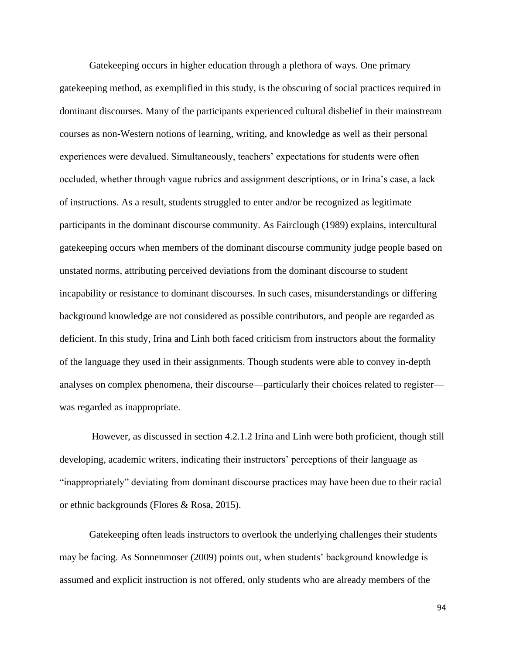Gatekeeping occurs in higher education through a plethora of ways. One primary gatekeeping method, as exemplified in this study, is the obscuring of social practices required in dominant discourses. Many of the participants experienced cultural disbelief in their mainstream courses as non-Western notions of learning, writing, and knowledge as well as their personal experiences were devalued. Simultaneously, teachers' expectations for students were often occluded, whether through vague rubrics and assignment descriptions, or in Irina's case, a lack of instructions. As a result, students struggled to enter and/or be recognized as legitimate participants in the dominant discourse community. As Fairclough (1989) explains, intercultural gatekeeping occurs when members of the dominant discourse community judge people based on unstated norms, attributing perceived deviations from the dominant discourse to student incapability or resistance to dominant discourses. In such cases, misunderstandings or differing background knowledge are not considered as possible contributors, and people are regarded as deficient. In this study, Irina and Linh both faced criticism from instructors about the formality of the language they used in their assignments. Though students were able to convey in-depth analyses on complex phenomena, their discourse—particularly their choices related to register was regarded as inappropriate.

However, as discussed in section 4.2.1.2 Irina and Linh were both proficient, though still developing, academic writers, indicating their instructors' perceptions of their language as "inappropriately" deviating from dominant discourse practices may have been due to their racial or ethnic backgrounds (Flores & Rosa, 2015).

Gatekeeping often leads instructors to overlook the underlying challenges their students may be facing. As Sonnenmoser (2009) points out, when students' background knowledge is assumed and explicit instruction is not offered, only students who are already members of the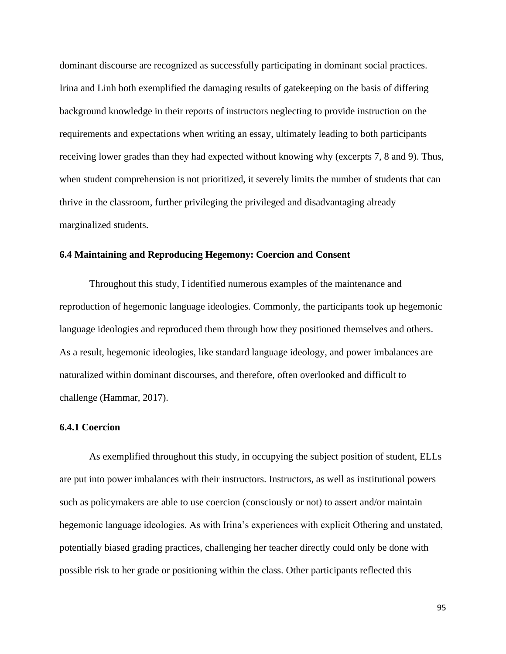dominant discourse are recognized as successfully participating in dominant social practices. Irina and Linh both exemplified the damaging results of gatekeeping on the basis of differing background knowledge in their reports of instructors neglecting to provide instruction on the requirements and expectations when writing an essay, ultimately leading to both participants receiving lower grades than they had expected without knowing why (excerpts 7, 8 and 9). Thus, when student comprehension is not prioritized, it severely limits the number of students that can thrive in the classroom, further privileging the privileged and disadvantaging already marginalized students.

## **6.4 Maintaining and Reproducing Hegemony: Coercion and Consent**

Throughout this study, I identified numerous examples of the maintenance and reproduction of hegemonic language ideologies. Commonly, the participants took up hegemonic language ideologies and reproduced them through how they positioned themselves and others. As a result, hegemonic ideologies, like standard language ideology, and power imbalances are naturalized within dominant discourses, and therefore, often overlooked and difficult to challenge (Hammar, 2017).

#### **6.4.1 Coercion**

As exemplified throughout this study, in occupying the subject position of student, ELLs are put into power imbalances with their instructors. Instructors, as well as institutional powers such as policymakers are able to use coercion (consciously or not) to assert and/or maintain hegemonic language ideologies. As with Irina's experiences with explicit Othering and unstated, potentially biased grading practices, challenging her teacher directly could only be done with possible risk to her grade or positioning within the class. Other participants reflected this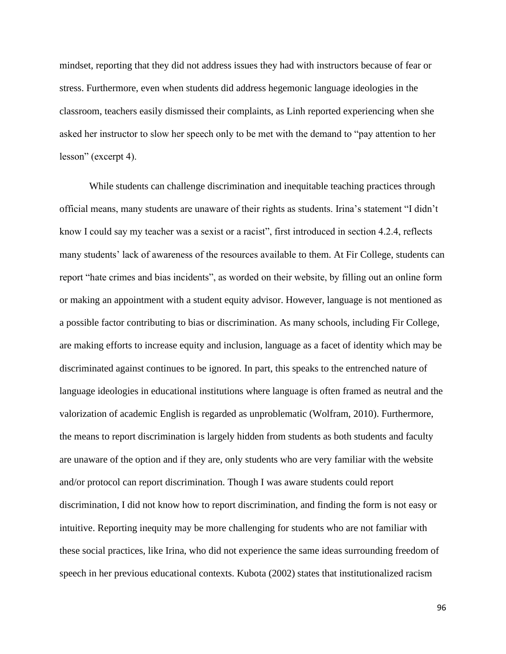mindset, reporting that they did not address issues they had with instructors because of fear or stress. Furthermore, even when students did address hegemonic language ideologies in the classroom, teachers easily dismissed their complaints, as Linh reported experiencing when she asked her instructor to slow her speech only to be met with the demand to "pay attention to her lesson" (excerpt 4).

While students can challenge discrimination and inequitable teaching practices through official means, many students are unaware of their rights as students. Irina's statement "I didn't know I could say my teacher was a sexist or a racist", first introduced in section 4.2.4, reflects many students' lack of awareness of the resources available to them. At Fir College, students can report "hate crimes and bias incidents", as worded on their website, by filling out an online form or making an appointment with a student equity advisor. However, language is not mentioned as a possible factor contributing to bias or discrimination. As many schools, including Fir College, are making efforts to increase equity and inclusion, language as a facet of identity which may be discriminated against continues to be ignored. In part, this speaks to the entrenched nature of language ideologies in educational institutions where language is often framed as neutral and the valorization of academic English is regarded as unproblematic (Wolfram, 2010). Furthermore, the means to report discrimination is largely hidden from students as both students and faculty are unaware of the option and if they are, only students who are very familiar with the website and/or protocol can report discrimination. Though I was aware students could report discrimination, I did not know how to report discrimination, and finding the form is not easy or intuitive. Reporting inequity may be more challenging for students who are not familiar with these social practices, like Irina, who did not experience the same ideas surrounding freedom of speech in her previous educational contexts. Kubota (2002) states that institutionalized racism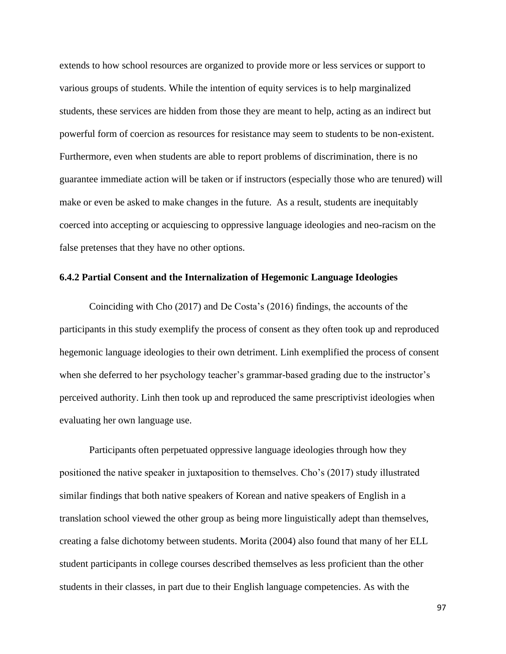extends to how school resources are organized to provide more or less services or support to various groups of students. While the intention of equity services is to help marginalized students, these services are hidden from those they are meant to help, acting as an indirect but powerful form of coercion as resources for resistance may seem to students to be non-existent. Furthermore, even when students are able to report problems of discrimination, there is no guarantee immediate action will be taken or if instructors (especially those who are tenured) will make or even be asked to make changes in the future. As a result, students are inequitably coerced into accepting or acquiescing to oppressive language ideologies and neo-racism on the false pretenses that they have no other options.

#### **6.4.2 Partial Consent and the Internalization of Hegemonic Language Ideologies**

Coinciding with Cho (2017) and De Costa's (2016) findings, the accounts of the participants in this study exemplify the process of consent as they often took up and reproduced hegemonic language ideologies to their own detriment. Linh exemplified the process of consent when she deferred to her psychology teacher's grammar-based grading due to the instructor's perceived authority. Linh then took up and reproduced the same prescriptivist ideologies when evaluating her own language use.

Participants often perpetuated oppressive language ideologies through how they positioned the native speaker in juxtaposition to themselves. Cho's (2017) study illustrated similar findings that both native speakers of Korean and native speakers of English in a translation school viewed the other group as being more linguistically adept than themselves, creating a false dichotomy between students. Morita (2004) also found that many of her ELL student participants in college courses described themselves as less proficient than the other students in their classes, in part due to their English language competencies. As with the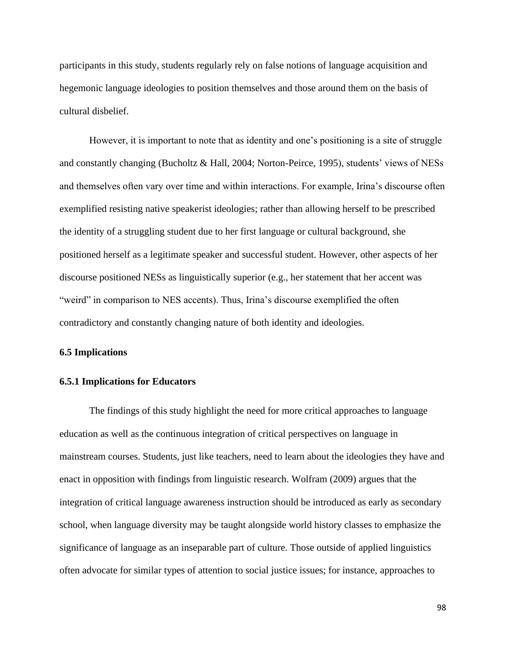participants in this study, students regularly rely on false notions of language acquisition and hegemonic language ideologies to position themselves and those around them on the basis of cultural disbelief.

However, it is important to note that as identity and one's positioning is a site of struggle and constantly changing (Bucholtz & Hall, 2004; Norton-Peirce, 1995), students' views of NESs and themselves often vary over time and within interactions. For example, Irina's discourse often exemplified resisting native speakerist ideologies; rather than allowing herself to be prescribed the identity of a struggling student due to her first language or cultural background, she positioned herself as a legitimate speaker and successful student. However, other aspects of her discourse positioned NESs as linguistically superior (e.g., her statement that her accent was "weird" in comparison to NES accents). Thus, Irina's discourse exemplified the often contradictory and constantly changing nature of both identity and ideologies.

#### **6.5 Implications**

#### **6.5.1 Implications for Educators**

The findings of this study highlight the need for more critical approaches to language education as well as the continuous integration of critical perspectives on language in mainstream courses. Students, just like teachers, need to learn about the ideologies they have and enact in opposition with findings from linguistic research. Wolfram (2009) argues that the integration of critical language awareness instruction should be introduced as early as secondary school, when language diversity may be taught alongside world history classes to emphasize the significance of language as an inseparable part of culture. Those outside of applied linguistics often advocate for similar types of attention to social justice issues; for instance, approaches to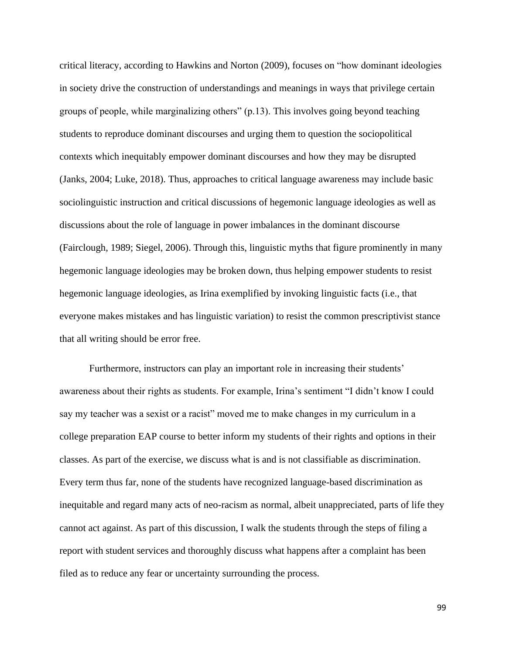critical literacy, according to Hawkins and Norton (2009), focuses on "how dominant ideologies in society drive the construction of understandings and meanings in ways that privilege certain groups of people, while marginalizing others" (p.13). This involves going beyond teaching students to reproduce dominant discourses and urging them to question the sociopolitical contexts which inequitably empower dominant discourses and how they may be disrupted (Janks, 2004; Luke, 2018). Thus, approaches to critical language awareness may include basic sociolinguistic instruction and critical discussions of hegemonic language ideologies as well as discussions about the role of language in power imbalances in the dominant discourse (Fairclough, 1989; Siegel, 2006). Through this, linguistic myths that figure prominently in many hegemonic language ideologies may be broken down, thus helping empower students to resist hegemonic language ideologies, as Irina exemplified by invoking linguistic facts (i.e., that everyone makes mistakes and has linguistic variation) to resist the common prescriptivist stance that all writing should be error free.

Furthermore, instructors can play an important role in increasing their students' awareness about their rights as students. For example, Irina's sentiment "I didn't know I could say my teacher was a sexist or a racist" moved me to make changes in my curriculum in a college preparation EAP course to better inform my students of their rights and options in their classes. As part of the exercise, we discuss what is and is not classifiable as discrimination. Every term thus far, none of the students have recognized language-based discrimination as inequitable and regard many acts of neo-racism as normal, albeit unappreciated, parts of life they cannot act against. As part of this discussion, I walk the students through the steps of filing a report with student services and thoroughly discuss what happens after a complaint has been filed as to reduce any fear or uncertainty surrounding the process.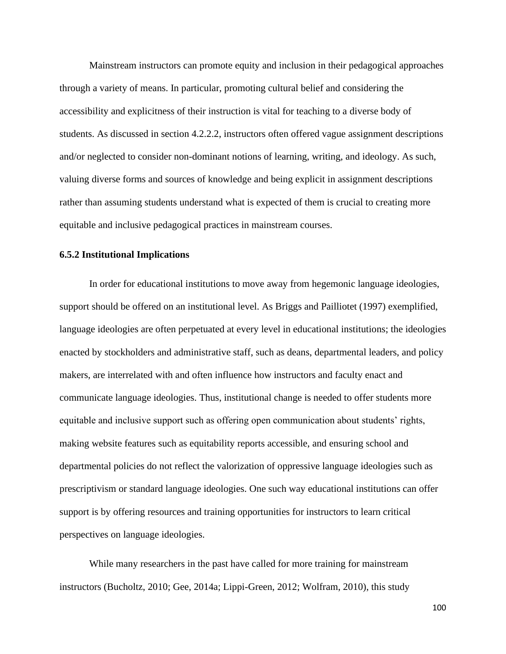Mainstream instructors can promote equity and inclusion in their pedagogical approaches through a variety of means. In particular, promoting cultural belief and considering the accessibility and explicitness of their instruction is vital for teaching to a diverse body of students. As discussed in section 4.2.2.2, instructors often offered vague assignment descriptions and/or neglected to consider non-dominant notions of learning, writing, and ideology. As such, valuing diverse forms and sources of knowledge and being explicit in assignment descriptions rather than assuming students understand what is expected of them is crucial to creating more equitable and inclusive pedagogical practices in mainstream courses.

#### **6.5.2 Institutional Implications**

In order for educational institutions to move away from hegemonic language ideologies, support should be offered on an institutional level. As Briggs and Pailliotet (1997) exemplified, language ideologies are often perpetuated at every level in educational institutions; the ideologies enacted by stockholders and administrative staff, such as deans, departmental leaders, and policy makers, are interrelated with and often influence how instructors and faculty enact and communicate language ideologies. Thus, institutional change is needed to offer students more equitable and inclusive support such as offering open communication about students' rights, making website features such as equitability reports accessible, and ensuring school and departmental policies do not reflect the valorization of oppressive language ideologies such as prescriptivism or standard language ideologies. One such way educational institutions can offer support is by offering resources and training opportunities for instructors to learn critical perspectives on language ideologies.

While many researchers in the past have called for more training for mainstream instructors (Bucholtz, 2010; Gee, 2014a; Lippi-Green, 2012; Wolfram, 2010), this study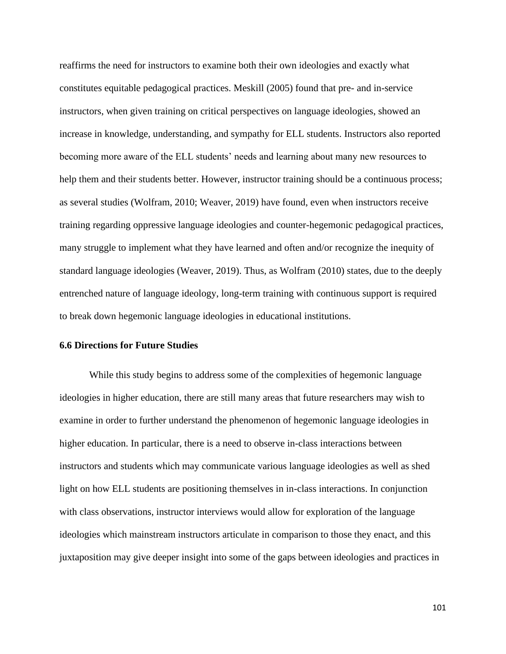reaffirms the need for instructors to examine both their own ideologies and exactly what constitutes equitable pedagogical practices. Meskill (2005) found that pre- and in-service instructors, when given training on critical perspectives on language ideologies, showed an increase in knowledge, understanding, and sympathy for ELL students. Instructors also reported becoming more aware of the ELL students' needs and learning about many new resources to help them and their students better. However, instructor training should be a continuous process; as several studies (Wolfram, 2010; Weaver, 2019) have found, even when instructors receive training regarding oppressive language ideologies and counter-hegemonic pedagogical practices, many struggle to implement what they have learned and often and/or recognize the inequity of standard language ideologies (Weaver, 2019). Thus, as Wolfram (2010) states, due to the deeply entrenched nature of language ideology, long-term training with continuous support is required to break down hegemonic language ideologies in educational institutions.

#### **6.6 Directions for Future Studies**

While this study begins to address some of the complexities of hegemonic language ideologies in higher education, there are still many areas that future researchers may wish to examine in order to further understand the phenomenon of hegemonic language ideologies in higher education. In particular, there is a need to observe in-class interactions between instructors and students which may communicate various language ideologies as well as shed light on how ELL students are positioning themselves in in-class interactions. In conjunction with class observations, instructor interviews would allow for exploration of the language ideologies which mainstream instructors articulate in comparison to those they enact, and this juxtaposition may give deeper insight into some of the gaps between ideologies and practices in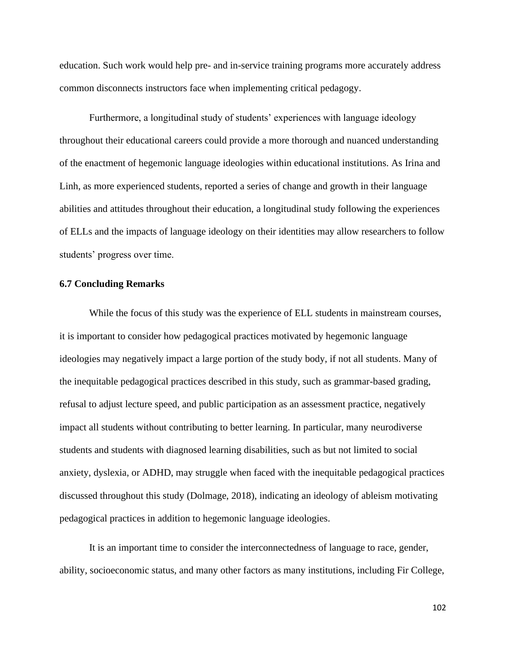education. Such work would help pre- and in-service training programs more accurately address common disconnects instructors face when implementing critical pedagogy.

Furthermore, a longitudinal study of students' experiences with language ideology throughout their educational careers could provide a more thorough and nuanced understanding of the enactment of hegemonic language ideologies within educational institutions. As Irina and Linh, as more experienced students, reported a series of change and growth in their language abilities and attitudes throughout their education, a longitudinal study following the experiences of ELLs and the impacts of language ideology on their identities may allow researchers to follow students' progress over time.

#### **6.7 Concluding Remarks**

While the focus of this study was the experience of ELL students in mainstream courses, it is important to consider how pedagogical practices motivated by hegemonic language ideologies may negatively impact a large portion of the study body, if not all students. Many of the inequitable pedagogical practices described in this study, such as grammar-based grading, refusal to adjust lecture speed, and public participation as an assessment practice, negatively impact all students without contributing to better learning. In particular, many neurodiverse students and students with diagnosed learning disabilities, such as but not limited to social anxiety, dyslexia, or ADHD, may struggle when faced with the inequitable pedagogical practices discussed throughout this study (Dolmage, 2018), indicating an ideology of ableism motivating pedagogical practices in addition to hegemonic language ideologies.

It is an important time to consider the interconnectedness of language to race, gender, ability, socioeconomic status, and many other factors as many institutions, including Fir College,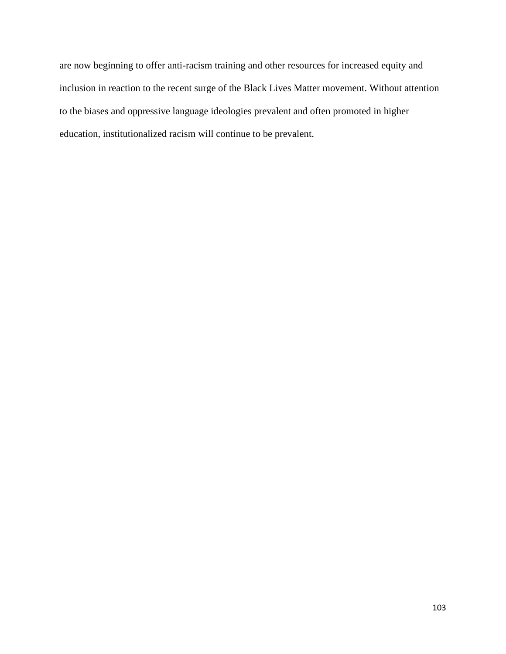are now beginning to offer anti-racism training and other resources for increased equity and inclusion in reaction to the recent surge of the Black Lives Matter movement. Without attention to the biases and oppressive language ideologies prevalent and often promoted in higher education, institutionalized racism will continue to be prevalent.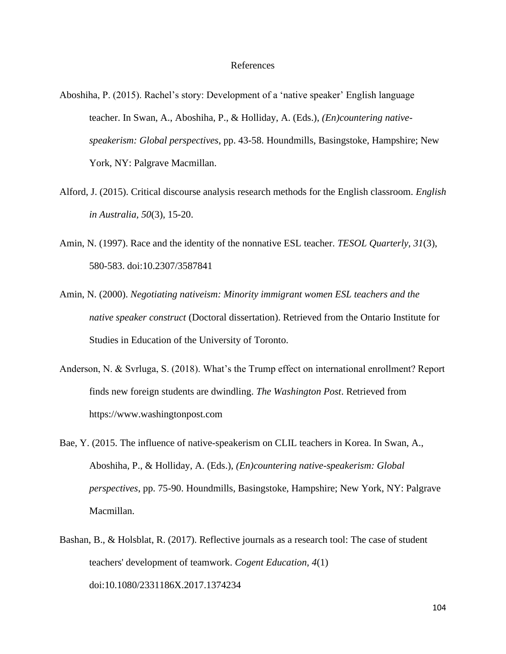- Aboshiha, P. (2015). Rachel's story: Development of a 'native speaker' English language teacher. In Swan, A., Aboshiha, P., & Holliday, A. (Eds.), *(En)countering nativespeakerism: Global perspectives*, pp. 43-58. Houndmills, Basingstoke, Hampshire; New York, NY: Palgrave Macmillan.
- Alford, J. (2015). Critical discourse analysis research methods for the English classroom. *English in Australia, 50*(3), 15-20.
- Amin, N. (1997). Race and the identity of the nonnative ESL teacher. *TESOL Quarterly, 31*(3), 580-583. doi:10.2307/3587841
- Amin, N. (2000). *Negotiating nativeism: Minority immigrant women ESL teachers and the native speaker construct* (Doctoral dissertation). Retrieved from the Ontario Institute for Studies in Education of the University of Toronto.
- Anderson, N. & Svrluga, S. (2018). What's the Trump effect on international enrollment? Report finds new foreign students are dwindling. *The Washington Post*. Retrieved from https://www.washingtonpost.com
- Bae, Y. (2015. The influence of native-speakerism on CLIL teachers in Korea. In Swan, A., Aboshiha, P., & Holliday, A. (Eds.), *(En)countering native-speakerism: Global perspectives*, pp. 75-90. Houndmills, Basingstoke, Hampshire; New York, NY: Palgrave Macmillan.
- Bashan, B., & Holsblat, R. (2017). Reflective journals as a research tool: The case of student teachers' development of teamwork. *Cogent Education, 4*(1) doi:10.1080/2331186X.2017.1374234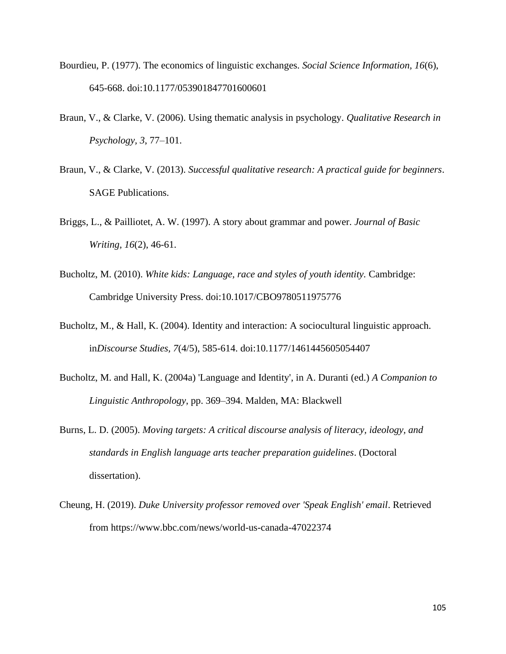- Bourdieu, P. (1977). The economics of linguistic exchanges. *Social Science Information, 16*(6), 645-668. doi:10.1177/053901847701600601
- Braun, V., & Clarke, V. (2006). Using thematic analysis in psychology. *Qualitative Research in Psychology, 3*, 77–101.
- Braun, V., & Clarke, V. (2013). *Successful qualitative research: A practical guide for beginners*. SAGE Publications.
- Briggs, L., & Pailliotet, A. W. (1997). A story about grammar and power. *Journal of Basic Writing, 16*(2), 46-61.
- Bucholtz, M. (2010). *White kids: Language, race and styles of youth identity.* Cambridge: Cambridge University Press. doi:10.1017/CBO9780511975776
- Bucholtz, M., & Hall, K. (2004). Identity and interaction: A sociocultural linguistic approach. in*Discourse Studies, 7*(4/5), 585-614. doi:10.1177/1461445605054407
- Bucholtz, M. and Hall, K. (2004a) 'Language and Identity', in A. Duranti (ed.) *A Companion to Linguistic Anthropology*, pp. 369–394. Malden, MA: Blackwell
- Burns, L. D. (2005). *Moving targets: A critical discourse analysis of literacy, ideology, and standards in English language arts teacher preparation guidelines*. (Doctoral dissertation).
- Cheung, H. (2019). *Duke University professor removed over 'Speak English' email*. Retrieved from https://www.bbc.com/news/world-us-canada-47022374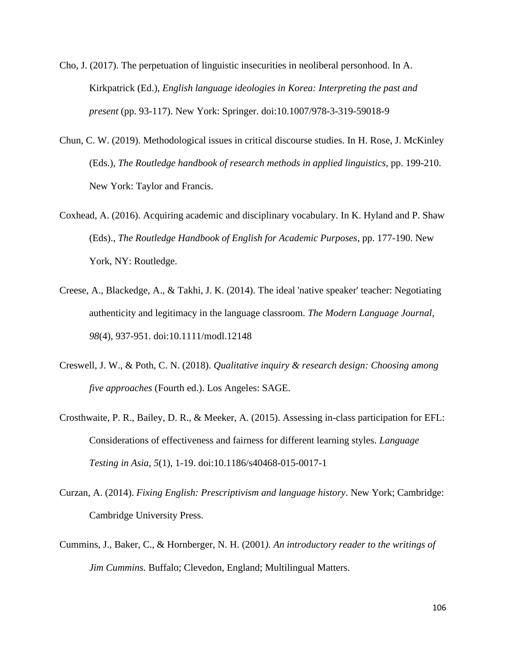- Cho, J. (2017). The perpetuation of linguistic insecurities in neoliberal personhood. In A. Kirkpatrick (Ed.), *English language ideologies in Korea: Interpreting the past and present* (pp. 93-117). New York: Springer. doi:10.1007/978-3-319-59018-9
- Chun, C. W. (2019). Methodological issues in critical discourse studies. In H. Rose, J. McKinley (Eds.), *The Routledge handbook of research methods in applied linguistics*, pp. 199-210. New York: Taylor and Francis.
- Coxhead, A. (2016). Acquiring academic and disciplinary vocabulary. In K. Hyland and P. Shaw (Eds)., *The Routledge Handbook of English for Academic Purposes*, pp. 177-190. New York, NY: Routledge.
- Creese, A., Blackedge, A., & Takhi, J. K. (2014). The ideal 'native speaker' teacher: Negotiating authenticity and legitimacy in the language classroom. *The Modern Language Journal, 98*(4), 937-951. doi:10.1111/modl.12148
- Creswell, J. W., & Poth, C. N. (2018). *Qualitative inquiry & research design: Choosing among five approaches* (Fourth ed.). Los Angeles: SAGE.
- Crosthwaite, P. R., Bailey, D. R., & Meeker, A. (2015). Assessing in-class participation for EFL: Considerations of effectiveness and fairness for different learning styles. *Language Testing in Asia, 5*(1), 1-19. doi:10.1186/s40468-015-0017-1
- Curzan, A. (2014). *Fixing English: Prescriptivism and language history*. New York; Cambridge: Cambridge University Press.
- Cummins, J., Baker, C., & Hornberger, N. H. (2001*). An introductory reader to the writings of Jim Cummins.* Buffalo; Clevedon, England; Multilingual Matters.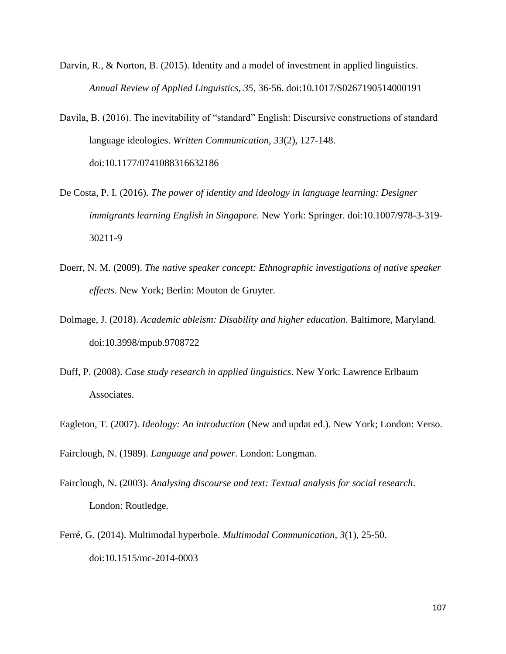- Darvin, R., & Norton, B. (2015). Identity and a model of investment in applied linguistics. *Annual Review of Applied Linguistics, 35*, 36-56. doi:10.1017/S0267190514000191
- Davila, B. (2016). The inevitability of "standard" English: Discursive constructions of standard language ideologies. *Written Communication, 33*(2), 127-148. doi:10.1177/0741088316632186
- De Costa, P. I. (2016). *The power of identity and ideology in language learning: Designer immigrants learning English in Singapore.* New York: Springer. doi:10.1007/978-3-319- 30211-9
- Doerr, N. M. (2009). *The native speaker concept: Ethnographic investigations of native speaker effects*. New York; Berlin: Mouton de Gruyter.
- Dolmage, J. (2018). *Academic ableism: Disability and higher education*. Baltimore, Maryland. doi:10.3998/mpub.9708722
- Duff, P. (2008). *Case study research in applied linguistics*. New York: Lawrence Erlbaum Associates.
- Eagleton, T. (2007). *Ideology: An introduction* (New and updat ed.). New York; London: Verso.

Fairclough, N. (1989). *Language and power*. London: Longman.

- Fairclough, N. (2003). *Analysing discourse and text: Textual analysis for social research*. London: Routledge.
- Ferré, G. (2014). Multimodal hyperbole. *Multimodal Communication, 3*(1), 25-50. doi:10.1515/mc-2014-0003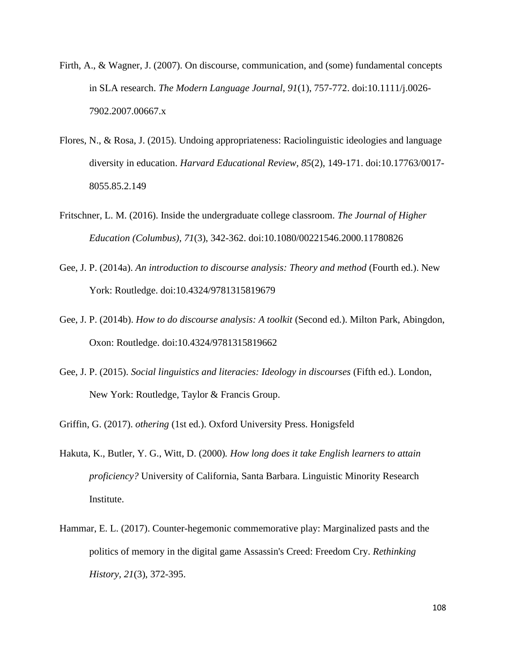- Firth, A., & Wagner, J. (2007). On discourse, communication, and (some) fundamental concepts in SLA research. *The Modern Language Journal, 91*(1), 757-772. doi:10.1111/j.0026- 7902.2007.00667.x
- Flores, N., & Rosa, J. (2015). Undoing appropriateness: Raciolinguistic ideologies and language diversity in education. *Harvard Educational Review, 85*(2), 149-171. doi:10.17763/0017- 8055.85.2.149
- Fritschner, L. M. (2016). Inside the undergraduate college classroom. *The Journal of Higher Education (Columbus), 71*(3), 342-362. doi:10.1080/00221546.2000.11780826
- Gee, J. P. (2014a). *An introduction to discourse analysis: Theory and method* (Fourth ed.). New York: Routledge. doi:10.4324/9781315819679
- Gee, J. P. (2014b). *How to do discourse analysis: A toolkit* (Second ed.). Milton Park, Abingdon, Oxon: Routledge. doi:10.4324/9781315819662
- Gee, J. P. (2015). *Social linguistics and literacies: Ideology in discourses* (Fifth ed.). London, New York: Routledge, Taylor & Francis Group.
- Griffin, G. (2017). *othering* (1st ed.). Oxford University Press. Honigsfeld
- Hakuta, K., Butler, Y. G., Witt, D. (2000)*. How long does it take English learners to attain proficiency?* University of California, Santa Barbara. Linguistic Minority Research Institute.
- Hammar, E. L. (2017). Counter-hegemonic commemorative play: Marginalized pasts and the politics of memory in the digital game Assassin's Creed: Freedom Cry. *Rethinking History, 21*(3), 372-395.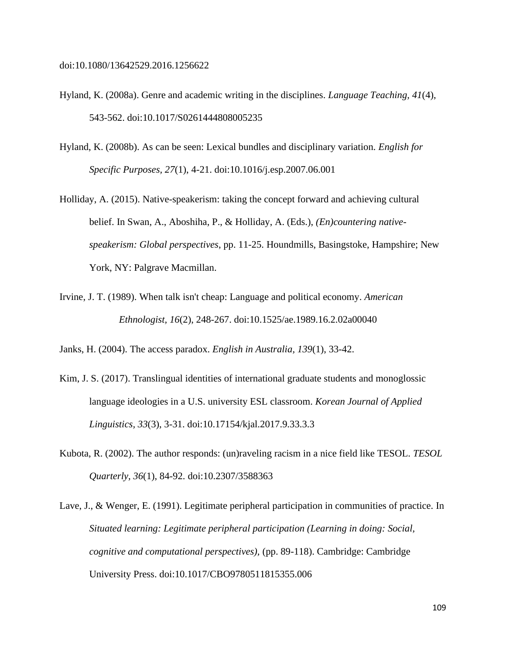doi:10.1080/13642529.2016.1256622

- Hyland, K. (2008a). Genre and academic writing in the disciplines. *Language Teaching, 41*(4), 543-562. doi:10.1017/S0261444808005235
- Hyland, K. (2008b). As can be seen: Lexical bundles and disciplinary variation*. English for Specific Purposes, 27*(1), 4-21. doi:10.1016/j.esp.2007.06.001
- Holliday, A. (2015). Native-speakerism: taking the concept forward and achieving cultural belief. In Swan, A., Aboshiha, P., & Holliday, A. (Eds.), *(En)countering nativespeakerism: Global perspectives*, pp. 11-25. Houndmills, Basingstoke, Hampshire; New York, NY: Palgrave Macmillan.
- Irvine, J. T. (1989). When talk isn't cheap: Language and political economy. *American Ethnologist, 16*(2), 248-267. doi:10.1525/ae.1989.16.2.02a00040

Janks, H. (2004). The access paradox. *English in Australia, 139*(1), 33-42.

- Kim, J. S. (2017). Translingual identities of international graduate students and monoglossic language ideologies in a U.S. university ESL classroom. *Korean Journal of Applied Linguistics, 33*(3), 3-31. doi:10.17154/kjal.2017.9.33.3.3
- Kubota, R. (2002). The author responds: (un)raveling racism in a nice field like TESOL. *TESOL Quarterly, 36*(1), 84-92. doi:10.2307/3588363
- Lave, J., & Wenger, E. (1991). Legitimate peripheral participation in communities of practice. In *Situated learning: Legitimate peripheral participation (Learning in doing: Social, cognitive and computational perspectives),* (pp. 89-118). Cambridge: Cambridge University Press. doi:10.1017/CBO9780511815355.006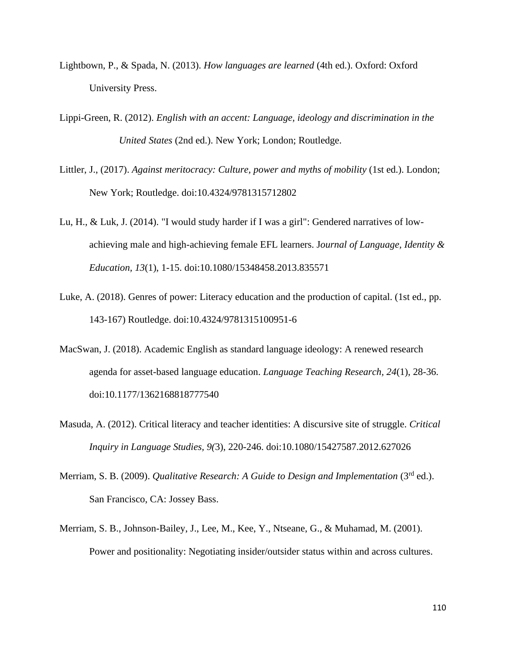- Lightbown, P., & Spada, N. (2013). *How languages are learned* (4th ed.). Oxford: Oxford University Press.
- Lippi-Green, R. (2012). *English with an accent: Language, ideology and discrimination in the United States* (2nd ed.). New York; London; Routledge.
- Littler, J., (2017). *Against meritocracy: Culture, power and myths of mobility* (1st ed.). London; New York; Routledge. doi:10.4324/9781315712802
- Lu, H., & Luk, J. (2014). "I would study harder if I was a girl": Gendered narratives of lowachieving male and high-achieving female EFL learners. J*ournal of Language, Identity & Education, 13*(1), 1-15. doi:10.1080/15348458.2013.835571
- Luke, A. (2018). Genres of power: Literacy education and the production of capital. (1st ed., pp. 143-167) Routledge. doi:10.4324/9781315100951-6
- MacSwan, J. (2018). Academic English as standard language ideology: A renewed research agenda for asset-based language education. *Language Teaching Research, 24*(1), 28-36. doi:10.1177/1362168818777540
- Masuda, A. (2012). Critical literacy and teacher identities: A discursive site of struggle. *Critical Inquiry in Language Studies, 9(*3), 220-246. doi:10.1080/15427587.2012.627026
- Merriam, S. B. (2009). *Qualitative Research: A Guide to Design and Implementation* (3<sup>rd</sup> ed.). San Francisco, CA: Jossey Bass.
- Merriam, S. B., Johnson-Bailey, J., Lee, M., Kee, Y., Ntseane, G., & Muhamad, M. (2001). Power and positionality: Negotiating insider/outsider status within and across cultures.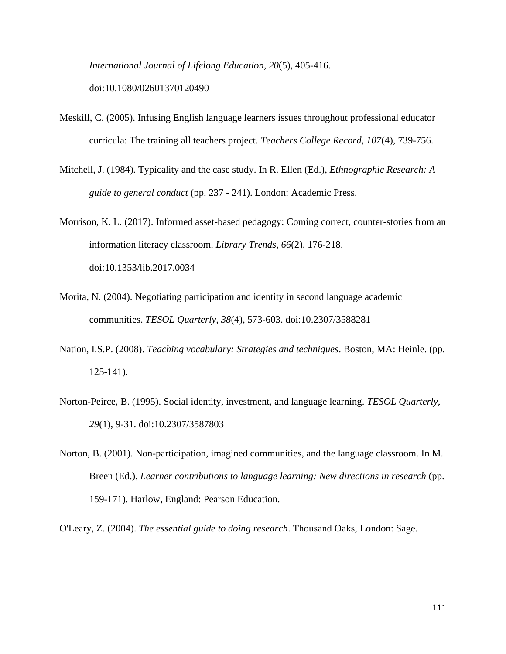*International Journal of Lifelong Education, 20*(5), 405-416. doi:10.1080/02601370120490

- Meskill, C. (2005). Infusing English language learners issues throughout professional educator curricula: The training all teachers project. *Teachers College Record, 107*(4), 739-756.
- Mitchell, J. (1984). Typicality and the case study. In R. Ellen (Ed.), *Ethnographic Research: A guide to general conduct* (pp. 237 - 241). London: Academic Press.
- Morrison, K. L. (2017). Informed asset-based pedagogy: Coming correct, counter-stories from an information literacy classroom. *Library Trends, 66*(2), 176-218. doi:10.1353/lib.2017.0034
- Morita, N. (2004). Negotiating participation and identity in second language academic communities. *TESOL Quarterly, 38*(4), 573-603. doi:10.2307/3588281
- Nation, I.S.P. (2008). *Teaching vocabulary: Strategies and techniques*. Boston, MA: Heinle. (pp. 125-141).
- Norton-Peirce, B. (1995). Social identity, investment, and language learning. *TESOL Quarterly, 29*(1), 9-31. doi:10.2307/3587803
- Norton, B. (2001). Non-participation, imagined communities, and the language classroom. In M. Breen (Ed.), *Learner contributions to language learning: New directions in research* (pp. 159-171). Harlow, England: Pearson Education.

O'Leary, Z. (2004). *The essential guide to doing research*. Thousand Oaks, London: Sage.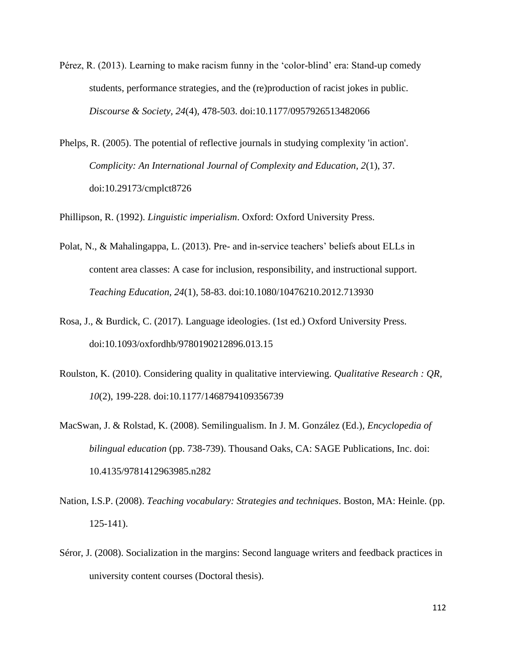- Pérez, R. (2013). Learning to make racism funny in the 'color-blind' era: Stand-up comedy students, performance strategies, and the (re)production of racist jokes in public. *Discourse & Society, 24*(4), 478-503. doi:10.1177/0957926513482066
- Phelps, R. (2005). The potential of reflective journals in studying complexity 'in action'. *Complicity: An International Journal of Complexity and Education, 2*(1), 37. doi:10.29173/cmplct8726

Phillipson, R. (1992). *Linguistic imperialism*. Oxford: Oxford University Press.

- Polat, N., & Mahalingappa, L. (2013). Pre- and in-service teachers' beliefs about ELLs in content area classes: A case for inclusion, responsibility, and instructional support. *Teaching Education, 24*(1), 58-83. doi:10.1080/10476210.2012.713930
- Rosa, J., & Burdick, C. (2017). Language ideologies. (1st ed.) Oxford University Press. doi:10.1093/oxfordhb/9780190212896.013.15
- Roulston, K. (2010). Considering quality in qualitative interviewing. *Qualitative Research : QR, 10*(2), 199-228. doi:10.1177/1468794109356739
- MacSwan, J. & Rolstad, K. (2008). Semilingualism. In J. M. González (Ed.), *Encyclopedia of bilingual education* (pp. 738-739). Thousand Oaks, CA: SAGE Publications, Inc. doi: 10.4135/9781412963985.n282
- Nation, I.S.P. (2008). *Teaching vocabulary: Strategies and techniques*. Boston, MA: Heinle. (pp. 125-141).
- Séror, J. (2008). Socialization in the margins: Second language writers and feedback practices in university content courses (Doctoral thesis).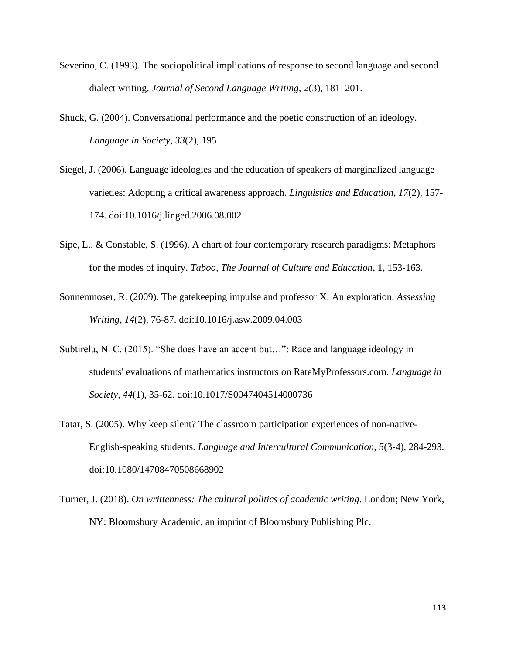- Severino, C. (1993). The sociopolitical implications of response to second language and second dialect writing. *Journal of Second Language Writing, 2*(3), 181–201.
- Shuck, G. (2004). Conversational performance and the poetic construction of an ideology. *Language in Society, 33*(2), 195
- Siegel, J. (2006). Language ideologies and the education of speakers of marginalized language varieties: Adopting a critical awareness approach. *Linguistics and Education, 17*(2), 157- 174. doi:10.1016/j.linged.2006.08.002
- Sipe, L., & Constable, S. (1996). A chart of four contemporary research paradigms: Metaphors for the modes of inquiry. *Taboo, The Journal of Culture and Education*, 1, 153-163.
- Sonnenmoser, R. (2009). The gatekeeping impulse and professor X: An exploration. *Assessing Writing, 14*(2), 76-87. doi:10.1016/j.asw.2009.04.003
- Subtirelu, N. C. (2015). "She does have an accent but…": Race and language ideology in students' evaluations of mathematics instructors on RateMyProfessors.com. *Language in Society, 44*(1), 35-62. doi:10.1017/S0047404514000736
- Tatar, S. (2005). Why keep silent? The classroom participation experiences of non-native-English-speaking students. *Language and Intercultural Communication, 5*(3-4), 284-293. doi:10.1080/14708470508668902
- Turner, J. (2018). *On writtenness: The cultural politics of academic writing*. London; New York, NY: Bloomsbury Academic, an imprint of Bloomsbury Publishing Plc.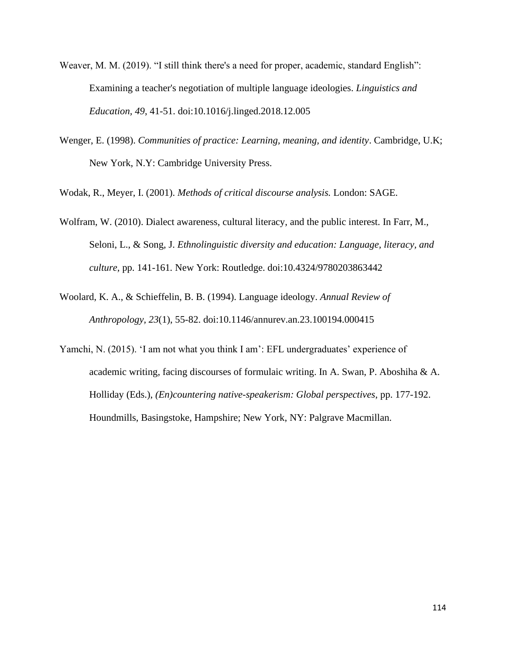- Weaver, M. M. (2019). "I still think there's a need for proper, academic, standard English": Examining a teacher's negotiation of multiple language ideologies. *Linguistics and Education, 49*, 41-51. doi:10.1016/j.linged.2018.12.005
- Wenger, E. (1998). *Communities of practice: Learning, meaning, and identity*. Cambridge, U.K; New York, N.Y: Cambridge University Press.

Wodak, R., Meyer, I. (2001). *Methods of critical discourse analysis.* London: SAGE.

- Wolfram, W. (2010). Dialect awareness, cultural literacy, and the public interest. In Farr, M., Seloni, L., & Song, J. *Ethnolinguistic diversity and education: Language, literacy, and culture,* pp. 141-161*.* New York: Routledge. doi:10.4324/9780203863442
- Woolard, K. A., & Schieffelin, B. B. (1994). Language ideology. *Annual Review of Anthropology, 23*(1), 55-82. doi:10.1146/annurev.an.23.100194.000415
- Yamchi, N. (2015). 'I am not what you think I am': EFL undergraduates' experience of academic writing, facing discourses of formulaic writing. In A. Swan, P. Aboshiha & A. Holliday (Eds.), *(En)countering native-speakerism: Global perspectives*, pp. 177-192. Houndmills, Basingstoke, Hampshire; New York, NY: Palgrave Macmillan.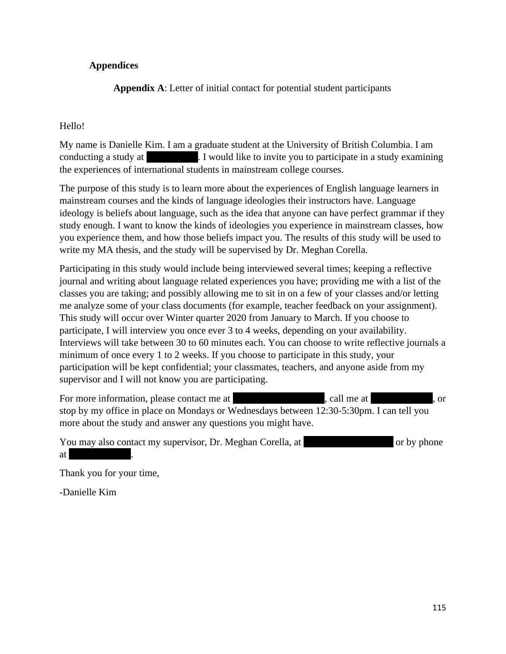# **Appendices**

**Appendix A**: Letter of initial contact for potential student participants

# Hello!

My name is Danielle Kim. I am a graduate student at the University of British Columbia. I am conducting a study at [Fig. College]. I would like to invite you to participate in a study examining the experiences of international students in mainstream college courses.

The purpose of this study is to learn more about the experiences of English language learners in mainstream courses and the kinds of language ideologies their instructors have. Language ideology is beliefs about language, such as the idea that anyone can have perfect grammar if they study enough. I want to know the kinds of ideologies you experience in mainstream classes, how you experience them, and how those beliefs impact you. The results of this study will be used to write my MA thesis, and the study will be supervised by Dr. Meghan Corella.

Participating in this study would include being interviewed several times; keeping a reflective journal and writing about language related experiences you have; providing me with a list of the classes you are taking; and possibly allowing me to sit in on a few of your classes and/or letting me analyze some of your class documents (for example, teacher feedback on your assignment). This study will occur over Winter quarter 2020 from January to March. If you choose to participate, I will interview you once ever 3 to 4 weeks, depending on your availability. Interviews will take between 30 to 60 minutes each. You can choose to write reflective journals a minimum of once every 1 to 2 weeks. If you choose to participate in this study, your participation will be kept confidential; your classmates, teachers, and anyone aside from my supervisor and I will not know you are participating.

For more information, please contact me at (555), call me at (555)  $\frac{1}{5}$ , or stop by my office in place on Mondays or Wednesdays between 12:30-5:30pm. I can tell you more about the study and answer any questions you might have.

|    | You may also contact my supervisor, Dr. Meghan Corella, at |  | or by phone |
|----|------------------------------------------------------------|--|-------------|
| at |                                                            |  |             |

Thank you for your time,

-Danielle Kim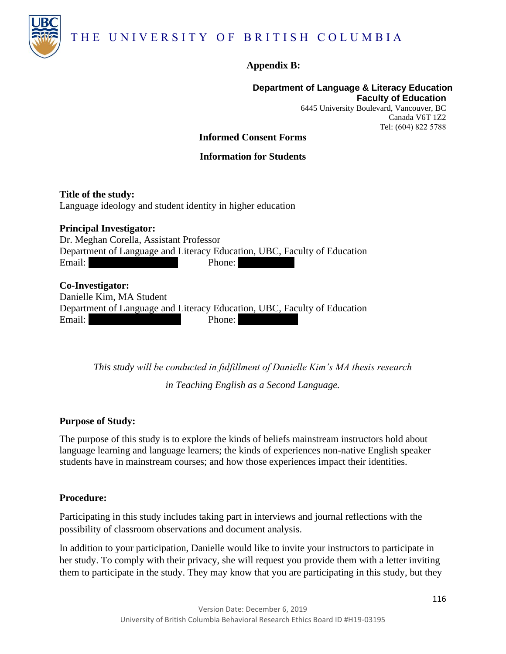

# **Appendix B:**

#### **Department of Language & Literacy Education Faculty of Education**

6445 University Boulevard, Vancouver, BC Canada V6T 1Z2 Tel: (604) 822 5788

## **Informed Consent Forms**

## **Information for Students**

**Title of the study:** Language ideology and student identity in higher education

**Principal Investigator:** Dr. Meghan Corella, Assistant Professor Department of Language and Literacy Education, UBC, Faculty of Education Email: Meghans email is here Phone: 555-555-5555

**Co-Investigator:** Danielle Kim, MA Student Department of Language and Literacy Education, UBC, Faculty of Education Email: an email is here@some Phone: 555555555555

> *This study will be conducted in fulfillment of Danielle Kim's MA thesis research in Teaching English as a Second Language.*

## **Purpose of Study:**

The purpose of this study is to explore the kinds of beliefs mainstream instructors hold about language learning and language learners; the kinds of experiences non-native English speaker students have in mainstream courses; and how those experiences impact their identities.

## **Procedure:**

Participating in this study includes taking part in interviews and journal reflections with the possibility of classroom observations and document analysis.

In addition to your participation, Danielle would like to invite your instructors to participate in her study. To comply with their privacy, she will request you provide them with a letter inviting them to participate in the study. They may know that you are participating in this study, but they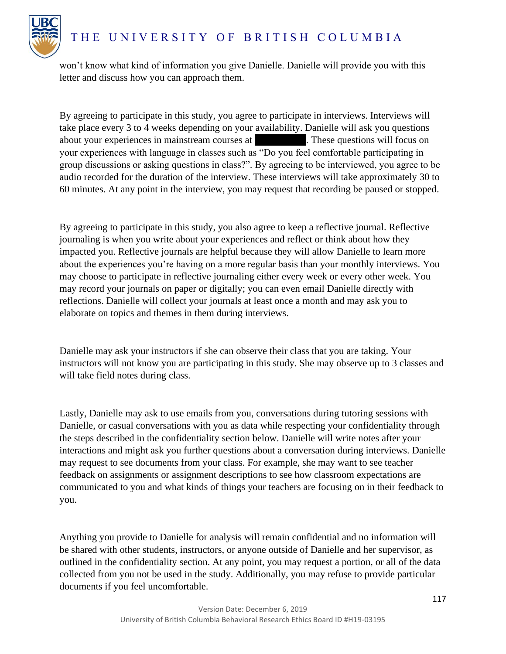

won't know what kind of information you give Danielle. Danielle will provide you with this letter and discuss how you can approach them.

By agreeing to participate in this study, you agree to participate in interviews. Interviews will take place every 3 to 4 weeks depending on your availability. Danielle will ask you questions about your experiences in mainstream courses at [Fig. College]. These questions will focus on your experiences with language in classes such as "Do you feel comfortable participating in group discussions or asking questions in class?". By agreeing to be interviewed, you agree to be audio recorded for the duration of the interview. These interviews will take approximately 30 to 60 minutes. At any point in the interview, you may request that recording be paused or stopped.

By agreeing to participate in this study, you also agree to keep a reflective journal. Reflective journaling is when you write about your experiences and reflect or think about how they impacted you. Reflective journals are helpful because they will allow Danielle to learn more about the experiences you're having on a more regular basis than your monthly interviews. You may choose to participate in reflective journaling either every week or every other week. You may record your journals on paper or digitally; you can even email Danielle directly with reflections. Danielle will collect your journals at least once a month and may ask you to elaborate on topics and themes in them during interviews.

Danielle may ask your instructors if she can observe their class that you are taking. Your instructors will not know you are participating in this study. She may observe up to 3 classes and will take field notes during class.

Lastly, Danielle may ask to use emails from you, conversations during tutoring sessions with Danielle, or casual conversations with you as data while respecting your confidentiality through the steps described in the confidentiality section below. Danielle will write notes after your interactions and might ask you further questions about a conversation during interviews. Danielle may request to see documents from your class. For example, she may want to see teacher feedback on assignments or assignment descriptions to see how classroom expectations are communicated to you and what kinds of things your teachers are focusing on in their feedback to you.

Anything you provide to Danielle for analysis will remain confidential and no information will be shared with other students, instructors, or anyone outside of Danielle and her supervisor, as outlined in the confidentiality section. At any point, you may request a portion, or all of the data collected from you not be used in the study. Additionally, you may refuse to provide particular documents if you feel uncomfortable.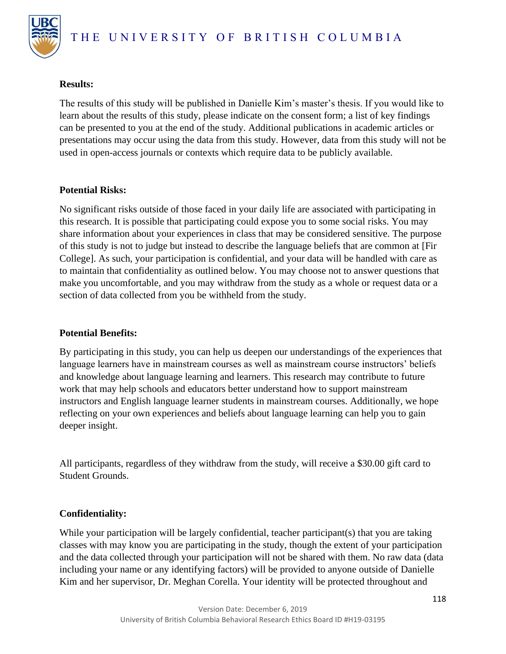

## **Results:**

The results of this study will be published in Danielle Kim's master's thesis. If you would like to learn about the results of this study, please indicate on the consent form; a list of key findings can be presented to you at the end of the study. Additional publications in academic articles or presentations may occur using the data from this study. However, data from this study will not be used in open-access journals or contexts which require data to be publicly available.

# **Potential Risks:**

No significant risks outside of those faced in your daily life are associated with participating in this research. It is possible that participating could expose you to some social risks. You may share information about your experiences in class that may be considered sensitive. The purpose of this study is not to judge but instead to describe the language beliefs that are common at [Fir College]. As such, your participation is confidential, and your data will be handled with care as to maintain that confidentiality as outlined below. You may choose not to answer questions that make you uncomfortable, and you may withdraw from the study as a whole or request data or a section of data collected from you be withheld from the study.

# **Potential Benefits:**

By participating in this study, you can help us deepen our understandings of the experiences that language learners have in mainstream courses as well as mainstream course instructors' beliefs and knowledge about language learning and learners. This research may contribute to future work that may help schools and educators better understand how to support mainstream instructors and English language learner students in mainstream courses. Additionally, we hope reflecting on your own experiences and beliefs about language learning can help you to gain deeper insight.

All participants, regardless of they withdraw from the study, will receive a \$30.00 gift card to Student Grounds.

# **Confidentiality:**

While your participation will be largely confidential, teacher participant(s) that you are taking classes with may know you are participating in the study, though the extent of your participation and the data collected through your participation will not be shared with them. No raw data (data including your name or any identifying factors) will be provided to anyone outside of Danielle Kim and her supervisor, Dr. Meghan Corella. Your identity will be protected throughout and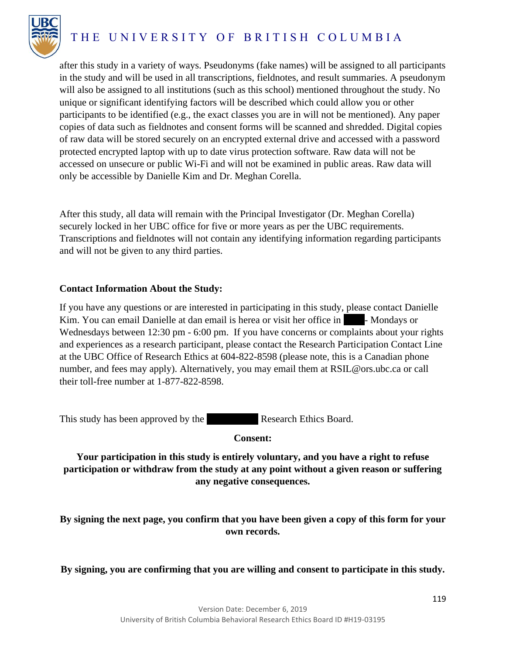

# THE UNIVERSITY OF BRITISH COLUMBIA

after this study in a variety of ways. Pseudonyms (fake names) will be assigned to all participants in the study and will be used in all transcriptions, fieldnotes, and result summaries. A pseudonym will also be assigned to all institutions (such as this school) mentioned throughout the study. No unique or significant identifying factors will be described which could allow you or other participants to be identified (e.g., the exact classes you are in will not be mentioned). Any paper copies of data such as fieldnotes and consent forms will be scanned and shredded. Digital copies of raw data will be stored securely on an encrypted external drive and accessed with a password protected encrypted laptop with up to date virus protection software. Raw data will not be accessed on unsecure or public Wi-Fi and will not be examined in public areas. Raw data will only be accessible by Danielle Kim and Dr. Meghan Corella.

After this study, all data will remain with the Principal Investigator (Dr. Meghan Corella) securely locked in her UBC office for five or more years as per the UBC requirements. Transcriptions and fieldnotes will not contain any identifying information regarding participants and will not be given to any third parties.

## **Contact Information About the Study:**

If you have any questions or are interested in participating in this study, please contact Danielle Kim. You can email Danielle at dan email is herea or visit her office in **Place- Mondays or** Wednesdays between 12:30 pm - 6:00 pm. If you have concerns or complaints about your rights and experiences as a research participant, please contact the Research Participation Contact Line at the UBC Office of Research Ethics at 604-822-8598 (please note, this is a Canadian phone number, and fees may apply). Alternatively, you may email them at RSIL@ors.ubc.ca or call their toll-free number at 1-877-822-8598.

This study has been approved by the **E**Research Ethics Board.

## **Consent:**

# **Your participation in this study is entirely voluntary, and you have a right to refuse participation or withdraw from the study at any point without a given reason or suffering any negative consequences.**

**By signing the next page, you confirm that you have been given a copy of this form for your own records.**

**By signing, you are confirming that you are willing and consent to participate in this study.**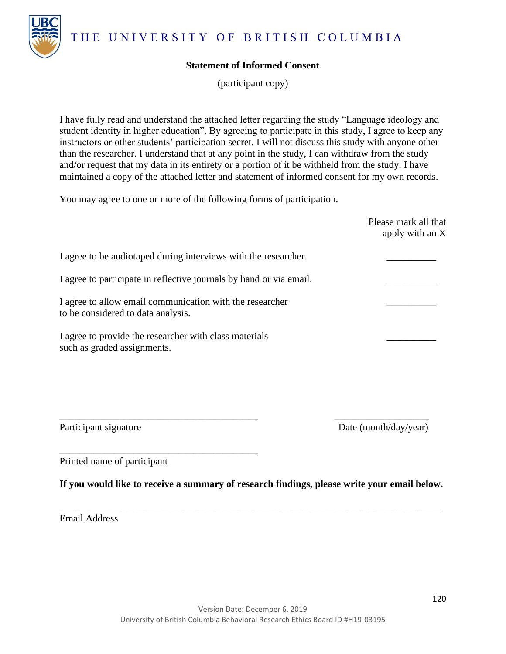THE UNIVERSITY OF BRITISH COLUMBIA



(participant copy)

I have fully read and understand the attached letter regarding the study "Language ideology and student identity in higher education". By agreeing to participate in this study, I agree to keep any instructors or other students' participation secret. I will not discuss this study with anyone other than the researcher. I understand that at any point in the study, I can withdraw from the study and/or request that my data in its entirety or a portion of it be withheld from the study. I have maintained a copy of the attached letter and statement of informed consent for my own records.

You may agree to one or more of the following forms of participation.

|                                                                                                | Please mark all that<br>apply with an X |
|------------------------------------------------------------------------------------------------|-----------------------------------------|
| I agree to be audiotaped during interviews with the researcher.                                |                                         |
| I agree to participate in reflective journals by hand or via email.                            |                                         |
| I agree to allow email communication with the researcher<br>to be considered to data analysis. |                                         |
| I agree to provide the researcher with class materials<br>such as graded assignments.          |                                         |

Participant signature Date (month/day/year)

Printed name of participant

\_\_\_\_\_\_\_\_\_\_\_\_\_\_\_\_\_\_\_\_\_\_\_\_\_\_\_\_\_\_\_\_\_\_\_\_\_\_\_\_

**If you would like to receive a summary of research findings, please write your email below.**

\_\_\_\_\_\_\_\_\_\_\_\_\_\_\_\_\_\_\_\_\_\_\_\_\_\_\_\_\_\_\_\_\_\_\_\_\_\_\_\_\_\_\_\_\_\_\_\_\_\_\_\_\_\_\_\_\_\_\_\_\_\_\_\_\_\_\_\_\_\_\_\_\_\_\_\_\_

\_\_\_\_\_\_\_\_\_\_\_\_\_\_\_\_\_\_\_\_\_\_\_\_\_\_\_\_\_\_\_\_\_\_\_\_\_\_\_\_ \_\_\_\_\_\_\_\_\_\_\_\_\_\_\_\_\_\_\_

Email Address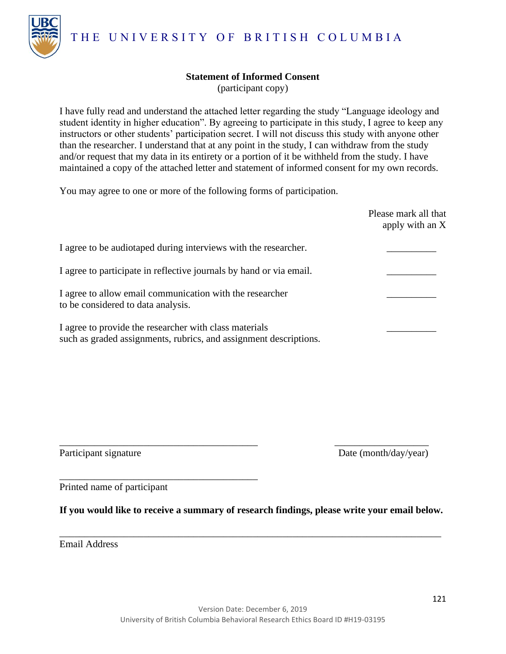THE UNIVERSITY OF BRITISH COLUMBIA



## **Statement of Informed Consent**

(participant copy)

I have fully read and understand the attached letter regarding the study "Language ideology and student identity in higher education". By agreeing to participate in this study, I agree to keep any instructors or other students' participation secret. I will not discuss this study with anyone other than the researcher. I understand that at any point in the study, I can withdraw from the study and/or request that my data in its entirety or a portion of it be withheld from the study. I have maintained a copy of the attached letter and statement of informed consent for my own records.

You may agree to one or more of the following forms of participation.

|                                                                                                                             | Please mark all that<br>apply with an X |
|-----------------------------------------------------------------------------------------------------------------------------|-----------------------------------------|
| I agree to be audiotaped during interviews with the researcher.                                                             |                                         |
| I agree to participate in reflective journals by hand or via email.                                                         |                                         |
| I agree to allow email communication with the researcher<br>to be considered to data analysis.                              |                                         |
| I agree to provide the researcher with class materials<br>such as graded assignments, rubrics, and assignment descriptions. |                                         |

Participant signature Date (month/day/year)

Printed name of participant

\_\_\_\_\_\_\_\_\_\_\_\_\_\_\_\_\_\_\_\_\_\_\_\_\_\_\_\_\_\_\_\_\_\_\_\_\_\_\_\_

**If you would like to receive a summary of research findings, please write your email below.**

\_\_\_\_\_\_\_\_\_\_\_\_\_\_\_\_\_\_\_\_\_\_\_\_\_\_\_\_\_\_\_\_\_\_\_\_\_\_\_\_\_\_\_\_\_\_\_\_\_\_\_\_\_\_\_\_\_\_\_\_\_\_\_\_\_\_\_\_\_\_\_\_\_\_\_\_\_

\_\_\_\_\_\_\_\_\_\_\_\_\_\_\_\_\_\_\_\_\_\_\_\_\_\_\_\_\_\_\_\_\_\_\_\_\_\_\_\_ \_\_\_\_\_\_\_\_\_\_\_\_\_\_\_\_\_\_\_

Email Address